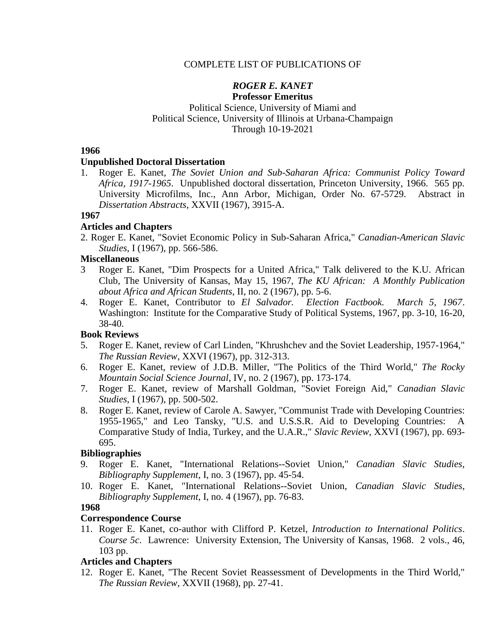# COMPLETE LIST OF PUBLICATIONS OF

#### *ROGER E. KANET* **Professor Emeritus**

# Political Science, University of Miami and Political Science, University of Illinois at Urbana-Champaign Through 10-19-2021

# **1966**

# **Unpublished Doctoral Dissertation**

1. Roger E. Kanet, *The Soviet Union and Sub-Saharan Africa: Communist Policy Toward Africa, 1917-1965*. Unpublished doctoral dissertation, Princeton University, 1966. 565 pp. University Microfilms, Inc., Ann Arbor, Michigan, Order No. 67-5729. Abstract in *Dissertation Abstracts*, XXVII (1967), 3915-A.

# **1967**

# **Articles and Chapters**

2. Roger E. Kanet, "Soviet Economic Policy in Sub-Saharan Africa," *Canadian-American Slavic Studies*, I (1967), pp. 566-586.

# **Miscellaneous**

- 3 Roger E. Kanet, "Dim Prospects for a United Africa," Talk delivered to the K.U. African Club, The University of Kansas, May 15, 1967, *The KU African: A Monthly Publication about Africa and African Students*, II, no. 2 (1967), pp. 5-6.
- 4. Roger E. Kanet, Contributor to *El Salvador. Election Factbook. March 5, 1967*. Washington: Institute for the Comparative Study of Political Systems, 1967, pp. 3-10, 16-20, 38-40.

# **Book Reviews**

- 5. Roger E. Kanet, review of Carl Linden, "Khrushchev and the Soviet Leadership, 1957-1964," *The Russian Review*, XXVI (1967), pp. 312-313.
- 6. Roger E. Kanet, review of J.D.B. Miller, "The Politics of the Third World," *The Rocky Mountain Social Science Journal*, IV, no. 2 (1967), pp. 173-174.
- 7. Roger E. Kanet, review of Marshall Goldman, "Soviet Foreign Aid," *Canadian Slavic Studies*, I (1967), pp. 500-502.
- 8. Roger E. Kanet, review of Carole A. Sawyer, "Communist Trade with Developing Countries: 1955-1965," and Leo Tansky, "U.S. and U.S.S.R. Aid to Developing Countries: A Comparative Study of India, Turkey, and the U.A.R.," *Slavic Review*, XXVI (1967), pp. 693- 695.

# **Bibliographies**

- 9. Roger E. Kanet, "International Relations--Soviet Union," *Canadian Slavic Studies*, *Bibliography Supplement*, I, no. 3 (1967), pp. 45-54.
- 10. Roger E. Kanet, "International Relations--Soviet Union, *Canadian Slavic Studies*, *Bibliography Supplement*, I, no. 4 (1967), pp. 76-83.

# **1968**

# **Correspondence Course**

11. Roger E. Kanet, co-author with Clifford P. Ketzel, *Introduction to International Politics*. *Course 5c*. Lawrence: University Extension, The University of Kansas, 1968. 2 vols., 46, 103 pp.

# **Articles and Chapters**

12. Roger E. Kanet, "The Recent Soviet Reassessment of Developments in the Third World," *The Russian Review*, XXVII (1968), pp. 27-41.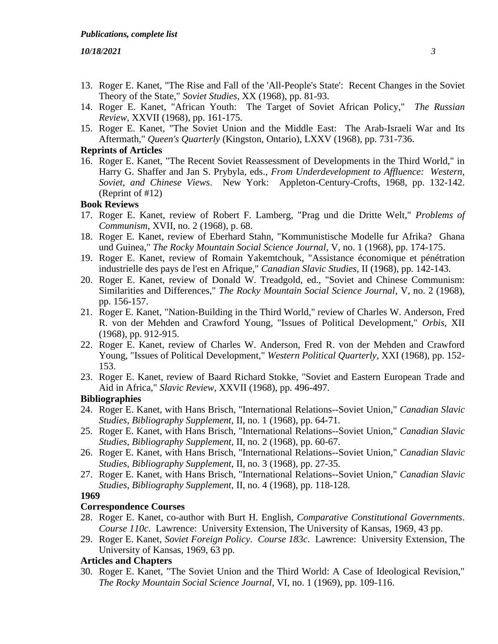- 13. Roger E. Kanet, "The Rise and Fall of the 'All-People's State': Recent Changes in the Soviet Theory of the State," *Soviet Studies*, XX (1968), pp. 81-93.
- 14. Roger E. Kanet, "African Youth: The Target of Soviet African Policy," *The Russian Review*, XXVII (1968), pp. 161-175.
- 15. Roger E. Kanet, "The Soviet Union and the Middle East: The Arab-Israeli War and Its Aftermath," *Queen's Quarterly* (Kingston, Ontario), LXXV (1968), pp. 731-736.

# **Reprints of Articles**

16. Roger E. Kanet, "The Recent Soviet Reassessment of Developments in the Third World," in Harry G. Shaffer and Jan S. Prybyla, eds., *From Underdevelopment to Affluence: Western, Soviet, and Chinese Views*. New York: Appleton-Century-Crofts, 1968, pp. 132-142. (Reprint of #12)

#### **Book Reviews**

- 17. Roger E. Kanet, review of Robert F. Lamberg, "Prag und die Dritte Welt," *Problems of Communism*, XVII, no. 2 (1968), p. 68.
- 18. Roger E. Kanet, review of Eberhard Stahn, "Kommunistische Modelle fur Afrika? Ghana und Guinea," *The Rocky Mountain Social Science Journal*, V, no. 1 (1968), pp. 174-175.
- 19. Roger E. Kanet, review of Romain Yakemtchouk, "Assistance économique et pénétration industrielle des pays de l'est en Afrique," *Canadian Slavic Studies*, II (1968), pp. 142-143.
- 20. Roger E. Kanet, review of Donald W. Treadgold, ed., "Soviet and Chinese Communism: Similarities and Differences," *The Rocky Mountain Social Science Journal*, V, no. 2 (1968), pp. 156-157.
- 21. Roger E. Kanet, "Nation-Building in the Third World," review of Charles W. Anderson, Fred R. von der Mehden and Crawford Young, "Issues of Political Development," *Orbis*, XII (1968), pp. 912-915.
- 22. Roger E. Kanet, review of Charles W. Anderson, Fred R. von der Mehden and Crawford Young, "Issues of Political Development," *Western Political Quarterly*, XXI (1968), pp. 152- 153.
- 23. Roger E. Kanet, review of Baard Richard Stokke, "Soviet and Eastern European Trade and Aid in Africa," *Slavic Review*, XXVII (1968), pp. 496-497.

#### **Bibliographies**

- 24. Roger E. Kanet, with Hans Brisch, "International Relations--Soviet Union," *Canadian Slavic Studies*, *Bibliography Supplement*, II, no. 1 (1968), pp. 64-71.
- 25. Roger E. Kanet, with Hans Brisch, "International Relations--Soviet Union," *Canadian Slavic Studies*, *Bibliography Supplement*, II, no. 2 (1968), pp. 60-67.
- 26. Roger E. Kanet, with Hans Brisch, "International Relations--Soviet Union," *Canadian Slavic Studies*, *Bibliography Supplement*, II, no. 3 (1968), pp. 27-35.
- 27. Roger E. Kanet, with Hans Brisch, "International Relations--Soviet Union," *Canadian Slavic Studies*, *Bibliography Supplement*, II, no. 4 (1968), pp. 118-128.

#### **1969**

#### **Correspondence Courses**

- 28. Roger E. Kanet, co-author with Burt H. English, *Comparative Constitutional Governments*. *Course 110c*. Lawrence: University Extension, The University of Kansas, 1969, 43 pp.
- 29. Roger E. Kanet, *Soviet Foreign Policy*. *Course 183c*. Lawrence: University Extension, The University of Kansas, 1969, 63 pp.

#### **Articles and Chapters**

30. Roger E. Kanet, "The Soviet Union and the Third World: A Case of Ideological Revision," *The Rocky Mountain Social Science Journal*, VI, no. 1 (1969), pp. 109-116.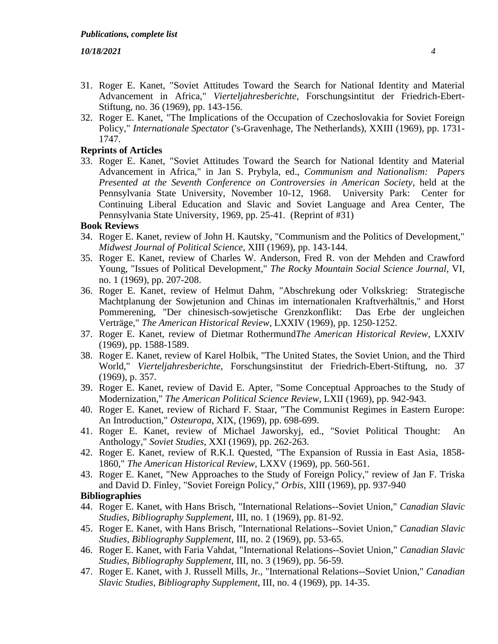- 31. Roger E. Kanet, "Soviet Attitudes Toward the Search for National Identity and Material Advancement in Africa," *Vierteljahresberichte*, Forschungsintitut der Friedrich-Ebert-Stiftung, no. 36 (1969), pp. 143-156.
- 32. Roger E. Kanet, "The Implications of the Occupation of Czechoslovakia for Soviet Foreign Policy," *Internationale Spectator* ('s-Gravenhage, The Netherlands), XXIII (1969), pp. 1731- 1747.

# **Reprints of Articles**

33. Roger E. Kanet, "Soviet Attitudes Toward the Search for National Identity and Material Advancement in Africa," in Jan S. Prybyla, ed., *Communism and Nationalism: Papers Presented at the Seventh Conference on Controversies in American Society*, held at the Pennsylvania State University, November 10-12, 1968. University Park: Center for Continuing Liberal Education and Slavic and Soviet Language and Area Center, The Pennsylvania State University, 1969, pp. 25-41. (Reprint of #31)

#### **Book Reviews**

- 34. Roger E. Kanet, review of John H. Kautsky, "Communism and the Politics of Development," *Midwest Journal of Political Science*, XIII (1969), pp. 143-144.
- 35. Roger E. Kanet, review of Charles W. Anderson, Fred R. von der Mehden and Crawford Young, "Issues of Political Development," *The Rocky Mountain Social Science Journal*, VI, no. 1 (1969), pp. 207-208.
- 36. Roger E. Kanet, review of Helmut Dahm, "Abschrekung oder Volkskrieg: Strategische Machtplanung der Sowjetunion and Chinas im internationalen Kraftverhältnis," and Horst Pommerening, "Der chinesisch-sowjetische Grenzkonflikt: Das Erbe der ungleichen Verträge," *The American Historical Review*, LXXIV (1969), pp. 1250-1252.
- 37. Roger E. Kanet, review of Dietmar Rothermund*The American Historical Review*, LXXIV (1969), pp. 1588-1589.
- 38. Roger E. Kanet, review of Karel Holbik, "The United States, the Soviet Union, and the Third World," *Vierteljahresberichte*, Forschungsinstitut der Friedrich-Ebert-Stiftung, no. 37 (1969), p. 357.
- 39. Roger E. Kanet, review of David E. Apter, "Some Conceptual Approaches to the Study of Modernization," *The American Political Science Review*, LXII (1969), pp. 942-943.
- 40. Roger E. Kanet, review of Richard F. Staar, "The Communist Regimes in Eastern Europe: An Introduction," *Osteuropa*, XIX, (1969), pp. 698-699.
- 41. Roger E. Kanet, review of Michael Jaworskyj, ed., "Soviet Political Thought: An Anthology," *Soviet Studies*, XXI (1969), pp. 262-263.
- 42. Roger E. Kanet, review of R.K.I. Quested, "The Expansion of Russia in East Asia, 1858- 1860," *The American Historical Review*, LXXV (1969), pp. 560-561.
- 43. Roger E. Kanet, "New Approaches to the Study of Foreign Policy," review of Jan F. Triska and David D. Finley, "Soviet Foreign Policy," *Orbis*, XIII (1969), pp. 937-940

#### **Bibliographies**

- 44. Roger E. Kanet, with Hans Brisch, "International Relations--Soviet Union," *Canadian Slavic Studies*, *Bibliography Supplement*, III, no. 1 (1969), pp. 81-92.
- 45. Roger E. Kanet, with Hans Brisch, "International Relations--Soviet Union," *Canadian Slavic Studies*, *Bibliography Supplement*, III, no. 2 (1969), pp. 53-65.
- 46. Roger E. Kanet, with Faria Vahdat, "International Relations--Soviet Union," *Canadian Slavic Studies*, *Bibliography Supplement*, III, no. 3 (1969), pp. 56-59.
- 47. Roger E. Kanet, with J. Russell Mills, Jr., "International Relations--Soviet Union," *Canadian Slavic Studies*, *Bibliography Supplement*, III, no. 4 (1969), pp. 14-35.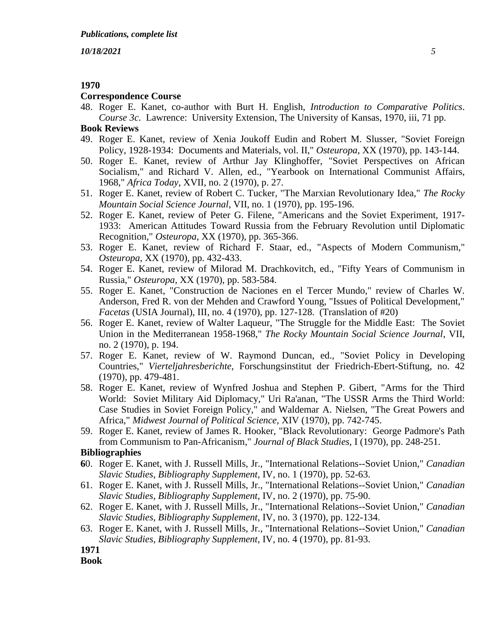## **1970**

#### **Correspondence Course**

48. Roger E. Kanet, co-author with Burt H. English, *Introduction to Comparative Politics*. *Course 3c*. Lawrence: University Extension, The University of Kansas, 1970, iii, 71 pp.

# **Book Reviews**

- 49. Roger E. Kanet, review of Xenia Joukoff Eudin and Robert M. Slusser, "Soviet Foreign Policy, 1928-1934: Documents and Materials, vol. II," *Osteuropa*, XX (1970), pp. 143-144.
- 50. Roger E. Kanet, review of Arthur Jay Klinghoffer, "Soviet Perspectives on African Socialism," and Richard V. Allen, ed., "Yearbook on International Communist Affairs, 1968," *Africa Today*, XVII, no. 2 (1970), p. 27.
- 51. Roger E. Kanet, review of Robert C. Tucker, "The Marxian Revolutionary Idea," *The Rocky Mountain Social Science Journal*, VII, no. 1 (1970), pp. 195-196.
- 52. Roger E. Kanet, review of Peter G. Filene, "Americans and the Soviet Experiment, 1917- 1933: American Attitudes Toward Russia from the February Revolution until Diplomatic Recognition," *Osteuropa*, XX (1970), pp. 365-366.
- 53. Roger E. Kanet, review of Richard F. Staar, ed., "Aspects of Modern Communism," *Osteuropa*, XX (1970), pp. 432-433.
- 54. Roger E. Kanet, review of Milorad M. Drachkovitch, ed., "Fifty Years of Communism in Russia," *Osteuropa*, XX (1970), pp. 583-584.
- 55. Roger E. Kanet, "Construction de Naciones en el Tercer Mundo," review of Charles W. Anderson, Fred R. von der Mehden and Crawford Young, "Issues of Political Development," *Facetas* (USIA Journal), III, no. 4 (1970), pp. 127-128. (Translation of #20)
- 56. Roger E. Kanet, review of Walter Laqueur, "The Struggle for the Middle East: The Soviet Union in the Mediterranean 1958-1968," *The Rocky Mountain Social Science Journal*, VII, no. 2 (1970), p. 194.
- 57. Roger E. Kanet, review of W. Raymond Duncan, ed., "Soviet Policy in Developing Countries," *Vierteljahresberichte*, Forschungsinstitut der Friedrich-Ebert-Stiftung, no. 42 (1970), pp. 479-481.
- 58. Roger E. Kanet, review of Wynfred Joshua and Stephen P. Gibert, "Arms for the Third World: Soviet Military Aid Diplomacy," Uri Ra'anan, "The USSR Arms the Third World: Case Studies in Soviet Foreign Policy," and Waldemar A. Nielsen, "The Great Powers and Africa," *Midwest Journal of Political Science*, XIV (1970), pp. 742-745.
- 59. Roger E. Kanet, review of James R. Hooker, "Black Revolutionary: George Padmore's Path from Communism to Pan-Africanism," *Journal of Black Studies*, I (1970), pp. 248-251.

# **Bibliographies**

- **6**0. Roger E. Kanet, with J. Russell Mills, Jr., "International Relations--Soviet Union," *Canadian Slavic Studies*, *Bibliography Supplement*, IV, no. 1 (1970), pp. 52-63.
- 61. Roger E. Kanet, with J. Russell Mills, Jr., "International Relations--Soviet Union," *Canadian Slavic Studies*, *Bibliography Supplement*, IV, no. 2 (1970), pp. 75-90.
- 62. Roger E. Kanet, with J. Russell Mills, Jr., "International Relations--Soviet Union," *Canadian Slavic Studies*, *Bibliography Supplement*, IV, no. 3 (1970), pp. 122-134.
- 63. Roger E. Kanet, with J. Russell Mills, Jr., "International Relations--Soviet Union," *Canadian Slavic Studies*, *Bibliography Supplement*, IV, no. 4 (1970), pp. 81-93.

**1971**

**Book**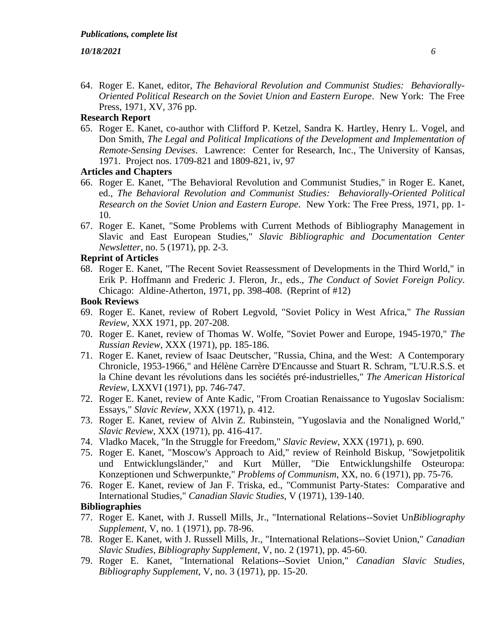64. Roger E. Kanet, editor, *The Behavioral Revolution and Communist Studies: Behaviorally-Oriented Political Research on the Soviet Union and Eastern Europe*. New York: The Free Press, 1971, XV, 376 pp.

# **Research Report**

65. Roger E. Kanet, co-author with Clifford P. Ketzel, Sandra K. Hartley, Henry L. Vogel, and Don Smith, *The Legal and Political Implications of the Development and Implementation of Remote-Sensing Devises*. Lawrence: Center for Research, Inc., The University of Kansas, 1971. Project nos. 1709-821 and 1809-821, iv, 97

# **Articles and Chapters**

- 66. Roger E. Kanet, "The Behavioral Revolution and Communist Studies," in Roger E. Kanet, ed., *The Behavioral Revolution and Communist Studies: Behaviorally-Oriented Political Research on the Soviet Union and Eastern Europe*. New York: The Free Press, 1971, pp. 1- 10.
- 67. Roger E. Kanet, "Some Problems with Current Methods of Bibliography Management in Slavic and East European Studies," *Slavic Bibliographic and Documentation Center Newsletter*, no. 5 (1971), pp. 2-3.

# **Reprint of Articles**

68. Roger E. Kanet, "The Recent Soviet Reassessment of Developments in the Third World," in Erik P. Hoffmann and Frederic J. Fleron, Jr., eds., *The Conduct of Soviet Foreign Policy*. Chicago: Aldine-Atherton, 1971, pp. 398-408. (Reprint of #12)

## **Book Reviews**

- 69. Roger E. Kanet, review of Robert Legvold, "Soviet Policy in West Africa," *The Russian Review*, XXX 1971, pp. 207-208.
- 70. Roger E. Kanet, review of Thomas W. Wolfe, "Soviet Power and Europe, 1945-1970," *The Russian Review*, XXX (1971), pp. 185-186.
- 71. Roger E. Kanet, review of Isaac Deutscher, "Russia, China, and the West: A Contemporary Chronicle, 1953-1966," and Hélène Carrère D'Encausse and Stuart R. Schram, "L'U.R.S.S. et la Chine devant les révolutions dans les sociétés pré-industrielles," *The American Historical Review*, LXXVI (1971), pp. 746-747.
- 72. Roger E. Kanet, review of Ante Kadic, "From Croatian Renaissance to Yugoslav Socialism: Essays," *Slavic Review*, XXX (1971), p. 412.
- 73. Roger E. Kanet, review of Alvin Z. Rubinstein, "Yugoslavia and the Nonaligned World," *Slavic Review*, XXX (1971), pp. 416-417.
- 74. Vladko Macek, "In the Struggle for Freedom," *Slavic Review*, XXX (1971), p. 690.
- 75. Roger E. Kanet, "Moscow's Approach to Aid," review of Reinhold Biskup, "Sowjetpolitik und Entwicklungsländer," and Kurt Müller, "Die Entwicklungshilfe Osteuropa: Konzeptionen und Schwerpunkte," *Problems of Communism*, XX, no. 6 (1971), pp. 75-76.
- 76. Roger E. Kanet, review of Jan F. Triska, ed., "Communist Party-States: Comparative and International Studies," *Canadian Slavic Studies*, V (1971), 139-140.

# **Bibliographies**

- 77. Roger E. Kanet, with J. Russell Mills, Jr., "International Relations--Soviet Un*Bibliography Supplement*, V, no. 1 (1971), pp. 78-96.
- 78. Roger E. Kanet, with J. Russell Mills, Jr., "International Relations--Soviet Union," *Canadian Slavic Studies*, *Bibliography Supplement*, V, no. 2 (1971), pp. 45-60.
- 79. Roger E. Kanet, "International Relations--Soviet Union," *Canadian Slavic Studies*, *Bibliography Supplement*, V, no. 3 (1971), pp. 15-20.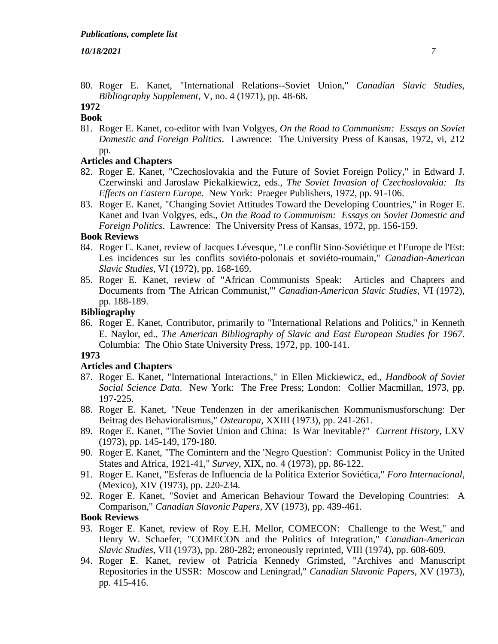80. Roger E. Kanet, "International Relations--Soviet Union," *Canadian Slavic Studies*, *Bibliography Supplement*, V, no. 4 (1971), pp. 48-68.

#### **1972 Book**

81. Roger E. Kanet, co-editor with Ivan Volgyes, *On the Road to Communism: Essays on Soviet Domestic and Foreign Politics*. Lawrence: The University Press of Kansas, 1972, vi, 212 pp.

# **Articles and Chapters**

- 82. Roger E. Kanet, "Czechoslovakia and the Future of Soviet Foreign Policy," in Edward J. Czerwinski and Jaroslaw Piekalkiewicz, eds., *The Soviet Invasion of Czechoslovakia: Its Effects on Eastern Europe*. New York: Praeger Publishers, 1972, pp. 91-106.
- 83. Roger E. Kanet, "Changing Soviet Attitudes Toward the Developing Countries," in Roger E. Kanet and Ivan Volgyes, eds., *On the Road to Communism: Essays on Soviet Domestic and Foreign Politics*. Lawrence: The University Press of Kansas, 1972, pp. 156-159.

# **Book Reviews**

- 84. Roger E. Kanet, review of Jacques Lévesque, "Le conflit Sino-Soviétique et l'Europe de l'Est: Les incidences sur les conflits soviéto-polonais et soviéto-roumain," *Canadian-American Slavic Studies*, VI (1972), pp. 168-169.
- 85. Roger E. Kanet, review of "African Communists Speak: Articles and Chapters and Documents from 'The African Communist,'" *Canadian-American Slavic Studies*, VI (1972), pp. 188-189.

# **Bibliography**

86. Roger E. Kanet, Contributor, primarily to "International Relations and Politics," in Kenneth E. Naylor, ed., *The American Bibliography of Slavic and East European Studies for 1967*. Columbia: The Ohio State University Press, 1972, pp. 100-141.

# **1973**

# **Articles and Chapters**

- 87. Roger E. Kanet, "International Interactions," in Ellen Mickiewicz, ed., *Handbook of Soviet Social Science Data*. New York: The Free Press; London: Collier Macmillan, 1973, pp. 197-225.
- 88. Roger E. Kanet, "Neue Tendenzen in der amerikanischen Kommunismusforschung: Der Beitrag des Behavioralismus," *Osteuropa*, XXIII (1973), pp. 241-261.
- 89. Roger E. Kanet, "The Soviet Union and China: Is War Inevitable?" *Current History*, LXV (1973), pp. 145-149, 179-180.
- 90. Roger E. Kanet, "The Comintern and the 'Negro Question': Communist Policy in the United States and Africa, 1921-41," *Survey*, XIX, no. 4 (1973), pp. 86-122.
- 91. Roger E. Kanet, "Esferas de Influencia de la Política Exterior Soviética," *Foro Internacional*, (Mexico), XIV (1973), pp. 220-234.
- 92. Roger E. Kanet, "Soviet and American Behaviour Toward the Developing Countries: A Comparison," *Canadian Slavonic Papers*, XV (1973), pp. 439-461.

# **Book Reviews**

- 93. Roger E. Kanet, review of Roy E.H. Mellor, COMECON: Challenge to the West," and Henry W. Schaefer, "COMECON and the Politics of Integration," *Canadian-American Slavic Studies*, VII (1973), pp. 280-282; erroneously reprinted, VIII (1974), pp. 608-609.
- 94. Roger E. Kanet, review of Patricia Kennedy Grimsted, "Archives and Manuscript Repositories in the USSR: Moscow and Leningrad," *Canadian Slavonic Papers*, XV (1973), pp. 415-416.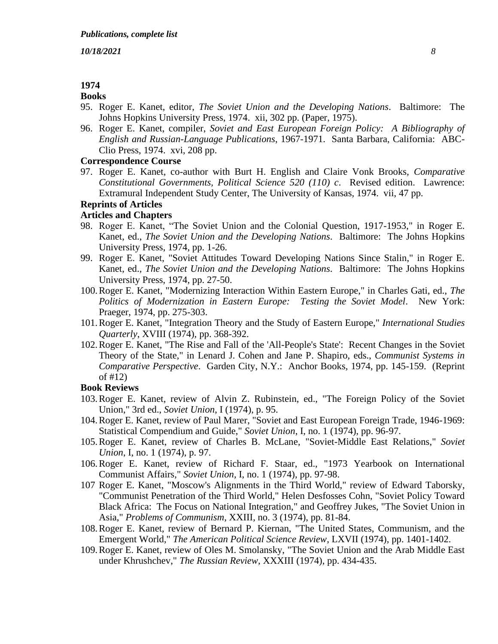# **1974**

# **Books**

- 95. Roger E. Kanet, editor, *The Soviet Union and the Developing Nations*. Baltimore: The Johns Hopkins University Press, 1974. xii, 302 pp. (Paper, 1975).
- 96. Roger E. Kanet, compiler, *Soviet and East European Foreign Policy: A Bibliography of English and Russian-Language Publications*, 1967-1971. Santa Barbara, California: ABC-Clio Press, 1974. xvi, 208 pp.

# **Correspondence Course**

97. Roger E. Kanet, co-author with Burt H. English and Claire Vonk Brooks, *Comparative Constitutional Governments, Political Science 520 (110) c*. Revised edition. Lawrence: Extramural Independent Study Center, The University of Kansas, 1974. vii, 47 pp.

## **Reprints of Articles**

# **Articles and Chapters**

- 98. Roger E. Kanet, "The Soviet Union and the Colonial Question, 1917-1953," in Roger E. Kanet, ed., *The Soviet Union and the Developing Nations*. Baltimore: The Johns Hopkins University Press, 1974, pp. 1-26.
- 99. Roger E. Kanet, "Soviet Attitudes Toward Developing Nations Since Stalin," in Roger E. Kanet, ed., *The Soviet Union and the Developing Nations*. Baltimore: The Johns Hopkins University Press, 1974, pp. 27-50.
- 100.Roger E. Kanet, "Modernizing Interaction Within Eastern Europe," in Charles Gati, ed., *The Politics of Modernization in Eastern Europe: Testing the Soviet Model*. New York: Praeger, 1974, pp. 275-303.
- 101.Roger E. Kanet, "Integration Theory and the Study of Eastern Europe," *International Studies Quarterly*, XVIII (1974), pp. 368-392.
- 102.Roger E. Kanet, "The Rise and Fall of the 'All-People's State': Recent Changes in the Soviet Theory of the State," in Lenard J. Cohen and Jane P. Shapiro, eds., *Communist Systems in Comparative Perspective*. Garden City, N.Y.: Anchor Books, 1974, pp. 145-159. (Reprint of #12)

#### **Book Reviews**

- 103.Roger E. Kanet, review of Alvin Z. Rubinstein, ed., "The Foreign Policy of the Soviet Union," 3rd ed., *Soviet Union*, I (1974), p. 95.
- 104.Roger E. Kanet, review of Paul Marer, "Soviet and East European Foreign Trade, 1946-1969: Statistical Compendium and Guide," *Soviet Union*, I, no. 1 (1974), pp. 96-97.
- 105.Roger E. Kanet, review of Charles B. McLane, "Soviet-Middle East Relations," *Soviet Union*, I, no. 1 (1974), p. 97.
- 106.Roger E. Kanet, review of Richard F. Staar, ed., "1973 Yearbook on International Communist Affairs," *Soviet Union*, I, no. 1 (1974), pp. 97-98.
- 107 Roger E. Kanet, "Moscow's Alignments in the Third World," review of Edward Taborsky, "Communist Penetration of the Third World," Helen Desfosses Cohn, "Soviet Policy Toward Black Africa: The Focus on National Integration," and Geoffrey Jukes, "The Soviet Union in Asia," *Problems of Communism*, XXIII, no. 3 (1974), pp. 81-84.
- 108.Roger E. Kanet, review of Bernard P. Kiernan, "The United States, Communism, and the Emergent World," *The American Political Science Review*, LXVII (1974), pp. 1401-1402.
- 109.Roger E. Kanet, review of Oles M. Smolansky, "The Soviet Union and the Arab Middle East under Khrushchev," *The Russian Review*, XXXIII (1974), pp. 434-435.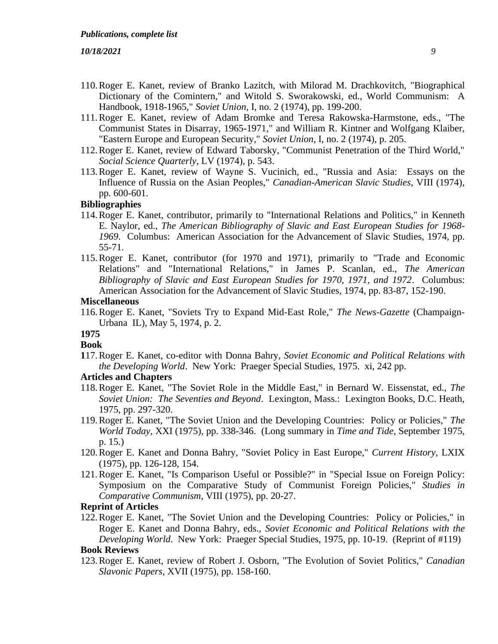- 110.Roger E. Kanet, review of Branko Lazitch, with Milorad M. Drachkovitch, "Biographical Dictionary of the Comintern," and Witold S. Sworakowski, ed., World Communism: A Handbook, 1918-1965," *Soviet Union*, I, no. 2 (1974), pp. 199-200.
- 111.Roger E. Kanet, review of Adam Bromke and Teresa Rakowska-Harmstone, eds., "The Communist States in Disarray, 1965-1971," and William R. Kintner and Wolfgang Klaiber, "Eastern Europe and European Security," *Soviet Union*, I, no. 2 (1974), p. 205.
- 112.Roger E. Kanet, review of Edward Taborsky, "Communist Penetration of the Third World," *Social Science Quarterly*, LV (1974), p. 543.
- 113.Roger E. Kanet, review of Wayne S. Vucinich, ed., "Russia and Asia: Essays on the Influence of Russia on the Asian Peoples," *Canadian-American Slavic Studies*, VIII (1974), pp. 600-601.

# **Bibliographies**

- 114.Roger E. Kanet, contributor, primarily to "International Relations and Politics," in Kenneth E. Naylor, ed., *The American Bibliography of Slavic and East European Studies for 1968- 1969*. Columbus: American Association for the Advancement of Slavic Studies, 1974, pp. 55-71.
- 115.Roger E. Kanet, contributor (for 1970 and 1971), primarily to "Trade and Economic Relations" and "International Relations," in James P. Scanlan, ed., *The American Bibliography of Slavic and East European Studies for 1970, 1971, and 1972*. Columbus: American Association for the Advancement of Slavic Studies, 1974, pp. 83-87, 152-190.

#### **Miscellaneous**

116.Roger E. Kanet, "Soviets Try to Expand Mid-East Role," *The News-Gazette* (Champaign-Urbana IL), May 5, 1974, p. 2.

# **1975**

**Book**

**1**17.Roger E. Kanet, co-editor with Donna Bahry, *Soviet Economic and Political Relations with the Developing World*. New York: Praeger Special Studies, 1975. xi, 242 pp.

#### **Articles and Chapters**

- 118.Roger E. Kanet, "The Soviet Role in the Middle East," in Bernard W. Eissenstat, ed., *The Soviet Union: The Seventies and Beyond*. Lexington, Mass.: Lexington Books, D.C. Heath, 1975, pp. 297-320.
- 119.Roger E. Kanet, "The Soviet Union and the Developing Countries: Policy or Policies," *The World Today*, XXI (1975), pp. 338-346. (Long summary in *Time and Tide*, September 1975, p. 15.)
- 120.Roger E. Kanet and Donna Bahry, "Soviet Policy in East Europe," *Current History*, LXIX (1975), pp. 126-128, 154.
- 121.Roger E. Kanet, "Is Comparison Useful or Possible?" in "Special Issue on Foreign Policy: Symposium on the Comparative Study of Communist Foreign Policies," *Studies in Comparative Communism*, VIII (1975), pp. 20-27.

# **Reprint of Articles**

122.Roger E. Kanet, "The Soviet Union and the Developing Countries: Policy or Policies," in Roger E. Kanet and Donna Bahry, eds., *Soviet Economic and Political Relations with the Developing World*. New York: Praeger Special Studies, 1975, pp. 10-19. (Reprint of #119)

# **Book Reviews**

123.Roger E. Kanet, review of Robert J. Osborn, "The Evolution of Soviet Politics," *Canadian Slavonic Papers*, XVII (1975), pp. 158-160.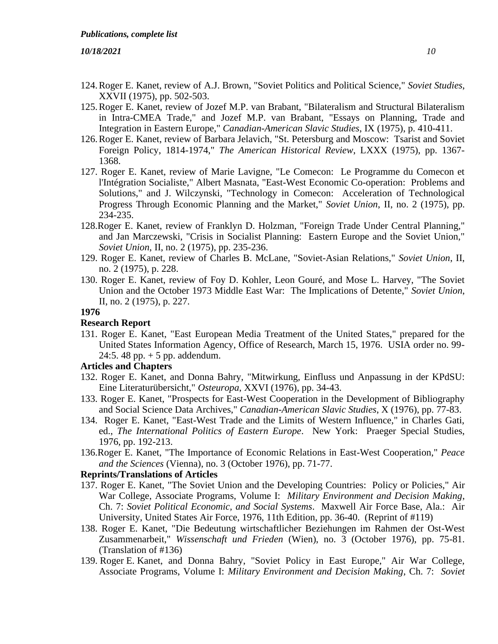- 124.Roger E. Kanet, review of A.J. Brown, "Soviet Politics and Political Science," *Soviet Studies*, XXVII (1975), pp. 502-503.
- 125.Roger E. Kanet, review of Jozef M.P. van Brabant, "Bilateralism and Structural Bilateralism in Intra-CMEA Trade," and Jozef M.P. van Brabant, "Essays on Planning, Trade and Integration in Eastern Europe," *Canadian-American Slavic Studies*, IX (1975), p. 410-411.
- 126.Roger E. Kanet, review of Barbara Jelavich, "St. Petersburg and Moscow: Tsarist and Soviet Foreign Policy, 1814-1974," *The American Historical Review*, LXXX (1975), pp. 1367- 1368.
- 127. Roger E. Kanet, review of Marie Lavigne, "Le Comecon: Le Programme du Comecon et l'Intégration Socialiste," Albert Masnata, "East-West Economic Co-operation: Problems and Solutions," and J. Wilczynski, "Technology in Comecon: Acceleration of Technological Progress Through Economic Planning and the Market," *Soviet Union*, II, no. 2 (1975), pp. 234-235.
- 128.Roger E. Kanet, review of Franklyn D. Holzman, "Foreign Trade Under Central Planning," and Jan Marczewski, "Crisis in Socialist Planning: Eastern Europe and the Soviet Union," *Soviet Union*, II, no. 2 (1975), pp. 235-236.
- 129. Roger E. Kanet, review of Charles B. McLane, "Soviet-Asian Relations," *Soviet Union*, II, no. 2 (1975), p. 228.
- 130. Roger E. Kanet, review of Foy D. Kohler, Leon Gouré, and Mose L. Harvey, "The Soviet Union and the October 1973 Middle East War: The Implications of Detente," *Soviet Union*, II, no. 2 (1975), p. 227.

#### **1976**

#### **Research Report**

131. Roger E. Kanet, "East European Media Treatment of the United States," prepared for the United States Information Agency, Office of Research, March 15, 1976. USIA order no. 99- 24:5. 48 pp.  $+ 5$  pp. addendum.

# **Articles and Chapters**

- 132. Roger E. Kanet, and Donna Bahry, "Mitwirkung, Einfluss und Anpassung in der KPdSU: Eine Literaturübersicht," *Osteuropa*, XXVI (1976), pp. 34-43.
- 133. Roger E. Kanet, "Prospects for East-West Cooperation in the Development of Bibliography and Social Science Data Archives," *Canadian-American Slavic Studies*, X (1976), pp. 77-83.
- 134. Roger E. Kanet, "East-West Trade and the Limits of Western Influence," in Charles Gati, ed., *The International Politics of Eastern Europe*. New York: Praeger Special Studies, 1976, pp. 192-213.
- 136.Roger E. Kanet, "The Importance of Economic Relations in East-West Cooperation," *Peace and the Sciences* (Vienna), no. 3 (October 1976), pp. 71-77.

# **Reprints/Translations of Articles**

- 137. Roger E. Kanet, "The Soviet Union and the Developing Countries: Policy or Policies," Air War College, Associate Programs, Volume I: *Military Environment and Decision Making*, Ch. 7: *Soviet Political Economic, and Social Systems*. Maxwell Air Force Base, Ala.: Air University, United States Air Force, 1976, 11th Edition, pp. 36-40. (Reprint of #119)
- 138. Roger E. Kanet, "Die Bedeutung wirtschaftlicher Beziehungen im Rahmen der Ost-West Zusammenarbeit," *Wissenschaft und Frieden* (Wien), no. 3 (October 1976), pp. 75-81. (Translation of #136)
- 139. Roger E. Kanet, and Donna Bahry, "Soviet Policy in East Europe," Air War College, Associate Programs, Volume I: *Military Environment and Decision Making*, Ch. 7: *Soviet*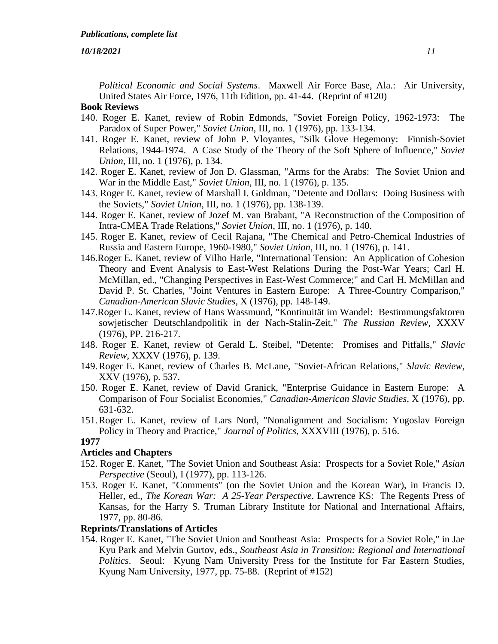*Political Economic and Social Systems*. Maxwell Air Force Base, Ala.: Air University, United States Air Force, 1976, 11th Edition, pp. 41-44. (Reprint of #120)

# **Book Reviews**

- 140. Roger E. Kanet, review of Robin Edmonds, "Soviet Foreign Policy, 1962-1973: The Paradox of Super Power," *Soviet Union*, III, no. 1 (1976), pp. 133-134.
- 141. Roger E. Kanet, review of John P. Vloyantes, "Silk Glove Hegemony: Finnish-Soviet Relations, 1944-1974. A Case Study of the Theory of the Soft Sphere of Influence," *Soviet Union*, III, no. 1 (1976), p. 134.
- 142. Roger E. Kanet, review of Jon D. Glassman, "Arms for the Arabs: The Soviet Union and War in the Middle East," *Soviet Union*, III, no. 1 (1976), p. 135.
- 143. Roger E. Kanet, review of Marshall I. Goldman, "Detente and Dollars: Doing Business with the Soviets," *Soviet Union*, III, no. 1 (1976), pp. 138-139.
- 144. Roger E. Kanet, review of Jozef M. van Brabant, "A Reconstruction of the Composition of Intra-CMEA Trade Relations," *Soviet Union*, III, no. 1 (1976), p. 140.
- 145. Roger E. Kanet, review of Cecil Rajana, "The Chemical and Petro-Chemical Industries of Russia and Eastern Europe, 1960-1980," *Soviet Union*, III, no. 1 (1976), p. 141.
- 146.Roger E. Kanet, review of Vilho Harle, "International Tension: An Application of Cohesion Theory and Event Analysis to East-West Relations During the Post-War Years; Carl H. McMillan, ed., "Changing Perspectives in East-West Commerce;" and Carl H. McMillan and David P. St. Charles, "Joint Ventures in Eastern Europe: A Three-Country Comparison," *Canadian-American Slavic Studies*, X (1976), pp. 148-149.
- 147.Roger E. Kanet, review of Hans Wassmund, "Kontinuität im Wandel: Bestimmungsfaktoren sowjetischer Deutschlandpolitik in der Nach-Stalin-Zeit," *The Russian Review*, XXXV (1976), PP. 216-217.
- 148. Roger E. Kanet, review of Gerald L. Steibel, "Detente: Promises and Pitfalls," *Slavic Review*, XXXV (1976), p. 139.
- 149.Roger E. Kanet, review of Charles B. McLane, "Soviet-African Relations," *Slavic Review*, XXV (1976), p. 537.
- 150. Roger E. Kanet, review of David Granick, "Enterprise Guidance in Eastern Europe: A Comparison of Four Socialist Economies," *Canadian-American Slavic Studies*, X (1976), pp. 631-632.
- 151.Roger E. Kanet, review of Lars Nord, "Nonalignment and Socialism: Yugoslav Foreign Policy in Theory and Practice," *Journal of Politics*, XXXVIII (1976), p. 516.

## **1977**

# **Articles and Chapters**

- 152. Roger E. Kanet, "The Soviet Union and Southeast Asia: Prospects for a Soviet Role," *Asian Perspective* (Seoul), I (1977), pp. 113-126.
- 153. Roger E. Kanet, "Comments" (on the Soviet Union and the Korean War), in Francis D. Heller, ed., *The Korean War: A 25-Year Perspective*. Lawrence KS: The Regents Press of Kansas, for the Harry S. Truman Library Institute for National and International Affairs, 1977, pp. 80-86.

### **Reprints/Translations of Articles**

154. Roger E. Kanet, "The Soviet Union and Southeast Asia: Prospects for a Soviet Role," in Jae Kyu Park and Melvin Gurtov, eds., *Southeast Asia in Transition: Regional and International Politics*. Seoul: Kyung Nam University Press for the Institute for Far Eastern Studies, Kyung Nam University, 1977, pp. 75-88. (Reprint of #152)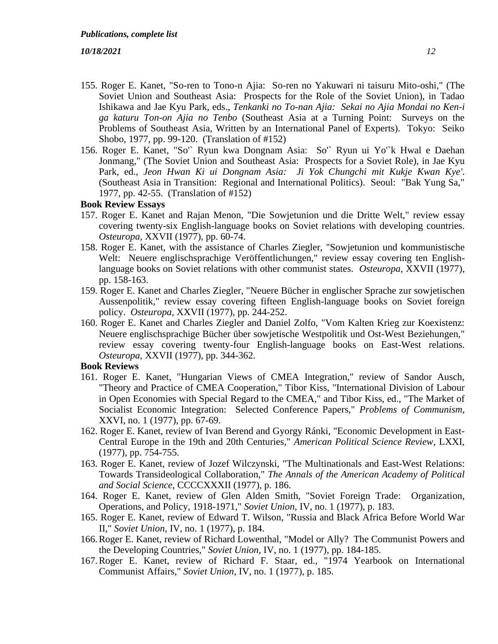- 155. Roger E. Kanet, "So-ren to Tono-n Ajia: So-ren no Yakuwari ni taisuru Mito-oshi," (The Soviet Union and Southeast Asia: Prospects for the Role of the Soviet Union), in Tadao Ishikawa and Jae Kyu Park, eds., *Tenkanki no To-nan Ajia: Sekai no Ajia Mondai no Ken-i ga katuru Ton-on Ajia no Tenbo* (Southeast Asia at a Turning Point: Surveys on the Problems of Southeast Asia, Written by an International Panel of Experts). Tokyo: Seiko Shobo, 1977, pp. 99-120. (Translation of #152)
- 156. Roger E. Kanet, "So'` Ryun kwa Dongnam Asia: So'` Ryun ui Yo'`k Hwal e Daehan Jonmang," (The Soviet Union and Southeast Asia: Prospects for a Soviet Role), in Jae Kyu Park, ed., *Jeon Hwan Ki ui Dongnam Asia: Ji Yok Chungchi mit Kukje Kwan Kye'*. (Southeast Asia in Transition: Regional and International Politics). Seoul: "Bak Yung Sa," 1977, pp. 42-55. (Translation of #152)

#### **Book Review Essays**

- 157. Roger E. Kanet and Rajan Menon, "Die Sowjetunion und die Dritte Welt," review essay covering twenty-six English-language books on Soviet relations with developing countries. *Osteuropa*, XXVII (1977), pp. 60-74.
- 158. Roger E. Kanet, with the assistance of Charles Ziegler, "Sowjetunion und kommunistische Welt: Neuere englischsprachige Veröffentlichungen," review essay covering ten Englishlanguage books on Soviet relations with other communist states. *Osteuropa*, XXVII (1977), pp. 158-163.
- 159. Roger E. Kanet and Charles Ziegler, "Neuere Bücher in englischer Sprache zur sowjetischen Aussenpolitik," review essay covering fifteen English-language books on Soviet foreign policy. *Osteuropa*, XXVII (1977), pp. 244-252.
- 160. Roger E. Kanet and Charles Ziegler and Daniel Zolfo, "Vom Kalten Krieg zur Koexistenz: Neuere englischsprachige Bücher über sowjetische Westpolitik und Ost-West Beziehungen," review essay covering twenty-four English-language books on East-West relations. *Osteuropa*, XXVII (1977), pp. 344-362.

# **Book Reviews**

- 161. Roger E. Kanet, "Hungarian Views of CMEA Integration," review of Sandor Ausch, "Theory and Practice of CMEA Cooperation," Tibor Kiss, "International Division of Labour in Open Economies with Special Regard to the CMEA," and Tibor Kiss, ed., "The Market of Socialist Economic Integration: Selected Conference Papers," *Problems of Communism*, XXVI, no. 1 (1977), pp. 67-69.
- 162. Roger E. Kanet, review of Ivan Berend and Gyorgy Ránki, "Economic Development in East-Central Europe in the 19th and 20th Centuries," *American Political Science Review*, LXXI, (1977), pp. 754-755.
- 163. Roger E. Kanet, review of Jozef Wilczynski, "The Multinationals and East-West Relations: Towards Transideological Collaboration," *The Annals of the American Academy of Political and Social Science*, CCCCXXXII (1977), p. 186.
- 164. Roger E. Kanet, review of Glen Alden Smith, "Soviet Foreign Trade: Organization, Operations, and Policy, 1918-1971," *Soviet Union*, IV, no. 1 (1977), p. 183.
- 165. Roger E. Kanet, review of Edward T. Wilson, "Russia and Black Africa Before World War II," *Soviet Union*, IV, no. 1 (1977), p. 184.
- 166.Roger E. Kanet, review of Richard Lowenthal, "Model or Ally? The Communist Powers and the Developing Countries," *Soviet Union*, IV, no. 1 (1977), pp. 184-185.
- 167.Roger E. Kanet, review of Richard F. Staar, ed., "1974 Yearbook on International Communist Affairs," *Soviet Union*, IV, no. 1 (1977), p. 185.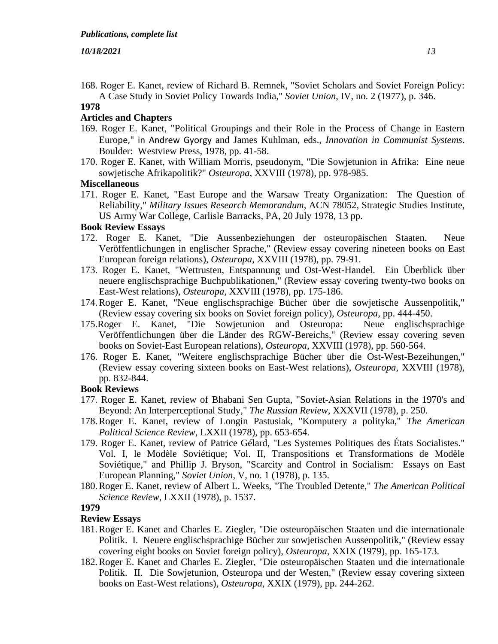168. Roger E. Kanet, review of Richard B. Remnek, "Soviet Scholars and Soviet Foreign Policy: A Case Study in Soviet Policy Towards India," *Soviet Union*, IV, no. 2 (1977), p. 346.

# **1978**

## **Articles and Chapters**

- 169. Roger E. Kanet, "Political Groupings and their Role in the Process of Change in Eastern Europe," in Andrew Gyorgy and James Kuhlman, eds., *Innovation in Communist Systems*. Boulder: Westview Press, 1978, pp. 41-58.
- 170. Roger E. Kanet, with William Morris, pseudonym, "Die Sowjetunion in Afrika: Eine neue sowjetische Afrikapolitik?" *Osteuropa*, XXVIII (1978), pp. 978-985.

# **Miscellaneous**

171. Roger E. Kanet, "East Europe and the Warsaw Treaty Organization: The Question of Reliability," *Military Issues Research Memorandum*, ACN 78052, Strategic Studies Institute, US Army War College, Carlisle Barracks, PA, 20 July 1978, 13 pp.

# **Book Review Essays**

- 172. Roger E. Kanet, "Die Aussenbeziehungen der osteuropäischen Staaten. Neue Veröffentlichungen in englischer Sprache," (Review essay covering nineteen books on East European foreign relations), *Osteuropa*, XXVIII (1978), pp. 79-91.
- 173. Roger E. Kanet, "Wettrusten, Entspannung und Ost-West-Handel. Ein Überblick über neuere englischsprachige Buchpublikationen," (Review essay covering twenty-two books on East-West relations), *Osteuropa*, XXVIII (1978), pp. 175-186.
- 174.Roger E. Kanet, "Neue englischsprachige Bücher über die sowjetische Aussenpolitik," (Review essay covering six books on Soviet foreign policy), *Osteuropa*, pp. 444-450.
- 175.Roger E. Kanet, "Die Sowjetunion and Osteuropa: Neue englischsprachige Veröffentlichungen über die Länder des RGW-Bereichs," (Review essay covering seven books on Soviet-East European relations), *Osteuropa*, XXVIII (1978), pp. 560-564.
- 176. Roger E. Kanet, "Weitere englischsprachige Bücher über die Ost-West-Bezeihungen," (Review essay covering sixteen books on East-West relations), *Osteuropa*, XXVIII (1978), pp. 832-844.

## **Book Reviews**

- 177. Roger E. Kanet, review of Bhabani Sen Gupta, "Soviet-Asian Relations in the 1970's and Beyond: An Interperceptional Study," *The Russian Review*, XXXVII (1978), p. 250.
- 178.Roger E. Kanet, review of Longin Pastusiak, "Komputery a polityka," *The American Political Science Review*, LXXII (1978), pp. 653-654.
- 179. Roger E. Kanet, review of Patrice Gélard, "Les Systemes Politiques des États Socialistes." Vol. I, le Modèle Soviétique; Vol. II, Transpositions et Transformations de Modèle Soviétique," and Phillip J. Bryson, "Scarcity and Control in Socialism: Essays on East European Planning," *Soviet Union*, V, no. 1 (1978), p. 135.
- 180.Roger E. Kanet, review of Albert L. Weeks, "The Troubled Detente," *The American Political Science Review*, LXXII (1978), p. 1537.

#### **1979**

#### **Review Essays**

- 181.Roger E. Kanet and Charles E. Ziegler, "Die osteuropäischen Staaten und die internationale Politik. I. Neuere englischsprachige Bücher zur sowjetischen Aussenpolitik," (Review essay covering eight books on Soviet foreign policy), *Osteuropa*, XXIX (1979), pp. 165-173.
- 182.Roger E. Kanet and Charles E. Ziegler, "Die osteuropäischen Staaten und die internationale Politik. II. Die Sowjetunion, Osteuropa und der Westen," (Review essay covering sixteen books on East-West relations), *Osteuropa*, XXIX (1979), pp. 244-262.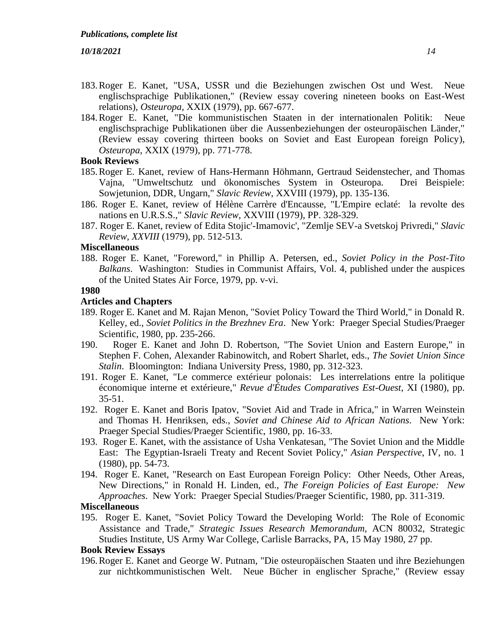- 183.Roger E. Kanet, "USA, USSR und die Beziehungen zwischen Ost und West. Neue englischsprachige Publikationen," (Review essay covering nineteen books on East-West relations), *Osteuropa*, XXIX (1979), pp. 667-677.
- 184.Roger E. Kanet, "Die kommunistischen Staaten in der internationalen Politik: Neue englischsprachige Publikationen über die Aussenbeziehungen der osteuropäischen Länder," (Review essay covering thirteen books on Soviet and East European foreign Policy), *Osteuropa*, XXIX (1979), pp. 771-778.

## **Book Reviews**

- 185.Roger E. Kanet, review of Hans-Hermann Höhmann, Gertraud Seidenstecher, and Thomas Vajna, "Umweltschutz und ökonomisches System in Osteuropa. Drei Beispiele: Sowjetunion, DDR, Ungarn," *Slavic Review*, XXVIII (1979), pp. 135-136.
- 186. Roger E. Kanet, review of Hélène Carrère d'Encausse, "L'Empire eclaté: la revolte des nations en U.R.S.S.," *Slavic Review*, XXVIII (1979), PP. 328-329.
- 187. Roger E. Kanet, review of Edita Stojic'-Imamovic', "Zemlje SEV-a Svetskoj Privredi," *Slavic Review, XXVIII* (1979), pp. 512-513.

# **Miscellaneous**

188. Roger E. Kanet, "Foreword," in Phillip A. Petersen, ed., *Soviet Policy in the Post-Tito Balkans*. Washington: Studies in Communist Affairs, Vol. 4, published under the auspices of the United States Air Force, 1979, pp. v-vi.

#### **1980**

#### **Articles and Chapters**

- 189. Roger E. Kanet and M. Rajan Menon, "Soviet Policy Toward the Third World," in Donald R. Kelley, ed., *Soviet Politics in the Brezhnev Era*. New York: Praeger Special Studies/Praeger Scientific, 1980, pp. 235-266.
- 190. Roger E. Kanet and John D. Robertson, "The Soviet Union and Eastern Europe," in Stephen F. Cohen, Alexander Rabinowitch, and Robert Sharlet, eds., *The Soviet Union Since Stalin*. Bloomington: Indiana University Press, 1980, pp. 312-323.
- 191. Roger E. Kanet, "Le commerce extérieur polonais: Les interrelations entre la politique économique interne et extérieure," *Revue d'Études Comparatives Est-Ouest*, XI (1980), pp. 35-51.
- 192. Roger E. Kanet and Boris Ipatov, "Soviet Aid and Trade in Africa," in Warren Weinstein and Thomas H. Henriksen, eds., *Soviet and Chinese Aid to African Nations*. New York: Praeger Special Studies/Praeger Scientific, 1980, pp. 16-33.
- 193. Roger E. Kanet, with the assistance of Usha Venkatesan, "The Soviet Union and the Middle East: The Egyptian-Israeli Treaty and Recent Soviet Policy," *Asian Perspective*, IV, no. 1 (1980), pp. 54-73.
- 194. Roger E. Kanet, "Research on East European Foreign Policy: Other Needs, Other Areas, New Directions," in Ronald H. Linden, ed., *The Foreign Policies of East Europe: New Approaches*. New York: Praeger Special Studies/Praeger Scientific, 1980, pp. 311-319.

#### **Miscellaneous**

195. Roger E. Kanet, "Soviet Policy Toward the Developing World: The Role of Economic Assistance and Trade," *Strategic Issues Research Memorandum*, ACN 80032, Strategic Studies Institute, US Army War College, Carlisle Barracks, PA, 15 May 1980, 27 pp.

## **Book Review Essays**

196.Roger E. Kanet and George W. Putnam, "Die osteuropäischen Staaten und ihre Beziehungen zur nichtkommunistischen Welt. Neue Bücher in englischer Sprache," (Review essay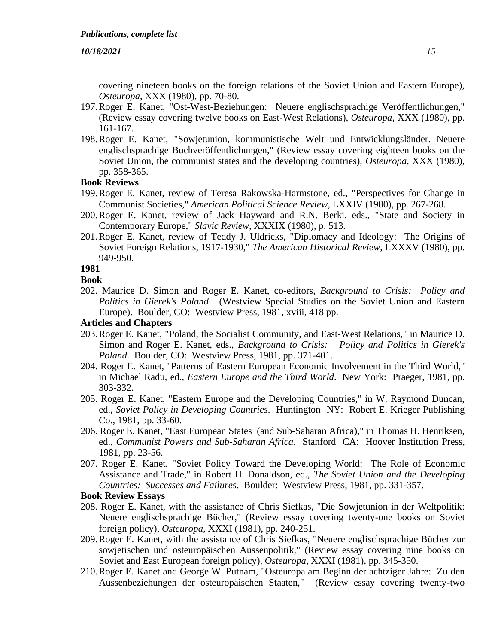covering nineteen books on the foreign relations of the Soviet Union and Eastern Europe), *Osteuropa*, XXX (1980), pp. 70-80.

- 197.Roger E. Kanet, "Ost-West-Beziehungen: Neuere englischsprachige Veröffentlichungen," (Review essay covering twelve books on East-West Relations), *Osteuropa*, XXX (1980), pp. 161-167.
- 198.Roger E. Kanet, "Sowjetunion, kommunistische Welt und Entwicklungsländer. Neuere englischsprachige Buchveröffentlichungen," (Review essay covering eighteen books on the Soviet Union, the communist states and the developing countries), *Osteuropa*, XXX (1980), pp. 358-365.

# **Book Reviews**

- 199.Roger E. Kanet, review of Teresa Rakowska-Harmstone, ed., "Perspectives for Change in Communist Societies," *American Political Science Review*, LXXIV (1980), pp. 267-268.
- 200.Roger E. Kanet, review of Jack Hayward and R.N. Berki, eds., "State and Society in Contemporary Europe," *Slavic Review*, XXXIX (1980), p. 513.
- 201.Roger E. Kanet, review of Teddy J. Uldricks, "Diplomacy and Ideology: The Origins of Soviet Foreign Relations, 1917-1930," *The American Historical Review*, LXXXV (1980), pp. 949-950.

# **1981**

# **Book**

202. Maurice D. Simon and Roger E. Kanet, co-editors, *Background to Crisis: Policy and Politics in Gierek's Poland*. (Westview Special Studies on the Soviet Union and Eastern Europe). Boulder, CO: Westview Press, 1981, xviii, 418 pp.

## **Articles and Chapters**

- 203.Roger E. Kanet, "Poland, the Socialist Community, and East-West Relations," in Maurice D. Simon and Roger E. Kanet, eds., *Background to Crisis: Policy and Politics in Gierek's Poland*. Boulder, CO: Westview Press, 1981, pp. 371-401.
- 204. Roger E. Kanet, "Patterns of Eastern European Economic Involvement in the Third World," in Michael Radu, ed., *Eastern Europe and the Third World*. New York: Praeger, 1981, pp. 303-332.
- 205. Roger E. Kanet, "Eastern Europe and the Developing Countries," in W. Raymond Duncan, ed., *Soviet Policy in Developing Countries*. Huntington NY: Robert E. Krieger Publishing Co., 1981, pp. 33-60.
- 206. Roger E. Kanet, "East European States (and Sub-Saharan Africa)," in Thomas H. Henriksen, ed., *Communist Powers and Sub-Saharan Africa*. Stanford CA: Hoover Institution Press, 1981, pp. 23-56.
- 207. Roger E. Kanet, "Soviet Policy Toward the Developing World: The Role of Economic Assistance and Trade," in Robert H. Donaldson, ed., *The Soviet Union and the Developing Countries: Successes and Failures*. Boulder: Westview Press, 1981, pp. 331-357.

- 208. Roger E. Kanet, with the assistance of Chris Siefkas, "Die Sowjetunion in der Weltpolitik: Neuere englischsprachige Bücher," (Review essay covering twenty-one books on Soviet foreign policy), *Osteuropa*, XXXI (1981), pp. 240-251.
- 209.Roger E. Kanet, with the assistance of Chris Siefkas, "Neuere englischsprachige Bücher zur sowjetischen und osteuropäischen Aussenpolitik," (Review essay covering nine books on Soviet and East European foreign policy), *Osteuropa*, XXXI (1981), pp. 345-350.
- 210.Roger E. Kanet and George W. Putnam, "Osteuropa am Beginn der achtziger Jahre: Zu den Aussenbeziehungen der osteuropäischen Staaten," (Review essay covering twenty-two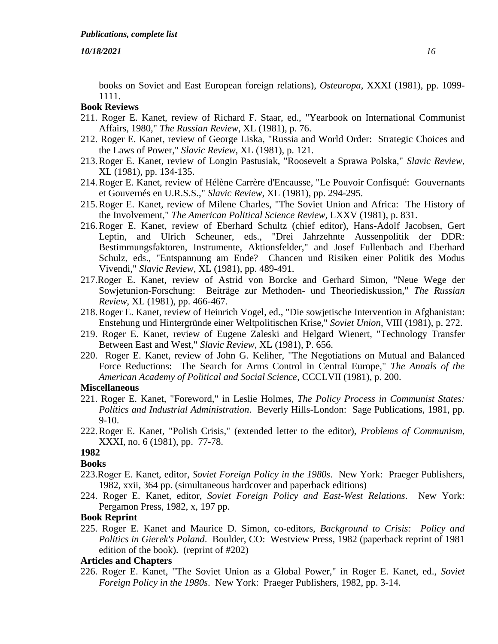books on Soviet and East European foreign relations), *Osteuropa*, XXXI (1981), pp. 1099- 1111.

# **Book Reviews**

- 211. Roger E. Kanet, review of Richard F. Staar, ed., "Yearbook on International Communist Affairs, 1980," *The Russian Review*, XL (1981), p. 76.
- 212. Roger E. Kanet, review of George Liska, "Russia and World Order: Strategic Choices and the Laws of Power," *Slavic Review*, XL (1981), p. 121.
- 213.Roger E. Kanet, review of Longin Pastusiak, "Roosevelt a Sprawa Polska," *Slavic Review*, XL (1981), pp. 134-135.
- 214.Roger E. Kanet, review of Hélène Carrère d'Encausse, "Le Pouvoir Confisqué: Gouvernants et Gouvernés en U.R.S.S.," *Slavic Review*, XL (1981), pp. 294-295.
- 215.Roger E. Kanet, review of Milene Charles, "The Soviet Union and Africa: The History of the Involvement," *The American Political Science Review*, LXXV (1981), p. 831.
- 216.Roger E. Kanet, review of Eberhard Schultz (chief editor), Hans-Adolf Jacobsen, Gert Leptin, and Ulrich Scheuner, eds., "Drei Jahrzehnte Aussenpolitik der DDR: Bestimmungsfaktoren, Instrumente, Aktionsfelder," and Josef Fullenbach and Eberhard Schulz, eds., "Entspannung am Ende? Chancen und Risiken einer Politik des Modus Vivendi," *Slavic Review*, XL (1981), pp. 489-491.
- 217.Roger E. Kanet, review of Astrid von Borcke and Gerhard Simon, "Neue Wege der Sowjetunion-Forschung: Beiträge zur Methoden- und Theoriediskussion," *The Russian Review*, XL (1981), pp. 466-467.
- 218.Roger E. Kanet, review of Heinrich Vogel, ed., "Die sowjetische Intervention in Afghanistan: Enstehung und Hintergründe einer Weltpolitischen Krise," *Soviet Union*, VIII (1981), p. 272.
- 219. Roger E. Kanet, review of Eugene Zaleski and Helgard Wienert, "Technology Transfer Between East and West," *Slavic Review*, XL (1981), P. 656.
- 220. Roger E. Kanet, review of John G. Keliher, "The Negotiations on Mutual and Balanced Force Reductions: The Search for Arms Control in Central Europe," *The Annals of the American Academy of Political and Social Science*, CCCLVII (1981), p. 200.

#### **Miscellaneous**

- 221. Roger E. Kanet, "Foreword," in Leslie Holmes, *The Policy Process in Communist States: Politics and Industrial Administration*. Beverly Hills-London: Sage Publications, 1981, pp. 9-10.
- 222.Roger E. Kanet, "Polish Crisis," (extended letter to the editor), *Problems of Communism*, XXXI, no. 6 (1981), pp. 77-78.

#### **1982**

## **Books**

- 223.Roger E. Kanet, editor, *Soviet Foreign Policy in the 1980s*. New York: Praeger Publishers, 1982, xxii, 364 pp. (simultaneous hardcover and paperback editions)
- 224. Roger E. Kanet, editor, *Soviet Foreign Policy and East-West Relations*. New York: Pergamon Press, 1982, x, 197 pp.

#### **Book Reprint**

225. Roger E. Kanet and Maurice D. Simon, co-editors, *Background to Crisis: Policy and Politics in Gierek's Poland*. Boulder, CO: Westview Press, 1982 (paperback reprint of 1981 edition of the book). (reprint of #202)

## **Articles and Chapters**

226. Roger E. Kanet, "The Soviet Union as a Global Power," in Roger E. Kanet, ed., *Soviet Foreign Policy in the 1980s*. New York: Praeger Publishers, 1982, pp. 3-14.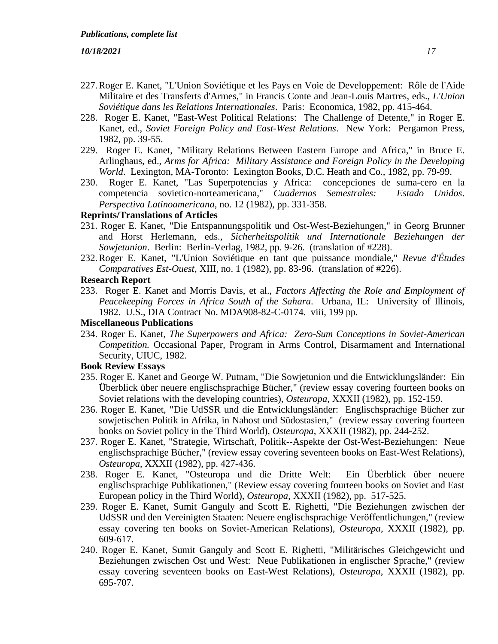- 227.Roger E. Kanet, "L'Union Soviétique et les Pays en Voie de Developpement: Rôle de l'Aide Militaire et des Transferts d'Armes," in Francis Conte and Jean-Louis Martres, eds., *L'Union Soviétique dans les Relations Internationales*. Paris: Economica, 1982, pp. 415-464.
- 228. Roger E. Kanet, "East-West Political Relations: The Challenge of Detente," in Roger E. Kanet, ed., *Soviet Foreign Policy and East-West Relations*. New York: Pergamon Press, 1982, pp. 39-55.
- 229. Roger E. Kanet, "Military Relations Between Eastern Europe and Africa," in Bruce E. Arlinghaus, ed., *Arms for Africa: Military Assistance and Foreign Policy in the Developing World*. Lexington, MA-Toronto: Lexington Books, D.C. Heath and Co., 1982, pp. 79-99.
- 230. Roger E. Kanet, "Las Superpotencias y Africa: concepciones de suma-cero en la competencia sovietico-norteamericana," *Cuadernos Semestrales: Estado Unidos*. *Perspectiva Latinoamericana*, no. 12 (1982), pp. 331-358.

## **Reprints/Translations of Articles**

- 231. Roger E. Kanet, "Die Entspannungspolitik und Ost-West-Beziehungen," in Georg Brunner and Horst Herlemann, eds., *Sicherheitspolitik und Internationale Beziehungen der Sowjetunion*. Berlin: Berlin-Verlag, 1982, pp. 9-26. (translation of #228).
- 232.Roger E. Kanet, "L'Union Soviétique en tant que puissance mondiale," *Revue d'Études Comparatives Est-Ouest*, XIII, no. 1 (1982), pp. 83-96. (translation of #226).

## **Research Report**

233. Roger E. Kanet and Morris Davis, et al., *Factors Affecting the Role and Employment of Peacekeeping Forces in Africa South of the Sahara*. Urbana, IL: University of Illinois, 1982. U.S., DIA Contract No. MDA908-82-C-0174. viii, 199 pp.

## **Miscellaneous Publications**

234. Roger E. Kanet, *The Superpowers and Africa: Zero-Sum Conceptions in Soviet-American Competition.* Occasional Paper, Program in Arms Control, Disarmament and International Security, UIUC, 1982.

- 235. Roger E. Kanet and George W. Putnam, "Die Sowjetunion und die Entwicklungsländer: Ein Überblick über neuere englischsprachige Bücher," (review essay covering fourteen books on Soviet relations with the developing countries), *Osteuropa*, XXXII (1982), pp. 152-159.
- 236. Roger E. Kanet, "Die UdSSR und die Entwicklungsländer: Englischsprachige Bücher zur sowjetischen Politik in Afrika, in Nahost und Südostasien," (review essay covering fourteen books on Soviet policy in the Third World), *Osteuropa*, XXXII (1982), pp. 244-252.
- 237. Roger E. Kanet, "Strategie, Wirtschaft, Politik--Aspekte der Ost-West-Beziehungen: Neue englischsprachige Bücher," (review essay covering seventeen books on East-West Relations), *Osteuropa*, XXXII (1982), pp. 427-436.
- 238. Roger E. Kanet, "Osteuropa und die Dritte Welt: Ein Überblick über neuere englischsprachige Publikationen," (Review essay covering fourteen books on Soviet and East European policy in the Third World), *Osteuropa*, XXXII (1982), pp. 517-525.
- 239. Roger E. Kanet, Sumit Ganguly and Scott E. Righetti, "Die Beziehungen zwischen der UdSSR und den Vereinigten Staaten: Neuere englischsprachige Veröffentlichungen," (review essay covering ten books on Soviet-American Relations), *Osteuropa*, XXXII (1982), pp. 609-617.
- 240. Roger E. Kanet, Sumit Ganguly and Scott E. Righetti, "Militärisches Gleichgewicht und Beziehungen zwischen Ost und West: Neue Publikationen in englischer Sprache," (review essay covering seventeen books on East-West Relations), *Osteuropa*, XXXII (1982), pp. 695-707.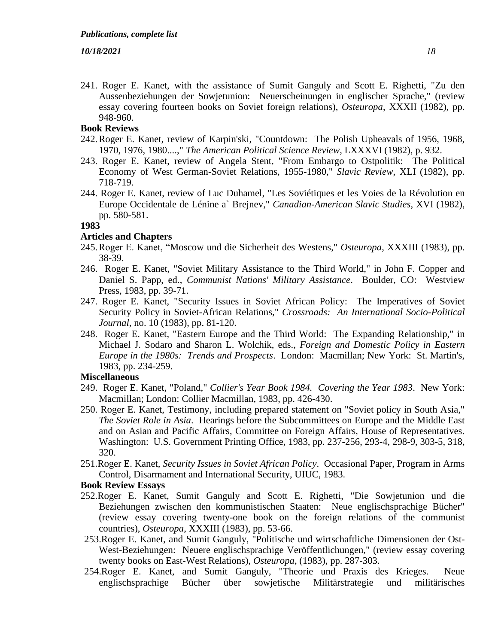241. Roger E. Kanet, with the assistance of Sumit Ganguly and Scott E. Righetti, "Zu den Aussenbeziehungen der Sowjetunion: Neuerscheinungen in englischer Sprache," (review essay covering fourteen books on Soviet foreign relations), *Osteuropa*, XXXII (1982), pp. 948-960.

# **Book Reviews**

- 242.Roger E. Kanet, review of Karpin'ski, "Countdown: The Polish Upheavals of 1956, 1968, 1970, 1976, 1980....," *The American Political Science Review*, LXXXVI (1982), p. 932.
- 243. Roger E. Kanet, review of Angela Stent, "From Embargo to Ostpolitik: The Political Economy of West German-Soviet Relations, 1955-1980," *Slavic Review*, XLI (1982), pp. 718-719.
- 244. Roger E. Kanet, review of Luc Duhamel, "Les Soviétiques et les Voies de la Révolution en Europe Occidentale de Lénine a` Brejnev," *Canadian-American Slavic Studies*, XVI (1982), pp. 580-581.

# **1983**

# **Articles and Chapters**

- 245.Roger E. Kanet, "Moscow und die Sicherheit des Westens," *Osteuropa*, XXXIII (1983), pp. 38-39.
- 246. Roger E. Kanet, "Soviet Military Assistance to the Third World," in John F. Copper and Daniel S. Papp, ed., *Communist Nations' Military Assistance*. Boulder, CO: Westview Press, 1983, pp. 39-71.
- 247. Roger E. Kanet, "Security Issues in Soviet African Policy: The Imperatives of Soviet Security Policy in Soviet-African Relations," *Crossroads: An International Socio-Political Journal*, no. 10 (1983), pp. 81-120.
- 248. Roger E. Kanet, "Eastern Europe and the Third World: The Expanding Relationship," in Michael J. Sodaro and Sharon L. Wolchik, eds., *Foreign and Domestic Policy in Eastern Europe in the 1980s: Trends and Prospects*. London: Macmillan; New York: St. Martin's, 1983, pp. 234-259.

# **Miscellaneous**

- 249. Roger E. Kanet, "Poland," *Collier's Year Book 1984. Covering the Year 1983*. New York: Macmillan; London: Collier Macmillan, 1983, pp. 426-430.
- 250. Roger E. Kanet, Testimony, including prepared statement on "Soviet policy in South Asia," *The Soviet Role in Asia*. Hearings before the Subcommittees on Europe and the Middle East and on Asian and Pacific Affairs, Committee on Foreign Affairs, House of Representatives. Washington: U.S. Government Printing Office, 1983, pp. 237-256, 293-4, 298-9, 303-5, 318, 320.
- 251.Roger E. Kanet, *Security Issues in Soviet African Policy*. Occasional Paper, Program in Arms Control, Disarmament and International Security, UIUC, 1983.

- 252.Roger E. Kanet, Sumit Ganguly and Scott E. Righetti, "Die Sowjetunion und die Beziehungen zwischen den kommunistischen Staaten: Neue englischsprachige Bücher" (review essay covering twenty-one book on the foreign relations of the communist countries), *Osteuropa*, XXXIII (1983), pp. 53-66.
- 253.Roger E. Kanet, and Sumit Ganguly, "Politische und wirtschaftliche Dimensionen der Ost-West-Beziehungen: Neuere englischsprachige Veröffentlichungen," (review essay covering twenty books on East-West Relations), *Osteuropa*, (1983), pp. 287-303.
- 254.Roger E. Kanet, and Sumit Ganguly, "Theorie und Praxis des Krieges. Neue englischsprachige Bücher über sowjetische Militärstrategie und militärisches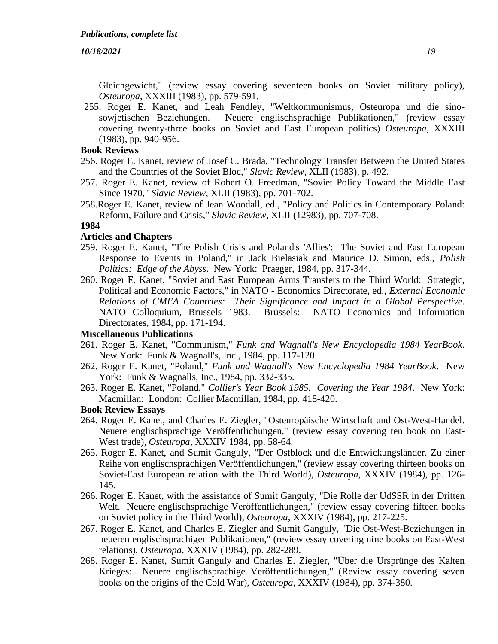Gleichgewicht," (review essay covering seventeen books on Soviet military policy), *Osteuropa*, XXXIII (1983), pp. 579-591.

255. Roger E. Kanet, and Leah Fendley, "Weltkommunismus, Osteuropa und die sinosowjetischen Beziehungen. Neuere englischsprachige Publikationen," (review essay covering twenty-three books on Soviet and East European politics) *Osteuropa*, XXXIII (1983), pp. 940-956.

# **Book Reviews**

- 256. Roger E. Kanet, review of Josef C. Brada, "Technology Transfer Between the United States and the Countries of the Soviet Bloc," *Slavic Review*, XLII (1983), p. 492.
- 257. Roger E. Kanet, review of Robert O. Freedman, "Soviet Policy Toward the Middle East Since 1970," *Slavic Review*, XLII (1983), pp. 701-702.
- 258.Roger E. Kanet, review of Jean Woodall, ed., "Policy and Politics in Contemporary Poland: Reform, Failure and Crisis," *Slavic Review*, XLII (12983), pp. 707-708.

#### **1984**

## **Articles and Chapters**

- 259. Roger E. Kanet, "The Polish Crisis and Poland's 'Allies': The Soviet and East European Response to Events in Poland," in Jack Bielasiak and Maurice D. Simon, eds., *Polish Politics: Edge of the Abyss*. New York: Praeger, 1984, pp. 317-344.
- 260. Roger E. Kanet, "Soviet and East European Arms Transfers to the Third World: Strategic, Political and Economic Factors," in NATO - Economics Directorate, ed., *External Economic Relations of CMEA Countries: Their Significance and Impact in a Global Perspective*. NATO Colloquium, Brussels 1983. Brussels: NATO Economics and Information Directorates, 1984, pp. 171-194.

# **Miscellaneous Publications**

- 261. Roger E. Kanet, "Communism," *Funk and Wagnall's New Encyclopedia 1984 YearBook*. New York: Funk & Wagnall's, Inc., 1984, pp. 117-120.
- 262. Roger E. Kanet, "Poland," *Funk and Wagnall's New Encyclopedia 1984 YearBook*. New York: Funk & Wagnalls, Inc., 1984, pp. 332-335.
- 263. Roger E. Kanet, "Poland," *Collier's Year Book 1985. Covering the Year 1984*. New York: Macmillan: London: Collier Macmillan, 1984, pp. 418-420.

- 264. Roger E. Kanet, and Charles E. Ziegler, "Osteuropäische Wirtschaft und Ost-West-Handel. Neuere englischsprachige Veröffentlichungen," (review essay covering ten book on East-West trade), *Osteuropa*, XXXIV 1984, pp. 58-64.
- 265. Roger E. Kanet, and Sumit Ganguly, "Der Ostblock und die Entwickungsländer. Zu einer Reihe von englischsprachigen Veröffentlichungen," (review essay covering thirteen books on Soviet-East European relation with the Third World), *Osteuropa*, XXXIV (1984), pp. 126- 145.
- 266. Roger E. Kanet, with the assistance of Sumit Ganguly, "Die Rolle der UdSSR in der Dritten Welt. Neuere englischsprachige Veröffentlichungen," (review essay covering fifteen books on Soviet policy in the Third World), *Osteuropa*, XXXIV (1984), pp. 217-225.
- 267. Roger E. Kanet, and Charles E. Ziegler and Sumit Ganguly, "Die Ost-West-Beziehungen in neueren englischsprachigen Publikationen," (review essay covering nine books on East-West relations), *Osteuropa*, XXXIV (1984), pp. 282-289.
- 268. Roger E. Kanet, Sumit Ganguly and Charles E. Ziegler, "Über die Ursprünge des Kalten Krieges: Neuere englischsprachige Veröffentlichungen," (Review essay covering seven books on the origins of the Cold War), *Osteuropa*, XXXIV (1984), pp. 374-380.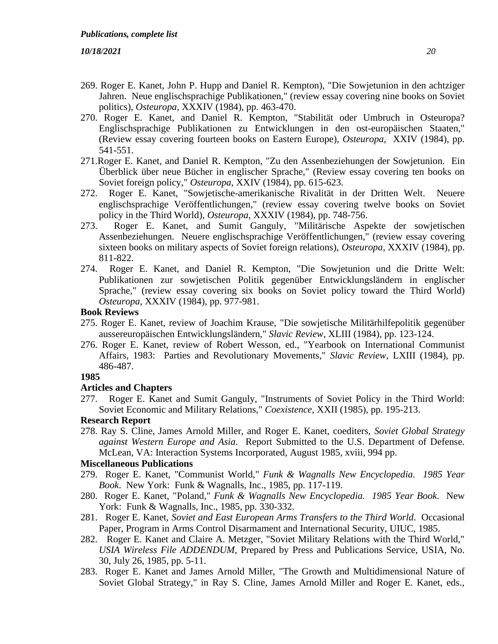- 269. Roger E. Kanet, John P. Hupp and Daniel R. Kempton), "Die Sowjetunion in den achtziger Jahren. Neue englischsprachige Publikationen," (review essay covering nine books on Soviet politics), *Osteuropa*, XXXIV (1984), pp. 463-470.
- 270. Roger E. Kanet, and Daniel R. Kempton, "Stabilität oder Umbruch in Osteuropa? Englischsprachige Publikationen zu Entwicklungen in den ost-europäischen Staaten," (Review essay covering fourteen books on Eastern Europe), *Osteuropa*, XXIV (1984), pp. 541-551.
- 271.Roger E. Kanet, and Daniel R. Kempton, "Zu den Assenbeziehungen der Sowjetunion. Ein Überblick über neue Bücher in englischer Sprache," (Review essay covering ten books on Soviet foreign policy," *Osteuropa*, XXIV (1984), pp. 615-623.
- 272. Roger E. Kanet, "Sowjetische-amerikanische Rivalität in der Dritten Welt. Neuere englischsprachige Veröffentlichungen," (review essay covering twelve books on Soviet policy in the Third World), *Osteuropa*, XXXIV (1984), pp. 748-756.
- 273. Roger E. Kanet, and Sumit Ganguly, "Militärische Aspekte der sowjetischen Assenbeziehungen. Neuere englischsprachige Veröffentlichungen," (review essay covering sixteen books on military aspects of Soviet foreign relations), *Osteuropa*, XXXIV (1984), pp. 811-822.
- 274. Roger E. Kanet, and Daniel R. Kempton, "Die Sowjetunion und die Dritte Welt: Publikationen zur sowjetischen Politik gegenüber Entwicklungsländern in englischer Sprache," (review essay covering six books on Soviet policy toward the Third World) *Osteuropa*, XXXIV (1984), pp. 977-981.

#### **Book Reviews**

- 275. Roger E. Kanet, review of Joachim Krause, "Die sowjetische Militärhilfepolitik gegenüber aussereuropäischen Entwicklungsländern," *Slavic Review*, XLIII (1984), pp. 123-124.
- 276. Roger E. Kanet, review of Robert Wesson, ed., "Yearbook on International Communist Affairs, 1983: Parties and Revolutionary Movements," *Slavic Review*, LXIII (1984), pp. 486-487.

# **1985**

#### **Articles and Chapters**

277. Roger E. Kanet and Sumit Ganguly, "Instruments of Soviet Policy in the Third World: Soviet Economic and Military Relations," *Coexistence*, XXII (1985), pp. 195-213.

## **Research Report**

278. Ray S. Cline, James Arnold Miller, and Roger E. Kanet, coediters, *Soviet Global Strategy against Western Europe and Asia*. Report Submitted to the U.S. Department of Defense. McLean, VA: Interaction Systems Incorporated, August 1985, xviii, 994 pp.

## **Miscellaneous Publications**

- 279. Roger E. Kanet, "Communist World," *Funk & Wagnalls New Encyclopedia. 1985 Year Book*. New York: Funk & Wagnalls, Inc., 1985, pp. 117-119.
- 280. Roger E. Kanet, "Poland," *Funk & Wagnalls New Encyclopedia. 1985 Year Book*. New York: Funk & Wagnalls, Inc., 1985, pp. 330-332.
- 281. Roger E. Kanet, *Soviet and East European Arms Transfers to the Third World*. Occasional Paper, Program in Arms Control Disarmament and International Security, UIUC, 1985.
- 282. Roger E. Kanet and Claire A. Metzger, "Soviet Military Relations with the Third World," *USIA Wireless File ADDENDUM*, Prepared by Press and Publications Service, USIA, No. 30, July 26, 1985, pp. 5-11.
- 283. Roger E. Kanet and James Arnold Miller, "The Growth and Multidimensional Nature of Soviet Global Strategy," in Ray S. Cline, James Arnold Miller and Roger E. Kanet, eds.,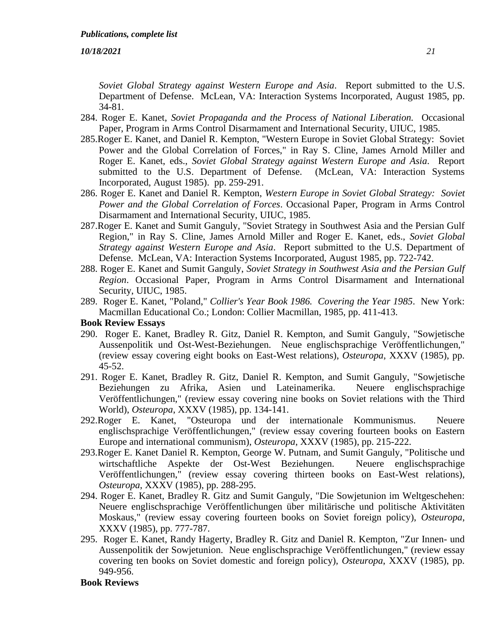*Soviet Global Strategy against Western Europe and Asia*. Report submitted to the U.S. Department of Defense. McLean, VA: Interaction Systems Incorporated, August 1985, pp. 34-81.

- 284. Roger E. Kanet, *Soviet Propaganda and the Process of National Liberation.* Occasional Paper, Program in Arms Control Disarmament and International Security, UIUC, 1985.
- 285.Roger E. Kanet, and Daniel R. Kempton, "Western Europe in Soviet Global Strategy: Soviet Power and the Global Correlation of Forces," in Ray S. Cline, James Arnold Miller and Roger E. Kanet, eds., *Soviet Global Strategy against Western Europe and Asia*. Report submitted to the U.S. Department of Defense. (McLean, VA: Interaction Systems Incorporated, August 1985). pp. 259-291.
- 286. Roger E. Kanet and Daniel R. Kempton, *Western Europe in Soviet Global Strategy: Soviet Power and the Global Correlation of Forces*. Occasional Paper, Program in Arms Control Disarmament and International Security, UIUC, 1985.
- 287.Roger E. Kanet and Sumit Ganguly, "Soviet Strategy in Southwest Asia and the Persian Gulf Region," in Ray S. Cline, James Arnold Miller and Roger E. Kanet, eds., *Soviet Global Strategy against Western Europe and Asia*. Report submitted to the U.S. Department of Defense. McLean, VA: Interaction Systems Incorporated, August 1985, pp. 722-742.
- 288. Roger E. Kanet and Sumit Ganguly, *Soviet Strategy in Southwest Asia and the Persian Gulf Region*. Occasional Paper, Program in Arms Control Disarmament and International Security, UIUC, 1985.
- 289. Roger E. Kanet, "Poland," *Collier's Year Book 1986. Covering the Year 1985*. New York: Macmillan Educational Co.; London: Collier Macmillan, 1985, pp. 411-413.

#### **Book Review Essays**

- 290. Roger E. Kanet, Bradley R. Gitz, Daniel R. Kempton, and Sumit Ganguly, "Sowjetische Aussenpolitik und Ost-West-Beziehungen. Neue englischsprachige Veröffentlichungen," (review essay covering eight books on East-West relations), *Osteuropa*, XXXV (1985), pp. 45-52.
- 291. Roger E. Kanet, Bradley R. Gitz, Daniel R. Kempton, and Sumit Ganguly, "Sowjetische Beziehungen zu Afrika, Asien und Lateinamerika. Neuere englischsprachige Veröffentlichungen," (review essay covering nine books on Soviet relations with the Third World), *Osteuropa*, XXXV (1985), pp. 134-141.
- 292.Roger E. Kanet, "Osteuropa und der internationale Kommunismus. Neuere englischsprachige Veröffentlichungen," (review essay covering fourteen books on Eastern Europe and international communism), *Osteuropa*, XXXV (1985), pp. 215-222.
- 293.Roger E. Kanet Daniel R. Kempton, George W. Putnam, and Sumit Ganguly, "Politische und wirtschaftliche Aspekte der Ost-West Beziehungen. Neuere englischsprachige Veröffentlichungen," (review essay covering thirteen books on East-West relations), *Osteuropa*, XXXV (1985), pp. 288-295.
- 294. Roger E. Kanet, Bradley R. Gitz and Sumit Ganguly, "Die Sowjetunion im Weltgeschehen: Neuere englischsprachige Veröffentlichungen über militärische und politische Aktivitäten Moskaus," (review essay covering fourteen books on Soviet foreign policy), *Osteuropa*, XXXV (1985), pp. 777-787.
- 295. Roger E. Kanet, Randy Hagerty, Bradley R. Gitz and Daniel R. Kempton, "Zur Innen- und Aussenpolitik der Sowjetunion. Neue englischsprachige Veröffentlichungen," (review essay covering ten books on Soviet domestic and foreign policy), *Osteuropa*, XXXV (1985), pp. 949-956.

#### **Book Reviews**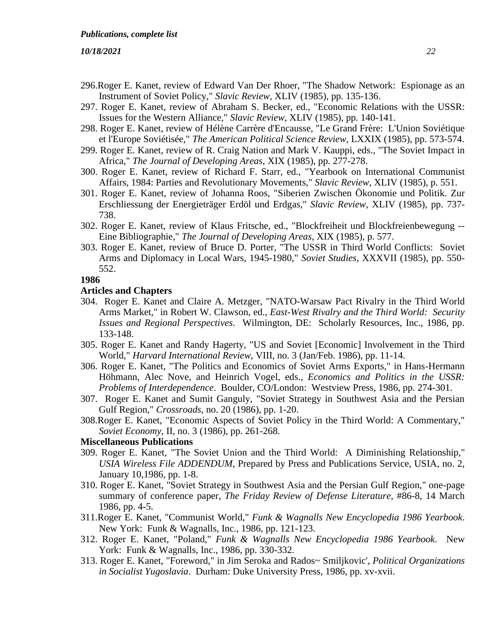- 296.Roger E. Kanet, review of Edward Van Der Rhoer, "The Shadow Network: Espionage as an Instrument of Soviet Policy," *Slavic Review*, XLIV (1985), pp. 135-136.
- 297. Roger E. Kanet, review of Abraham S. Becker, ed., "Economic Relations with the USSR: Issues for the Western Alliance," *Slavic Review*, XLIV (1985), pp. 140-141.
- 298. Roger E. Kanet, review of Hélène Carrère d'Encausse, "Le Grand Frère: L'Union Soviétique et l'Europe Soviétisée," *The American Political Science Review*, LXXIX (1985), pp. 573-574.
- 299. Roger E. Kanet, review of R. Craig Nation and Mark V. Kauppi, eds., "The Soviet Impact in Africa," *The Journal of Developing Areas*, XIX (1985), pp. 277-278.
- 300. Roger E. Kanet, review of Richard F. Starr, ed., "Yearbook on International Communist Affairs, 1984: Parties and Revolutionary Movements," *Slavic Review*, XLIV (1985), p. 551.
- 301. Roger E. Kanet, review of Johanna Roos, "Siberien Zwischen Ökonomie und Politik. Zur Erschliessung der Energieträger Erdöl und Erdgas," *Slavic Review*, XLIV (1985), pp. 737- 738.
- 302. Roger E. Kanet, review of Klaus Fritsche, ed., "Blockfreiheit und Blockfreienbewegung -- Eine Bibliographie," *The Journal of Developing Areas*, XIX (1985), p. 577.
- 303. Roger E. Kanet, review of Bruce D. Porter, "The USSR in Third World Conflicts: Soviet Arms and Diplomacy in Local Wars, 1945-1980," *Soviet Studies*, XXXVII (1985), pp. 550- 552.

#### **1986**

#### **Articles and Chapters**

- 304. Roger E. Kanet and Claire A. Metzger, "NATO-Warsaw Pact Rivalry in the Third World Arms Market," in Robert W. Clawson, ed., *East-West Rivalry and the Third World: Security Issues and Regional Perspectives*. Wilmington, DE: Scholarly Resources, Inc., 1986, pp. 133-148.
- 305. Roger E. Kanet and Randy Hagerty, "US and Soviet [Economic] Involvement in the Third World," *Harvard International Review*, VIII, no. 3 (Jan/Feb. 1986), pp. 11-14.
- 306. Roger E. Kanet, "The Politics and Economics of Soviet Arms Exports," in Hans-Hermann Höhmann, Alec Nove, and Heinrich Vogel, eds., *Economics and Politics in the USSR: Problems of Interdependence*. Boulder, CO/London: Westview Press, 1986, pp. 274-301.
- 307. Roger E. Kanet and Sumit Ganguly, "Soviet Strategy in Southwest Asia and the Persian Gulf Region," *Crossroads*, no. 20 (1986), pp. 1-20.
- 308.Roger E. Kanet, "Economic Aspects of Soviet Policy in the Third World: A Commentary," *Soviet Economy*, II, no. 3 (1986), pp. 261-268.

## **Miscellaneous Publications**

- 309. Roger E. Kanet, "The Soviet Union and the Third World: A Diminishing Relationship," *USIA Wireless File ADDENDUM*, Prepared by Press and Publications Service, USIA, no. 2, January 10,1986, pp. 1-8.
- 310. Roger E. Kanet, "Soviet Strategy in Southwest Asia and the Persian Gulf Region," one-page summary of conference paper, *The Friday Review of Defense Literature*, #86-8, 14 March 1986, pp. 4-5.
- 311.Roger E. Kanet, "Communist World," *Funk & Wagnalls New Encyclopedia 1986 Yearbook*. New York: Funk & Wagnalls, Inc., 1986, pp. 121-123.
- 312. Roger E. Kanet, "Poland," *Funk & Wagnalls New Encyclopedia 1986 Yearbook*. New York: Funk & Wagnalls, Inc., 1986, pp. 330-332.
- 313. Roger E. Kanet, "Foreword," in Jim Seroka and Rados~ Smiljkovic', *Political Organizations in Socialist Yugoslavia*. Durham: Duke University Press, 1986, pp. xv-xvii.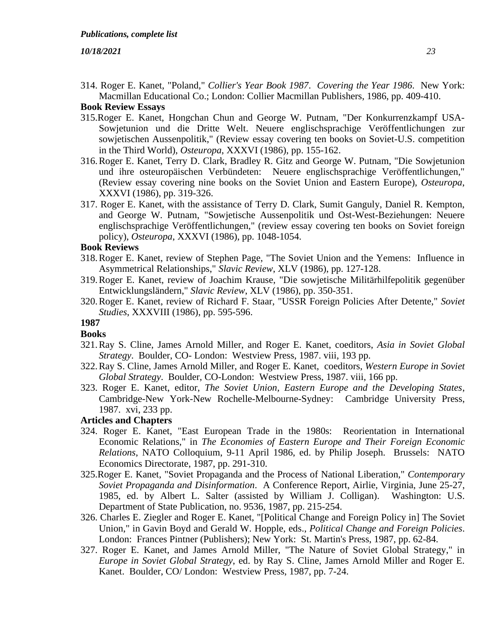314. Roger E. Kanet, "Poland," *Collier's Year Book 1987*. *Covering the Year 1986*. New York: Macmillan Educational Co.; London: Collier Macmillan Publishers, 1986, pp. 409-410.

# **Book Review Essays**

- 315.Roger E. Kanet, Hongchan Chun and George W. Putnam, "Der Konkurrenzkampf USA-Sowjetunion und die Dritte Welt. Neuere englischsprachige Veröffentlichungen zur sowjetischen Aussenpolitik," (Review essay covering ten books on Soviet-U.S. competition in the Third World), *Osteuropa*, XXXVI (1986), pp. 155-162.
- 316.Roger E. Kanet, Terry D. Clark, Bradley R. Gitz and George W. Putnam, "Die Sowjetunion und ihre osteuropäischen Verbündeten: Neuere englischsprachige Veröffentlichungen," (Review essay covering nine books on the Soviet Union and Eastern Europe), *Osteuropa*, XXXVI (1986), pp. 319-326.
- 317. Roger E. Kanet, with the assistance of Terry D. Clark, Sumit Ganguly, Daniel R. Kempton, and George W. Putnam, "Sowjetische Aussenpolitik und Ost-West-Beziehungen: Neuere englischsprachige Veröffentlichungen," (review essay covering ten books on Soviet foreign policy), *Osteuropa*, XXXVI (1986), pp. 1048-1054.

# **Book Reviews**

- 318.Roger E. Kanet, review of Stephen Page, "The Soviet Union and the Yemens: Influence in Asymmetrical Relationships," *Slavic Review*, XLV (1986), pp. 127-128.
- 319.Roger E. Kanet, review of Joachim Krause, "Die sowjetische Militärhilfepolitik gegenüber Entwicklungsländern," *Slavic Review*, XLV (1986), pp. 350-351.
- 320.Roger E. Kanet, review of Richard F. Staar, "USSR Foreign Policies After Detente," *Soviet Studies*, XXXVIII (1986), pp. 595-596.

# **1987**

- **Books**
- 321.Ray S. Cline, James Arnold Miller, and Roger E. Kanet, coeditors, *Asia in Soviet Global Strategy*. Boulder, CO- London: Westview Press, 1987. viii, 193 pp.
- 322.Ray S. Cline, James Arnold Miller, and Roger E. Kanet, coeditors, *Western Europe in Soviet Global Strategy*. Boulder, CO-London: Westview Press, 1987. viii, 166 pp.
- 323. Roger E. Kanet, editor, *The Soviet Union, Eastern Europe and the Developing States*, Cambridge-New York-New Rochelle-Melbourne-Sydney: Cambridge University Press, 1987. xvi, 233 pp.

# **Articles and Chapters**

- 324. Roger E. Kanet, "East European Trade in the 1980s: Reorientation in International Economic Relations," in *The Economies of Eastern Europe and Their Foreign Economic Relations*, NATO Colloquium, 9-11 April 1986, ed. by Philip Joseph. Brussels: NATO Economics Directorate, 1987, pp. 291-310.
- 325.Roger E. Kanet, "Soviet Propaganda and the Process of National Liberation," *Contemporary Soviet Propaganda and Disinformation*. A Conference Report, Airlie, Virginia, June 25-27, 1985, ed. by Albert L. Salter (assisted by William J. Colligan). Washington: U.S. Department of State Publication, no. 9536, 1987, pp. 215-254.
- 326. Charles E. Ziegler and Roger E. Kanet, "[Political Change and Foreign Policy in] The Soviet Union," in Gavin Boyd and Gerald W. Hopple, eds., *Political Change and Foreign Policies*. London: Frances Pintner (Publishers); New York: St. Martin's Press, 1987, pp. 62-84.
- 327. Roger E. Kanet, and James Arnold Miller, "The Nature of Soviet Global Strategy," in *Europe in Soviet Global Strategy*, ed. by Ray S. Cline, James Arnold Miller and Roger E. Kanet. Boulder, CO/ London: Westview Press, 1987, pp. 7-24.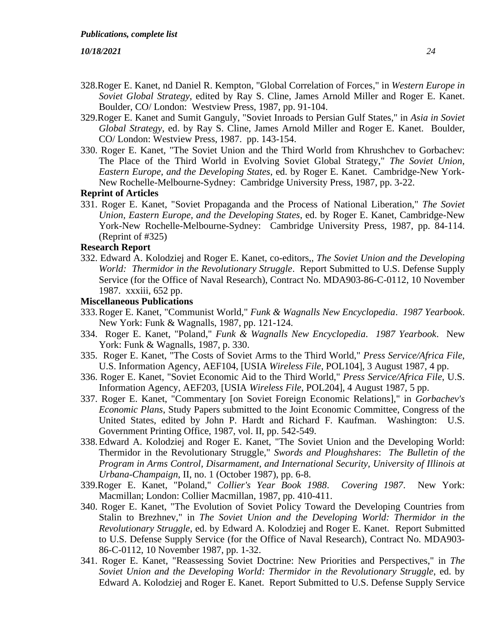- 328.Roger E. Kanet, nd Daniel R. Kempton, "Global Correlation of Forces," in *Western Europe in Soviet Global Strategy*, edited by Ray S. Cline, James Arnold Miller and Roger E. Kanet. Boulder, CO/ London: Westview Press, 1987, pp. 91-104.
- 329.Roger E. Kanet and Sumit Ganguly, "Soviet Inroads to Persian Gulf States," in *Asia in Soviet Global Strategy*, ed. by Ray S. Cline, James Arnold Miller and Roger E. Kanet. Boulder, CO/ London: Westview Press, 1987. pp. 143-154.
- 330. Roger E. Kanet, "The Soviet Union and the Third World from Khrushchev to Gorbachev: The Place of the Third World in Evolving Soviet Global Strategy," *The Soviet Union, Eastern Europe, and the Developing States*, ed. by Roger E. Kanet. Cambridge-New York-New Rochelle-Melbourne-Sydney: Cambridge University Press, 1987, pp. 3-22.

## **Reprint of Articles**

331. Roger E. Kanet, "Soviet Propaganda and the Process of National Liberation," *The Soviet Union, Eastern Europe, and the Developing States*, ed. by Roger E. Kanet, Cambridge-New York-New Rochelle-Melbourne-Sydney: Cambridge University Press, 1987, pp. 84-114. (Reprint of #325)

## **Research Report**

332. Edward A. Kolodziej and Roger E. Kanet, co-editors,, *The Soviet Union and the Developing World: Thermidor in the Revolutionary Struggle*. Report Submitted to U.S. Defense Supply Service (for the Office of Naval Research), Contract No. MDA903-86-C-0112, 10 November 1987. xxxiii, 652 pp.

#### **Miscellaneous Publications**

- 333.Roger E. Kanet, "Communist World," *Funk & Wagnalls New Encyclopedia*. *1987 Yearbook*. New York: Funk & Wagnalls, 1987, pp. 121-124.
- 334. Roger E. Kanet, "Poland," *Funk & Wagnalls New Encyclopedia*. *1987 Yearbook*. New York: Funk & Wagnalls, 1987, p. 330.
- 335. Roger E. Kanet, "The Costs of Soviet Arms to the Third World," *Press Service/Africa File*, U.S. Information Agency, AEF104, [USIA *Wireless File*, POL104], 3 August 1987, 4 pp.
- 336. Roger E. Kanet, "Soviet Economic Aid to the Third World," *Press Service/Africa File*, U.S. Information Agency, AEF203, [USIA *Wireless File*, POL204], 4 August 1987, 5 pp.
- 337. Roger E. Kanet, "Commentary [on Soviet Foreign Economic Relations]," in *Gorbachev's Economic Plans*, Study Papers submitted to the Joint Economic Committee, Congress of the United States, edited by John P. Hardt and Richard F. Kaufman. Washington: U.S. Government Printing Office, 1987, vol. II, pp. 542-549.
- 338.Edward A. Kolodziej and Roger E. Kanet, "The Soviet Union and the Developing World: Thermidor in the Revolutionary Struggle," *Swords and Ploughshares*: *The Bulletin of the Program in Arms Control, Disarmament, and International Security, University of Illinois at Urbana-Champaign*, II, no. 1 (October 1987), pp. 6-8.
- 339.Roger E. Kanet, "Poland," *Collier's Year Book 1988*. *Covering 1987*. New York: Macmillan; London: Collier Macmillan, 1987, pp. 410-411.
- 340. Roger E. Kanet, "The Evolution of Soviet Policy Toward the Developing Countries from Stalin to Brezhnev," in *The Soviet Union and the Developing World: Thermidor in the Revolutionary Struggle*, ed. by Edward A. Kolodziej and Roger E. Kanet. Report Submitted to U.S. Defense Supply Service (for the Office of Naval Research), Contract No. MDA903- 86-C-0112, 10 November 1987, pp. 1-32.
- 341. Roger E. Kanet, "Reassessing Soviet Doctrine: New Priorities and Perspectives," in *The Soviet Union and the Developing World: Thermidor in the Revolutionary Struggle*, ed. by Edward A. Kolodziej and Roger E. Kanet. Report Submitted to U.S. Defense Supply Service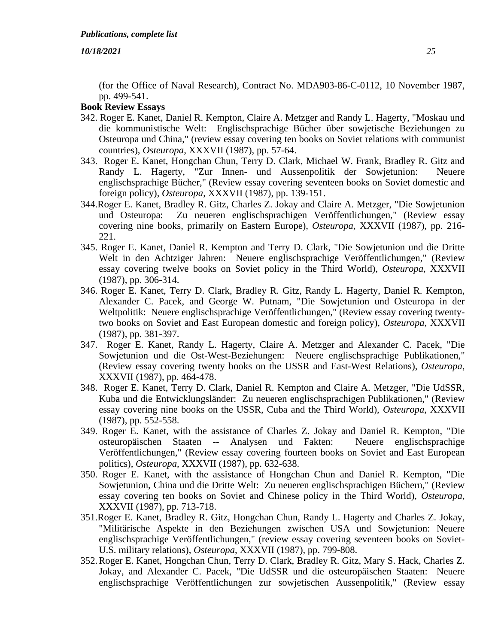(for the Office of Naval Research), Contract No. MDA903-86-C-0112, 10 November 1987, pp. 499-541.

- 342. Roger E. Kanet, Daniel R. Kempton, Claire A. Metzger and Randy L. Hagerty, "Moskau und die kommunistische Welt: Englischsprachige Bücher über sowjetische Beziehungen zu Osteuropa und China," (review essay covering ten books on Soviet relations with communist countries), *Osteuropa*, XXXVII (1987), pp. 57-64.
- 343. Roger E. Kanet, Hongchan Chun, Terry D. Clark, Michael W. Frank, Bradley R. Gitz and Randy L. Hagerty, "Zur Innen- und Aussenpolitik der Sowjetunion: Neuere englischsprachige Bücher," (Review essay covering seventeen books on Soviet domestic and foreign policy), *Osteuropa*, XXXVII (1987), pp. 139-151.
- 344.Roger E. Kanet, Bradley R. Gitz, Charles Z. Jokay and Claire A. Metzger, "Die Sowjetunion und Osteuropa: Zu neueren englischsprachigen Veröffentlichungen," (Review essay covering nine books, primarily on Eastern Europe), *Osteuropa*, XXXVII (1987), pp. 216- 221.
- 345. Roger E. Kanet, Daniel R. Kempton and Terry D. Clark, "Die Sowjetunion und die Dritte Welt in den Achtziger Jahren: Neuere englischsprachige Veröffentlichungen," (Review essay covering twelve books on Soviet policy in the Third World), *Osteuropa*, XXXVII (1987), pp. 306-314.
- 346. Roger E. Kanet, Terry D. Clark, Bradley R. Gitz, Randy L. Hagerty, Daniel R. Kempton, Alexander C. Pacek, and George W. Putnam, "Die Sowjetunion und Osteuropa in der Weltpolitik: Neuere englischsprachige Veröffentlichungen," (Review essay covering twentytwo books on Soviet and East European domestic and foreign policy), *Osteuropa*, XXXVII (1987), pp. 381-397.
- 347. Roger E. Kanet, Randy L. Hagerty, Claire A. Metzger and Alexander C. Pacek, "Die Sowjetunion und die Ost-West-Beziehungen: Neuere englischsprachige Publikationen," (Review essay covering twenty books on the USSR and East-West Relations), *Osteuropa*, XXXVII (1987), pp. 464-478.
- 348. Roger E. Kanet, Terry D. Clark, Daniel R. Kempton and Claire A. Metzger, "Die UdSSR, Kuba und die Entwicklungsländer: Zu neueren englischsprachigen Publikationen," (Review essay covering nine books on the USSR, Cuba and the Third World), *Osteuropa*, XXXVII (1987), pp. 552-558.
- 349. Roger E. Kanet, with the assistance of Charles Z. Jokay and Daniel R. Kempton, "Die osteuropäischen Staaten -- Analysen und Fakten: Neuere englischsprachige Veröffentlichungen," (Review essay covering fourteen books on Soviet and East European politics), *Osteuropa*, XXXVII (1987), pp. 632-638.
- 350. Roger E. Kanet, with the assistance of Hongchan Chun and Daniel R. Kempton, "Die Sowjetunion, China und die Dritte Welt: Zu neueren englischsprachigen Büchern," (Review essay covering ten books on Soviet and Chinese policy in the Third World), *Osteuropa*, XXXVII (1987), pp. 713-718.
- 351.Roger E. Kanet, Bradley R. Gitz, Hongchan Chun, Randy L. Hagerty and Charles Z. Jokay, "Militärische Aspekte in den Beziehungen zwischen USA und Sowjetunion: Neuere englischsprachige Veröffentlichungen," (review essay covering seventeen books on Soviet-U.S. military relations), *Osteuropa*, XXXVII (1987), pp. 799-808.
- 352.Roger E. Kanet, Hongchan Chun, Terry D. Clark, Bradley R. Gitz, Mary S. Hack, Charles Z. Jokay, and Alexander C. Pacek, "Die UdSSR und die osteuropäischen Staaten: Neuere englischsprachige Veröffentlichungen zur sowjetischen Aussenpolitik," (Review essay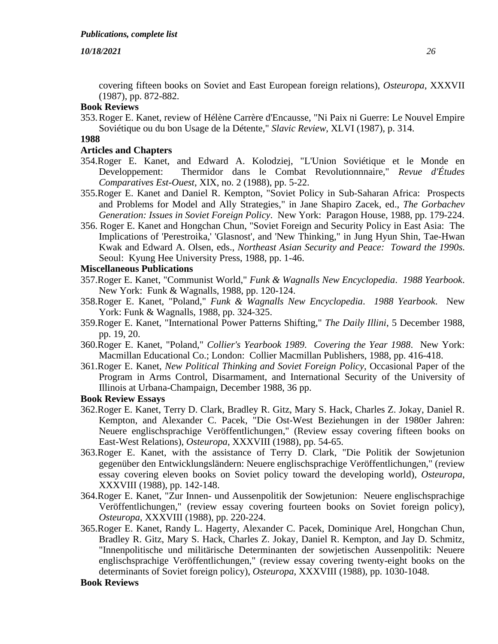covering fifteen books on Soviet and East European foreign relations), *Osteuropa*, XXXVII (1987), pp. 872-882.

# **Book Reviews**

353.Roger E. Kanet, review of Hélène Carrère d'Encausse, "Ni Paix ni Guerre: Le Nouvel Empire Soviétique ou du bon Usage de la Détente," *Slavic Review*, XLVI (1987), p. 314.

#### **1988**

#### **Articles and Chapters**

- 354.Roger E. Kanet, and Edward A. Kolodziej, "L'Union Soviétique et le Monde en Developpement: Thermidor dans le Combat Revolutionnnaire," *Revue d'Études Comparatives Est-Ouest*, XIX, no. 2 (1988), pp. 5-22.
- 355.Roger E. Kanet and Daniel R. Kempton, "Soviet Policy in Sub-Saharan Africa: Prospects and Problems for Model and Ally Strategies," in Jane Shapiro Zacek, ed., *The Gorbachev Generation: Issues in Soviet Foreign Policy*. New York: Paragon House, 1988, pp. 179-224.
- 356. Roger E. Kanet and Hongchan Chun, "Soviet Foreign and Security Policy in East Asia: The Implications of 'Perestroika,' 'Glasnost', and 'New Thinking," in Jung Hyun Shin, Tae-Hwan Kwak and Edward A. Olsen, eds., *Northeast Asian Security and Peace: Toward the 1990s*. Seoul: Kyung Hee University Press, 1988, pp. 1-46.

#### **Miscellaneous Publications**

- 357.Roger E. Kanet, "Communist World," *Funk & Wagnalls New Encyclopedia*. *1988 Yearbook*. New York: Funk & Wagnalls, 1988, pp. 120-124.
- 358.Roger E. Kanet, "Poland," *Funk & Wagnalls New Encyclopedia*. *1988 Yearbook*. New York: Funk & Wagnalls, 1988, pp. 324-325.
- 359.Roger E. Kanet, "International Power Patterns Shifting," *The Daily Illini*, 5 December 1988, pp. 19, 20.
- 360.Roger E. Kanet, "Poland," *Collier's Yearbook 1989*. *Covering the Year 1988*. New York: Macmillan Educational Co.; London: Collier Macmillan Publishers, 1988, pp. 416-418.
- 361.Roger E. Kanet, *New Political Thinking and Soviet Foreign Policy*, Occasional Paper of the Program in Arms Control, Disarmament, and International Security of the University of Illinois at Urbana-Champaign, December 1988, 36 pp.

#### **Book Review Essays**

- 362.Roger E. Kanet, Terry D. Clark, Bradley R. Gitz, Mary S. Hack, Charles Z. Jokay, Daniel R. Kempton, and Alexander C. Pacek, "Die Ost-West Beziehungen in der 1980er Jahren: Neuere englischsprachige Veröffentlichungen," (Review essay covering fifteen books on East-West Relations), *Osteuropa*, XXXVIII (1988), pp. 54-65.
- 363.Roger E. Kanet, with the assistance of Terry D. Clark, "Die Politik der Sowjetunion gegenüber den Entwicklungsländern: Neuere englischsprachige Veröffentlichungen," (review essay covering eleven books on Soviet policy toward the developing world), *Osteuropa*, XXXVIII (1988), pp. 142-148.
- 364.Roger E. Kanet, "Zur Innen- und Aussenpolitik der Sowjetunion: Neuere englischsprachige Veröffentlichungen," (review essay covering fourteen books on Soviet foreign policy), *Osteuropa*, XXXVIII (1988), pp. 220-224.
- 365.Roger E. Kanet, Randy L. Hagerty, Alexander C. Pacek, Dominique Arel, Hongchan Chun, Bradley R. Gitz, Mary S. Hack, Charles Z. Jokay, Daniel R. Kempton, and Jay D. Schmitz, "Innenpolitische und militärische Determinanten der sowjetischen Aussenpolitik: Neuere englischsprachige Veröffentlichungen," (review essay covering twenty-eight books on the determinants of Soviet foreign policy), *Osteuropa*, XXXVIII (1988), pp. 1030-1048.

#### **Book Reviews**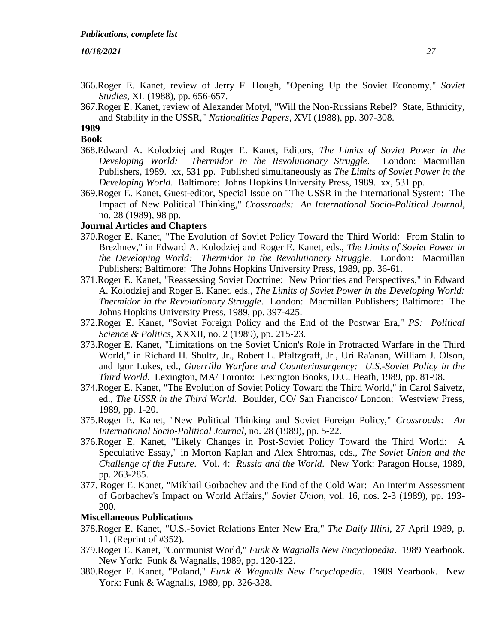366.Roger E. Kanet, review of Jerry F. Hough, "Opening Up the Soviet Economy," *Soviet Studies*, XL (1988), pp. 656-657.

367.Roger E. Kanet, review of Alexander Motyl, "Will the Non-Russians Rebel? State, Ethnicity, and Stability in the USSR," *Nationalities Papers*, XVI (1988), pp. 307-308.

#### **1989**

#### **Book**

- 368.Edward A. Kolodziej and Roger E. Kanet, Editors, *The Limits of Soviet Power in the Developing World: Thermidor in the Revolutionary Struggle*. London: Macmillan Publishers, 1989. xx, 531 pp. Published simultaneously as *The Limits of Soviet Power in the Developing World*. Baltimore: Johns Hopkins University Press, 1989. xx, 531 pp.
- 369.Roger E. Kanet, Guest-editor, Special Issue on "The USSR in the International System: The Impact of New Political Thinking," *Crossroads: An International Socio-Political Journal*, no. 28 (1989), 98 pp.

#### **Journal Articles and Chapters**

- 370.Roger E. Kanet, "The Evolution of Soviet Policy Toward the Third World: From Stalin to Brezhnev," in Edward A. Kolodziej and Roger E. Kanet, eds., *The Limits of Soviet Power in the Developing World: Thermidor in the Revolutionary Struggle*. London: Macmillan Publishers; Baltimore: The Johns Hopkins University Press, 1989, pp. 36-61.
- 371.Roger E. Kanet, "Reassessing Soviet Doctrine: New Priorities and Perspectives," in Edward A. Kolodziej and Roger E. Kanet, eds., *The Limits of Soviet Power in the Developing World: Thermidor in the Revolutionary Struggle*. London: Macmillan Publishers; Baltimore: The Johns Hopkins University Press, 1989, pp. 397-425.
- 372.Roger E. Kanet, "Soviet Foreign Policy and the End of the Postwar Era," *PS: Political Science & Politics*, XXXII, no. 2 (1989), pp. 215-23.
- 373.Roger E. Kanet, "Limitations on the Soviet Union's Role in Protracted Warfare in the Third World," in Richard H. Shultz, Jr., Robert L. Pfaltzgraff, Jr., Uri Ra'anan, William J. Olson, and Igor Lukes, ed., *Guerrilla Warfare and Counterinsurgency: U.S.-Soviet Policy in the Third World*. Lexington, MA/ Toronto: Lexington Books, D.C. Heath, 1989, pp. 81-98.
- 374.Roger E. Kanet, "The Evolution of Soviet Policy Toward the Third World," in Carol Saivetz, ed., *The USSR in the Third World*. Boulder, CO/ San Francisco/ London: Westview Press, 1989, pp. 1-20.
- 375.Roger E. Kanet, "New Political Thinking and Soviet Foreign Policy," *Crossroads: An International Socio-Political Journal*, no. 28 (1989), pp. 5-22.
- 376.Roger E. Kanet, "Likely Changes in Post-Soviet Policy Toward the Third World: A Speculative Essay," in Morton Kaplan and Alex Shtromas, eds., *The Soviet Union and the Challenge of the Future*. Vol. 4: *Russia and the World*. New York: Paragon House, 1989, pp. 263-285.
- 377. Roger E. Kanet, "Mikhail Gorbachev and the End of the Cold War: An Interim Assessment of Gorbachev's Impact on World Affairs," *Soviet Union*, vol. 16, nos. 2-3 (1989), pp. 193- 200.

#### **Miscellaneous Publications**

- 378.Roger E. Kanet, "U.S.-Soviet Relations Enter New Era," *The Daily Illini*, 27 April 1989, p. 11. (Reprint of #352).
- 379.Roger E. Kanet, "Communist World," *Funk & Wagnalls New Encyclopedia*. 1989 Yearbook. New York: Funk & Wagnalls, 1989, pp. 120-122.
- 380.Roger E. Kanet, "Poland," *Funk & Wagnalls New Encyclopedia*. 1989 Yearbook. New York: Funk & Wagnalls, 1989, pp. 326-328.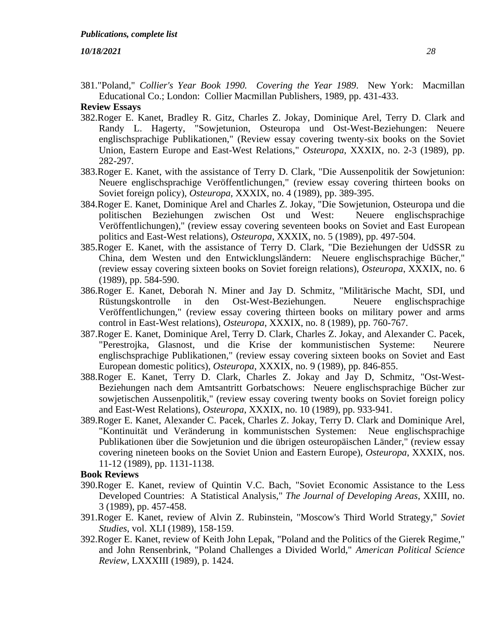381."Poland," *Collier's Year Book 1990. Covering the Year 1989*. New York: Macmillan Educational Co.; London: Collier Macmillan Publishers, 1989, pp. 431-433.

# **Review Essays**

- 382.Roger E. Kanet, Bradley R. Gitz, Charles Z. Jokay, Dominique Arel, Terry D. Clark and Randy L. Hagerty, "Sowjetunion, Osteuropa und Ost-West-Beziehungen: Neuere englischsprachige Publikationen," (Review essay covering twenty-six books on the Soviet Union, Eastern Europe and East-West Relations," *Osteuropa*, XXXIX, no. 2-3 (1989), pp. 282-297.
- 383.Roger E. Kanet, with the assistance of Terry D. Clark, "Die Aussenpolitik der Sowjetunion: Neuere englischsprachige Veröffentlichungen," (review essay covering thirteen books on Soviet foreign policy), *Osteuropa*, XXXIX, no. 4 (1989), pp. 389-395.
- 384.Roger E. Kanet, Dominique Arel and Charles Z. Jokay, "Die Sowjetunion, Osteuropa und die politischen Beziehungen zwischen Ost und West: Neuere englischsprachige Veröffentlichungen)," (review essay covering seventeen books on Soviet and East European politics and East-West relations), *Osteuropa*, XXXIX, no. 5 (1989), pp. 497-504.
- 385.Roger E. Kanet, with the assistance of Terry D. Clark, "Die Beziehungen der UdSSR zu China, dem Westen und den Entwicklungsländern: Neuere englischsprachige Bücher," (review essay covering sixteen books on Soviet foreign relations), *Osteuropa*, XXXIX, no. 6 (1989), pp. 584-590.
- 386.Roger E. Kanet, Deborah N. Miner and Jay D. Schmitz, "Militärische Macht, SDI, und Rüstungskontrolle in den Ost-West-Beziehungen. Neuere englischsprachige Veröffentlichungen," (review essay covering thirteen books on military power and arms control in East-West relations), *Osteuropa*, XXXIX, no. 8 (1989), pp. 760-767.
- 387.Roger E. Kanet, Dominique Arel, Terry D. Clark, Charles Z. Jokay, and Alexander C. Pacek, "Perestrojka, Glasnost, und die Krise der kommunistischen Systeme: Neurere englischsprachige Publikationen," (review essay covering sixteen books on Soviet and East European domestic politics), *Osteuropa*, XXXIX, no. 9 (1989), pp. 846-855.
- 388.Roger E. Kanet, Terry D. Clark, Charles Z. Jokay and Jay D, Schmitz, "Ost-West-Beziehungen nach dem Amtsantritt Gorbatschows: Neuere englischsprachige Bücher zur sowjetischen Aussenpolitik," (review essay covering twenty books on Soviet foreign policy and East-West Relations), *Osteuropa*, XXXIX, no. 10 (1989), pp. 933-941.
- 389.Roger E. Kanet, Alexander C. Pacek, Charles Z. Jokay, Terry D. Clark and Dominique Arel, "Kontinuität und Veränderung in kommunistschen Systemen: Neue englischsprachige Publikationen über die Sowjetunion und die übrigen osteuropäischen Länder," (review essay covering nineteen books on the Soviet Union and Eastern Europe), *Osteuropa*, XXXIX, nos. 11-12 (1989), pp. 1131-1138.

## **Book Reviews**

- 390.Roger E. Kanet, review of Quintin V.C. Bach, "Soviet Economic Assistance to the Less Developed Countries: A Statistical Analysis," *The Journal of Developing Areas*, XXIII, no. 3 (1989), pp. 457-458.
- 391.Roger E. Kanet, review of Alvin Z. Rubinstein, "Moscow's Third World Strategy," *Soviet Studies*, vol. XLI (1989), 158-159.
- 392.Roger E. Kanet, review of Keith John Lepak, "Poland and the Politics of the Gierek Regime," and John Rensenbrink, "Poland Challenges a Divided World," *American Political Science Review*, LXXXIII (1989), p. 1424.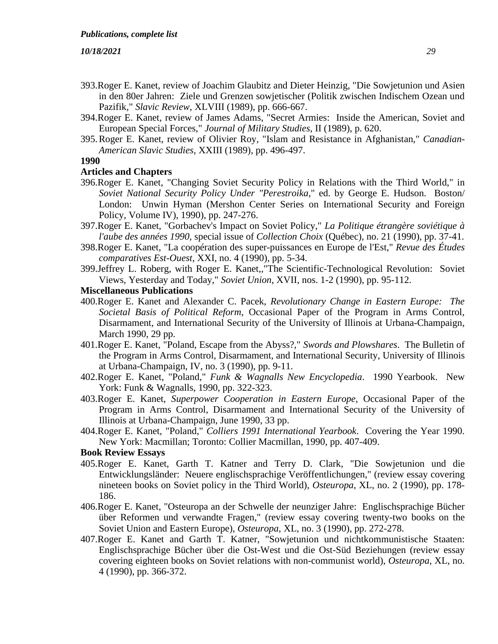- 393.Roger E. Kanet, review of Joachim Glaubitz and Dieter Heinzig, "Die Sowjetunion und Asien in den 80er Jahren: Ziele und Grenzen sowjetischer (Politik zwischen Indischem Ozean und Pazifik," *Slavic Review*, XLVIII (1989), pp. 666-667.
- 394.Roger E. Kanet, review of James Adams, "Secret Armies: Inside the American, Soviet and European Special Forces," *Journal of Military Studies*, II (1989), p. 620.
- 395.Roger E. Kanet, review of Olivier Roy, "Islam and Resistance in Afghanistan," *Canadian-American Slavic Studies*, XXIII (1989), pp. 496-497.
- **1990**

#### **Articles and Chapters**

- 396.Roger E. Kanet, "Changing Soviet Security Policy in Relations with the Third World," in *Soviet National Security Policy Under "Perestroika*," ed. by George E. Hudson. Boston/ London: Unwin Hyman (Mershon Center Series on International Security and Foreign Policy, Volume IV), 1990), pp. 247-276.
- 397.Roger E. Kanet, "Gorbachev's Impact on Soviet Policy," *La Politique étrangère soviétique à l'aube des années 1990*, special issue of *Collection Choix* (Québec), no. 21 (1990), pp. 37-41.
- 398.Roger E. Kanet, "La coopération des super-puissances en Europe de l'Est," *Revue des Études comparatives Est-Ouest*, XXI, no. 4 (1990), pp. 5-34.
- 399.Jeffrey L. Roberg, with Roger E. Kanet,,"The Scientific-Technological Revolution: Soviet Views, Yesterday and Today," *Soviet Union*, XVII, nos. 1-2 (1990), pp. 95-112.

#### **Miscellaneous Publications**

- 400.Roger E. Kanet and Alexander C. Pacek, *Revolutionary Change in Eastern Europe: The Societal Basis of Political Reform*, Occasional Paper of the Program in Arms Control, Disarmament, and International Security of the University of Illinois at Urbana-Champaign, March 1990, 29 pp.
- 401.Roger E. Kanet, "Poland, Escape from the Abyss?," *Swords and Plowshares*. The Bulletin of the Program in Arms Control, Disarmament, and International Security, University of Illinois at Urbana-Champaign, IV, no. 3 (1990), pp. 9-11.
- 402.Roger E. Kanet, "Poland," *Funk & Wagnalls New Encyclopedia*. 1990 Yearbook. New York: Funk & Wagnalls, 1990, pp. 322-323.
- 403.Roger E. Kanet, *Superpower Cooperation in Eastern Europe*, Occasional Paper of the Program in Arms Control, Disarmament and International Security of the University of Illinois at Urbana-Champaign, June 1990, 33 pp.
- 404.Roger E. Kanet, "Poland," *Colliers 1991 International Yearbook*. Covering the Year 1990. New York: Macmillan; Toronto: Collier Macmillan, 1990, pp. 407-409.

- 405.Roger E. Kanet, Garth T. Katner and Terry D. Clark, "Die Sowjetunion und die Entwicklungsländer: Neuere englischsprachige Veröffentlichungen," (review essay covering nineteen books on Soviet policy in the Third World), *Osteuropa*, XL, no. 2 (1990), pp. 178- 186.
- 406.Roger E. Kanet, "Osteuropa an der Schwelle der neunziger Jahre: Englischsprachige Bücher über Reformen und verwandte Fragen," (review essay covering twenty-two books on the Soviet Union and Eastern Europe), *Osteuropa*, XL, no. 3 (1990), pp. 272-278.
- 407.Roger E. Kanet and Garth T. Katner, "Sowjetunion und nichtkommunistische Staaten: Englischsprachige Bücher über die Ost-West und die Ost-Süd Beziehungen (review essay covering eighteen books on Soviet relations with non-communist world), *Osteuropa*, XL, no. 4 (1990), pp. 366-372.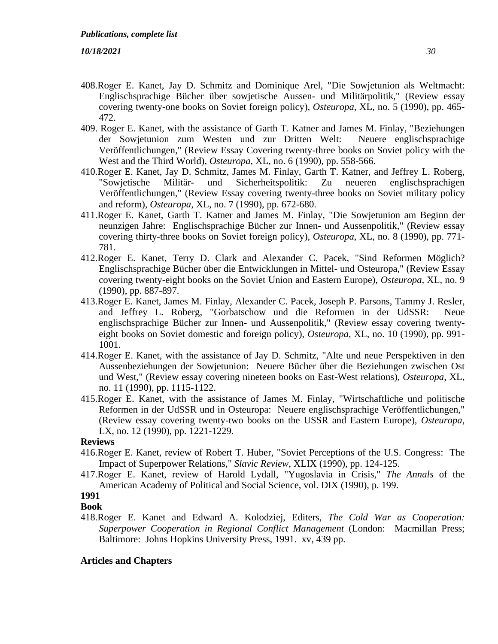- 408.Roger E. Kanet, Jay D. Schmitz and Dominique Arel, "Die Sowjetunion als Weltmacht: Englischsprachige Bücher über sowjetische Aussen- und Militärpolitik," (Review essay covering twenty-one books on Soviet foreign policy), *Osteuropa*, XL, no. 5 (1990), pp. 465- 472.
- 409. Roger E. Kanet, with the assistance of Garth T. Katner and James M. Finlay, "Beziehungen der Sowjetunion zum Westen und zur Dritten Welt: Neuere englischsprachige Veröffentlichungen," (Review Essay Covering twenty-three books on Soviet policy with the West and the Third World), *Osteuropa*, XL, no. 6 (1990), pp. 558-566.
- 410.Roger E. Kanet, Jay D. Schmitz, James M. Finlay, Garth T. Katner, and Jeffrey L. Roberg, "Sowjetische Militär- und Sicherheitspolitik: Zu neueren englischsprachigen Veröffentlichungen," (Review Essay covering twenty-three books on Soviet military policy and reform), *Osteuropa*, XL, no. 7 (1990), pp. 672-680.
- 411.Roger E. Kanet, Garth T. Katner and James M. Finlay, "Die Sowjetunion am Beginn der neunzigen Jahre: Englischsprachige Bücher zur Innen- und Aussenpolitik," (Review essay covering thirty-three books on Soviet foreign policy), *Osteuropa*, XL, no. 8 (1990), pp. 771- 781.
- 412.Roger E. Kanet, Terry D. Clark and Alexander C. Pacek, "Sind Reformen Möglich? Englischsprachige Bücher über die Entwicklungen in Mittel- und Osteuropa," (Review Essay covering twenty-eight books on the Soviet Union and Eastern Europe), *Osteuropa*, XL, no. 9 (1990), pp. 887-897.
- 413.Roger E. Kanet, James M. Finlay, Alexander C. Pacek, Joseph P. Parsons, Tammy J. Resler, and Jeffrey L. Roberg, "Gorbatschow und die Reformen in der UdSSR: Neue englischsprachige Bücher zur Innen- und Aussenpolitik," (Review essay covering twentyeight books on Soviet domestic and foreign policy), *Osteuropa*, XL, no. 10 (1990), pp. 991- 1001.
- 414.Roger E. Kanet, with the assistance of Jay D. Schmitz, "Alte und neue Perspektiven in den Aussenbeziehungen der Sowjetunion: Neuere Bücher über die Beziehungen zwischen Ost und West," (Review essay covering nineteen books on East-West relations), *Osteuropa*, XL, no. 11 (1990), pp. 1115-1122.
- 415.Roger E. Kanet, with the assistance of James M. Finlay, "Wirtschaftliche und politische Reformen in der UdSSR und in Osteuropa: Neuere englischsprachige Veröffentlichungen," (Review essay covering twenty-two books on the USSR and Eastern Europe), *Osteuropa*, LX, no. 12 (1990), pp. 1221-1229.

# **Reviews**

- 416.Roger E. Kanet, review of Robert T. Huber, "Soviet Perceptions of the U.S. Congress: The Impact of Superpower Relations," *Slavic Review*, XLIX (1990), pp. 124-125.
- 417.Roger E. Kanet, review of Harold Lydall, "Yugoslavia in Crisis," *The Annals* of the American Academy of Political and Social Science, vol. DIX (1990), p. 199.

# **1991**

- **Book**
- 418.Roger E. Kanet and Edward A. Kolodziej, Editers, *The Cold War as Cooperation: Superpower Cooperation in Regional Conflict Management* (London: Macmillan Press; Baltimore: Johns Hopkins University Press, 1991. xv, 439 pp.

# **Articles and Chapters**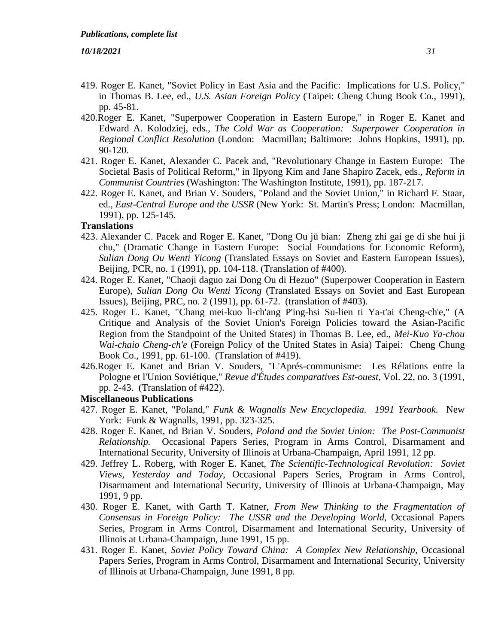- 419. Roger E. Kanet, "Soviet Policy in East Asia and the Pacific: Implications for U.S. Policy," in Thomas B. Lee, ed., *U.S. Asian Foreign Policy* (Taipei: Cheng Chung Book Co., 1991), pp. 45-81.
- 420.Roger E. Kanet, "Superpower Cooperation in Eastern Europe," in Roger E. Kanet and Edward A. Kolodziej, eds., *The Cold War as Cooperation: Superpower Cooperation in Regional Conflict Resolution* (London: Macmillan; Baltimore: Johns Hopkins, 1991), pp. 90-120.
- 421. Roger E. Kanet, Alexander C. Pacek and, "Revolutionary Change in Eastern Europe: The Societal Basis of Political Reform," in Ilpyong Kim and Jane Shapiro Zacek, eds., *Reform in Communist Countries* (Washington: The Washington Institute, 1991), pp. 187-217.
- 422. Roger E. Kanet, and Brian V. Souders, "Poland and the Soviet Union," in Richard F. Staar, ed., *East-Central Europe and the USSR* (New York: St. Martin's Press; London: Macmillan, 1991), pp. 125-145.

#### **Translations**

- 423. Alexander C. Pacek and Roger E. Kanet, "Dong Ou jü bian: Zheng zhi gai ge di she hui ji chu," (Dramatic Change in Eastern Europe: Social Foundations for Economic Reform), *Sulian Dong Ou Wenti Yicong* (Translated Essays on Soviet and Eastern European Issues), Beijing, PCR, no. 1 (1991), pp. 104-118. (Translation of #400).
- 424. Roger E. Kanet, "Chaoji daguo zai Dong Ou di Hezuo" (Superpower Cooperation in Eastern Europe), *Sulian Dong Ou Wenti Yicong* (Translated Essays on Soviet and East European Issues), Beijing, PRC, no. 2 (1991), pp. 61-72. (translation of #403).
- 425. Roger E. Kanet, "Chang mei-kuo li-ch'ang P'ing-hsi Su-lien ti Ya-t'ai Cheng-ch'e," (A Critique and Analysis of the Soviet Union's Foreign Policies toward the Asian-Pacific Region from the Standpoint of the United States) in Thomas B. Lee, ed., *Mei-Kuo Ya-chou Wai-chaio Cheng-ch'e* (Foreign Policy of the United States in Asia) Taipei: Cheng Chung Book Co., 1991, pp. 61-100. (Translation of #419).
- 426.Roger E. Kanet and Brian V. Souders, "L'Aprés-communisme: Les Rélations entre la Pologne et l'Union Soviétique," *Revue d'Études comparatives Est-ouest*, Vol. 22, no. 3 (1991, pp. 2-43. (Translation of #422).

### **Miscellaneous Publications**

- 427. Roger E. Kanet, "Poland," *Funk & Wagnalls New Encyclopedia. 1991 Yearbook*. New York: Funk & Wagnalls, 1991, pp. 323-325.
- 428. Roger E. Kanet, nd Brian V. Souders, *Poland and the Soviet Union: The Post-Communist Relationship.* Occasional Papers Series, Program in Arms Control, Disarmament and International Security, University of Illinois at Urbana-Champaign, April 1991, 12 pp.
- 429. Jeffrey L. Roberg, with Roger E. Kanet, *The Scientific-Technological Revolution: Soviet Views, Yesterday and Today*, Occasional Papers Series, Program in Arms Control, Disarmament and International Security, University of Illinois at Urbana-Champaign, May 1991, 9 pp.
- 430. Roger E. Kanet, with Garth T. Katner, *From New Thinking to the Fragmentation of Consensus in Foreign Policy: The USSR and the Developing World*, Occasional Papers Series, Program in Arms Control, Disarmament and International Security, University of Illinois at Urbana-Champaign, June 1991, 15 pp.
- 431. Roger E. Kanet, *Soviet Policy Toward China: A Complex New Relationship*, Occasional Papers Series, Program in Arms Control, Disarmament and International Security, University of Illinois at Urbana-Champaign, June 1991, 8 pp.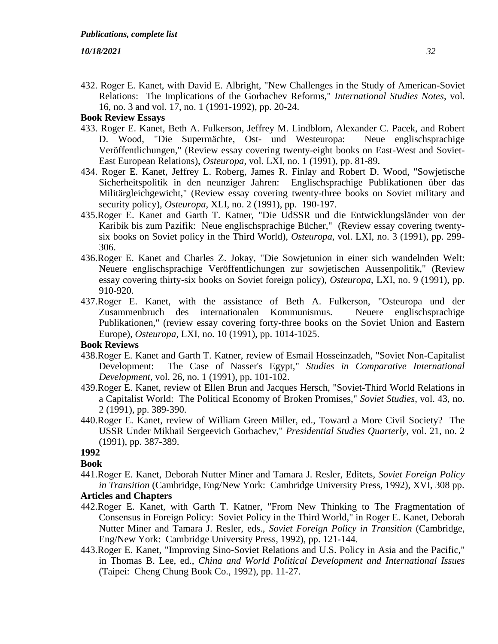432. Roger E. Kanet, with David E. Albright, "New Challenges in the Study of American-Soviet Relations: The Implications of the Gorbachev Reforms," *International Studies Notes*, vol. 16, no. 3 and vol. 17, no. 1 (1991-1992), pp. 20-24.

# **Book Review Essays**

- 433. Roger E. Kanet, Beth A. Fulkerson, Jeffrey M. Lindblom, Alexander C. Pacek, and Robert D. Wood, "Die Supermächte, Ost- und Westeuropa: Neue englischsprachige Veröffentlichungen," (Review essay covering twenty-eight books on East-West and Soviet-East European Relations), *Osteuropa*, vol. LXI, no. 1 (1991), pp. 81-89.
- 434. Roger E. Kanet, Jeffrey L. Roberg, James R. Finlay and Robert D. Wood, "Sowjetische Sicherheitspolitik in den neunziger Jahren: Englischsprachige Publikationen über das Militärgleichgewicht," (Review essay covering twenty-three books on Soviet military and security policy), *Osteuropa*, XLI, no. 2 (1991), pp. 190-197.
- 435.Roger E. Kanet and Garth T. Katner, "Die UdSSR und die Entwicklungsländer von der Karibik bis zum Pazifik: Neue englischsprachige Bücher," (Review essay covering twentysix books on Soviet policy in the Third World), *Osteuropa*, vol. LXI, no. 3 (1991), pp. 299- 306.
- 436.Roger E. Kanet and Charles Z. Jokay, "Die Sowjetunion in einer sich wandelnden Welt: Neuere englischsprachige Veröffentlichungen zur sowjetischen Aussenpolitik," (Review essay covering thirty-six books on Soviet foreign policy), *Osteuropa*, LXI, no. 9 (1991), pp. 910-920.
- 437.Roger E. Kanet, with the assistance of Beth A. Fulkerson, "Osteuropa und der Zusammenbruch des internationalen Kommunismus. Neuere englischsprachige Publikationen," (review essay covering forty-three books on the Soviet Union and Eastern Europe), *Osteuropa*, LXI, no. 10 (1991), pp. 1014-1025.

#### **Book Reviews**

- 438.Roger E. Kanet and Garth T. Katner, review of Esmail Hosseinzadeh, "Soviet Non-Capitalist Development: The Case of Nasser's Egypt," *Studies in Comparative International Development,* vol. 26, no. 1 (1991), pp. 101-102.
- 439.Roger E. Kanet, review of Ellen Brun and Jacques Hersch, "Soviet-Third World Relations in a Capitalist World: The Political Economy of Broken Promises," *Soviet Studies*, vol. 43, no. 2 (1991), pp. 389-390.
- 440.Roger E. Kanet, review of William Green Miller, ed., Toward a More Civil Society? The USSR Under Mikhail Sergeevich Gorbachev," *Presidential Studies Quarterly*, vol. 21, no. 2 (1991), pp. 387-389.

# **1992**

#### **Book**

441.Roger E. Kanet, Deborah Nutter Miner and Tamara J. Resler, Editets, *Soviet Foreign Policy in Transition* (Cambridge, Eng/New York: Cambridge University Press, 1992), XVI, 308 pp.

# **Articles and Chapters**

- 442.Roger E. Kanet, with Garth T. Katner, "From New Thinking to The Fragmentation of Consensus in Foreign Policy: Soviet Policy in the Third World," in Roger E. Kanet, Deborah Nutter Miner and Tamara J. Resler, eds., *Soviet Foreign Policy in Transition* (Cambridge, Eng/New York: Cambridge University Press, 1992), pp. 121-144.
- 443.Roger E. Kanet, "Improving Sino-Soviet Relations and U.S. Policy in Asia and the Pacific," in Thomas B. Lee, ed., *China and World Political Development and International Issues*  (Taipei: Cheng Chung Book Co., 1992), pp. 11-27.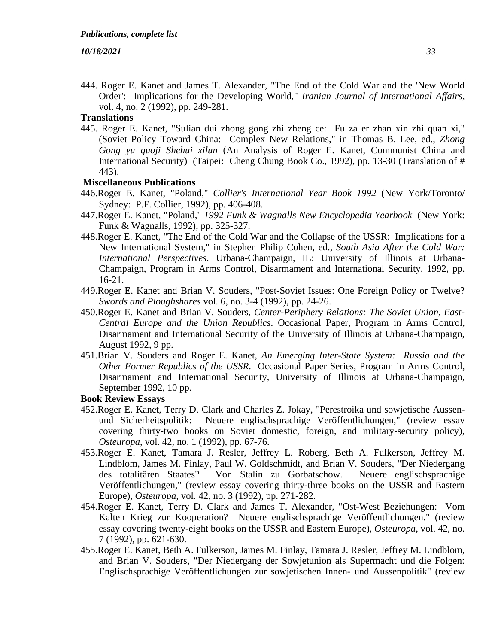444. Roger E. Kanet and James T. Alexander, "The End of the Cold War and the 'New World Order': Implications for the Developing World," *Iranian Journal of International Affairs*, vol. 4, no. 2 (1992), pp. 249-281.

# **Translations**

445. Roger E. Kanet, "Sulian dui zhong gong zhi zheng ce: Fu za er zhan xin zhi quan xi," (Soviet Policy Toward China: Complex New Relations," in Thomas B. Lee, ed., *Zhong Gong yu quoji Shehui xilun* (An Analysis of Roger E. Kanet, Communist China and International Security) (Taipei: Cheng Chung Book Co., 1992), pp. 13-30 (Translation of # 443).

# **Miscellaneous Publications**

- 446.Roger E. Kanet, "Poland," *Collier's International Year Book 1992* (New York/Toronto/ Sydney: P.F. Collier, 1992), pp. 406-408.
- 447.Roger E. Kanet, "Poland," *1992 Funk & Wagnalls New Encyclopedia Yearbook* (New York: Funk & Wagnalls, 1992), pp. 325-327.
- 448.Roger E. Kanet, "The End of the Cold War and the Collapse of the USSR: Implications for a New International System," in Stephen Philip Cohen, ed., *South Asia After the Cold War: International Perspectives*. Urbana-Champaign, IL: University of Illinois at Urbana-Champaign, Program in Arms Control, Disarmament and International Security, 1992, pp. 16-21.
- 449.Roger E. Kanet and Brian V. Souders, "Post-Soviet Issues: One Foreign Policy or Twelve? *Swords and Ploughshares* vol. 6, no. 3-4 (1992), pp. 24-26.
- 450.Roger E. Kanet and Brian V. Souders, *Center-Periphery Relations: The Soviet Union, East-Central Europe and the Union Republics*. Occasional Paper, Program in Arms Control, Disarmament and International Security of the University of Illinois at Urbana-Champaign, August 1992, 9 pp.
- 451.Brian V. Souders and Roger E. Kanet, *An Emerging Inter-State System: Russia and the Other Former Republics of the USSR*. Occasional Paper Series, Program in Arms Control, Disarmament and International Security, University of Illinois at Urbana-Champaign, September 1992, 10 pp.

- 452.Roger E. Kanet, Terry D. Clark and Charles Z. Jokay, "Perestroika und sowjetische Aussenund Sicherheitspolitik: Neuere englischsprachige Veröffentlichungen," (review essay covering thirty-two books on Soviet domestic, foreign, and military-security policy), *Osteuropa*, vol. 42, no. 1 (1992), pp. 67-76.
- 453.Roger E. Kanet, Tamara J. Resler, Jeffrey L. Roberg, Beth A. Fulkerson, Jeffrey M. Lindblom, James M. Finlay, Paul W. Goldschmidt, and Brian V. Souders, "Der Niedergang des totalitären Staates? Von Stalin zu Gorbatschow. Neuere englischsprachige Veröffentlichungen," (review essay covering thirty-three books on the USSR and Eastern Europe), *Osteuropa,* vol. 42, no. 3 (1992), pp. 271-282.
- 454.Roger E. Kanet, Terry D. Clark and James T. Alexander, "Ost-West Beziehungen: Vom Kalten Krieg zur Kooperation? Neuere englischsprachige Veröffentlichungen." (review essay covering twenty-eight books on the USSR and Eastern Europe), *Osteuropa*, vol. 42, no. 7 (1992), pp. 621-630.
- 455.Roger E. Kanet, Beth A. Fulkerson, James M. Finlay, Tamara J. Resler, Jeffrey M. Lindblom, and Brian V. Souders, "Der Niedergang der Sowjetunion als Supermacht und die Folgen: Englischsprachige Veröffentlichungen zur sowjetischen Innen- und Aussenpolitik" (review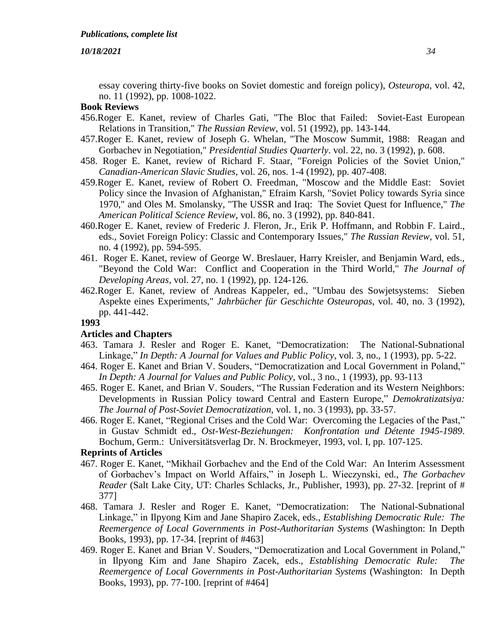essay covering thirty-five books on Soviet domestic and foreign policy), *Osteuropa*, vol. 42, no. 11 (1992), pp. 1008-1022.

# **Book Reviews**

- 456.Roger E. Kanet, review of Charles Gati, "The Bloc that Failed: Soviet-East European Relations in Transition," *The Russian Review*, vol. 51 (1992), pp. 143-144.
- 457.Roger E. Kanet, review of Joseph G. Whelan, "The Moscow Summit, 1988: Reagan and Gorbachev in Negotiation," *Presidential Studies Quarterly*. vol. 22, no. 3 (1992), p. 608.
- 458. Roger E. Kanet, review of Richard F. Staar, "Foreign Policies of the Soviet Union," *Canadian-American Slavic Studies*, vol. 26, nos. 1-4 (1992), pp. 407-408.
- 459.Roger E. Kanet, review of Robert O. Freedman, "Moscow and the Middle East: Soviet Policy since the Invasion of Afghanistan," Efraim Karsh, "Soviet Policy towards Syria since 1970," and Oles M. Smolansky, "The USSR and Iraq: The Soviet Quest for Influence," *The American Political Science Review*, vol. 86, no. 3 (1992), pp. 840-841.
- 460.Roger E. Kanet, review of Frederic J. Fleron, Jr., Erik P. Hoffmann, and Robbin F. Laird., eds., Soviet Foreign Policy: Classic and Contemporary Issues," *The Russian Review*, vol. 51, no. 4 (1992), pp. 594-595.
- 461. Roger E. Kanet, review of George W. Breslauer, Harry Kreisler, and Benjamin Ward, eds., "Beyond the Cold War: Conflict and Cooperation in the Third World," *The Journal of Developing Areas*, vol. 27, no. 1 (1992), pp. 124-126.
- 462.Roger E. Kanet, review of Andreas Kappeler, ed., "Umbau des Sowjetsystems: Sieben Aspekte eines Experiments," *Jahrbücher für Geschichte Osteuropas*, vol. 40, no. 3 (1992), pp. 441-442.

# **1993**

#### **Articles and Chapters**

- 463. Tamara J. Resler and Roger E. Kanet, "Democratization: The National-Subnational Linkage," *In Depth: A Journal for Values and Public Policy*, vol. 3, no., 1 (1993), pp. 5-22.
- 464. Roger E. Kanet and Brian V. Souders, "Democratization and Local Government in Poland," *In Depth: A Journal for Values and Public Policy*, vol., 3 no., 1 (1993), pp. 93-113
- 465. Roger E. Kanet, and Brian V. Souders, "The Russian Federation and its Western Neighbors: Developments in Russian Policy toward Central and Eastern Europe," *Demokratizatsiya: The Journal of Post-Soviet Democratization*, vol. 1, no. 3 (1993), pp. 33-57.
- 466. Roger E. Kanet, "Regional Crises and the Cold War: Overcoming the Legacies of the Past," in Gustav Schmidt ed., *Ost-West-Beziehungen: Konfrontation und Détente 1945-1989*. Bochum, Germ.: Universitätsverlag Dr. N. Brockmeyer, 1993, vol. I, pp. 107-125.

## **Reprints of Articles**

- 467. Roger E. Kanet, "Mikhail Gorbachev and the End of the Cold War: An Interim Assessment of Gorbachev's Impact on World Affairs," in Joseph L. Wieczynski, ed., *The Gorbachev Reader* (Salt Lake City, UT: Charles Schlacks, Jr., Publisher, 1993), pp. 27-32. [reprint of # 377]
- 468. Tamara J. Resler and Roger E. Kanet, "Democratization: The National-Subnational Linkage," in Ilpyong Kim and Jane Shapiro Zacek, eds., *Establishing Democratic Rule: The Reemergence of Local Governments in Post-Authoritarian Systems* (Washington: In Depth Books, 1993), pp. 17-34. [reprint of #463]
- 469. Roger E. Kanet and Brian V. Souders, "Democratization and Local Government in Poland," in Ilpyong Kim and Jane Shapiro Zacek, eds., *Establishing Democratic Rule: The Reemergence of Local Governments in Post-Authoritarian Systems* (Washington: In Depth Books, 1993), pp. 77-100. [reprint of #464]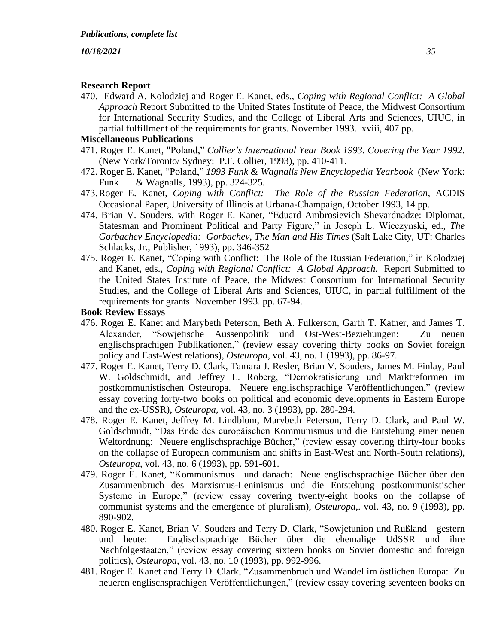# **Research Report**

470.Edward A. Kolodziej and Roger E. Kanet, eds., *Coping with Regional Conflict: A Global Approach* Report Submitted to the United States Institute of Peace, the Midwest Consortium for International Security Studies, and the College of Liberal Arts and Sciences, UIUC, in partial fulfillment of the requirements for grants. November 1993. xviii, 407 pp.

# **Miscellaneous Publications**

- 471. Roger E. Kanet, "Poland," *Collier's International Year Book 1993. Covering the Year 1992*. (New York/Toronto/ Sydney: P.F. Collier, 1993), pp. 410-411.
- 472. Roger E. Kanet, "Poland," *1993 Funk & Wagnalls New Encyclopedia Yearbook* (New York: Funk & Wagnalls, 1993), pp. 324-325.
- 473.Roger E. Kanet, *Coping with Conflict: The Role of the Russian Federation*, ACDIS Occasional Paper, University of Illinois at Urbana-Champaign, October 1993, 14 pp.
- 474. Brian V. Souders, with Roger E. Kanet, "Eduard Ambrosievich Shevardnadze: Diplomat, Statesman and Prominent Political and Party Figure," in Joseph L. Wieczynski, ed., *The Gorbachev Encyclopedia: Gorbachev, The Man and His Times* (Salt Lake City, UT: Charles Schlacks, Jr., Publisher, 1993), pp. 346-352
- 475. Roger E. Kanet, "Coping with Conflict: The Role of the Russian Federation," in Kolodziej and Kanet, eds., *Coping with Regional Conflict: A Global Approach.* Report Submitted to the United States Institute of Peace, the Midwest Consortium for International Security Studies, and the College of Liberal Arts and Sciences, UIUC, in partial fulfillment of the requirements for grants. November 1993. pp. 67-94.

- 476. Roger E. Kanet and Marybeth Peterson, Beth A. Fulkerson, Garth T. Katner, and James T. Alexander, "Sowjetische Aussenpolitik und Ost-West-Beziehungen: Zu neuen englischsprachigen Publikationen," (review essay covering thirty books on Soviet foreign policy and East-West relations), *Osteuropa*, vol. 43, no. 1 (1993), pp. 86-97.
- 477. Roger E. Kanet, Terry D. Clark, Tamara J. Resler, Brian V. Souders, James M. Finlay, Paul W. Goldschmidt, and Jeffrey L. Roberg, "Demokratisierung und Marktreformen im postkommunistischen Osteuropa. Neuere englischsprachige Veröffentlichungen," (review essay covering forty-two books on political and economic developments in Eastern Europe and the ex-USSR), *Osteuropa,* vol. 43, no. 3 (1993), pp. 280-294.
- 478. Roger E. Kanet, Jeffrey M. Lindblom, Marybeth Peterson, Terry D. Clark, and Paul W. Goldschmidt, "Das Ende des europäischen Kommunismus und die Entstehung einer neuen Weltordnung: Neuere englischsprachige Bücher," (review essay covering thirty-four books on the collapse of European communism and shifts in East-West and North-South relations), *Osteuropa*, vol. 43, no. 6 (1993), pp. 591-601.
- 479. Roger E. Kanet, "Kommunismus—und danach: Neue englischsprachige Bücher über den Zusammenbruch des Marxismus-Leninismus und die Entstehung postkommunistischer Systeme in Europe," (review essay covering twenty-eight books on the collapse of communist systems and the emergence of pluralism), *Osteuropa*,. vol. 43, no. 9 (1993), pp. 890-902.
- 480. Roger E. Kanet, Brian V. Souders and Terry D. Clark, "Sowjetunion und Rußland—gestern und heute: Englischsprachige Bücher über die ehemalige UdSSR und ihre Nachfolgestaaten," (review essay covering sixteen books on Soviet domestic and foreign politics), *Osteuropa*, vol. 43, no. 10 (1993), pp. 992-996.
- 481. Roger E. Kanet and Terry D. Clark, "Zusammenbruch und Wandel im östlichen Europa: Zu neueren englischsprachigen Veröffentlichungen," (review essay covering seventeen books on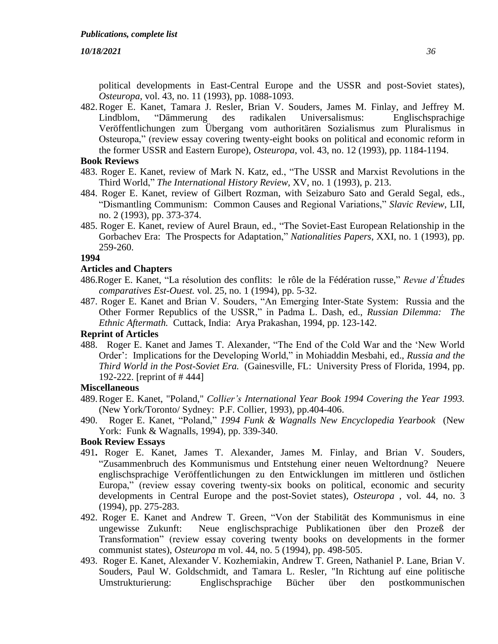political developments in East-Central Europe and the USSR and post-Soviet states), *Osteuropa*, vol. 43, no. 11 (1993), pp. 1088-1093.

482.Roger E. Kanet, Tamara J. Resler, Brian V. Souders, James M. Finlay, and Jeffrey M. Lindblom, "Dämmerung des radikalen Universalismus: Englischsprachige Veröffentlichungen zum Übergang vom authoritären Sozialismus zum Pluralismus in Osteuropa," (review essay covering twenty-eight books on political and economic reform in the former USSR and Eastern Europe), *Osteuropa*, vol. 43, no. 12 (1993), pp. 1184-1194.

## **Book Reviews**

- 483. Roger E. Kanet, review of Mark N. Katz, ed., "The USSR and Marxist Revolutions in the Third World," *The International History Review,* XV, no. 1 (1993), p. 213.
- 484. Roger E. Kanet, review of Gilbert Rozman, with Seizaburo Sato and Gerald Segal, eds., "Dismantling Communism: Common Causes and Regional Variations," *Slavic Review*, LII, no. 2 (1993), pp. 373-374.
- 485. Roger E. Kanet, review of Aurel Braun, ed., "The Soviet-East European Relationship in the Gorbachev Era: The Prospects for Adaptation," *Nationalities Papers*, XXI, no. 1 (1993), pp. 259-260.

#### **1994**

# **Articles and Chapters**

- 486.Roger E. Kanet, "La résolution des conflits: le rôle de la Fédération russe," *Revue d'Études comparatives Est-Ouest.* vol. 25, no. 1 (1994), pp. 5-32.
- 487. Roger E. Kanet and Brian V. Souders, "An Emerging Inter-State System: Russia and the Other Former Republics of the USSR," in Padma L. Dash, ed., *Russian Dilemma: The Ethnic Aftermath.* Cuttack, India: Arya Prakashan, 1994, pp. 123-142.

# **Reprint of Articles**

488. Roger E. Kanet and James T. Alexander, "The End of the Cold War and the 'New World Order': Implications for the Developing World," in Mohiaddin Mesbahi, ed., *Russia and the Third World in the Post-Soviet Era.* (Gainesville, FL: University Press of Florida, 1994, pp. 192-222. [reprint of # 444]

### **Miscellaneous**

- 489.Roger E. Kanet, "Poland," *Collier's International Year Book 1994 Covering the Year 1993.* (New York/Toronto/ Sydney: P.F. Collier, 1993), pp.404-406.
- 490. Roger E. Kanet, "Poland," *1994 Funk & Wagnalls New Encyclopedia Yearbook* (New York: Funk & Wagnalls, 1994), pp. 339-340.

- 491**.** Roger E. Kanet, James T. Alexander, James M. Finlay, and Brian V. Souders, "Zusammenbruch des Kommunismus und Entstehung einer neuen Weltordnung? Neuere englischsprachige Veröffentlichungen zu den Entwicklungen im mittleren und östlichen Europa," (review essay covering twenty-six books on political, economic and security developments in Central Europe and the post-Soviet states), *Osteuropa* , vol. 44, no. 3 (1994), pp. 275-283.
- 492. Roger E. Kanet and Andrew T. Green, "Von der Stabilität des Kommunismus in eine ungewisse Zukunft: Neue englischsprachige Publikationen über den Prozeß der Transformation" (review essay covering twenty books on developments in the former communist states), *Osteuropa* m vol. 44, no. 5 (1994), pp. 498-505.
- 493. Roger E. Kanet, Alexander V. Kozhemiakin, Andrew T. Green, Nathaniel P. Lane, Brian V. Souders, Paul W. Goldschmidt, and Tamara L. Resler, "In Richtung auf eine politische Umstrukturierung: Englischsprachige Bücher über den postkommunischen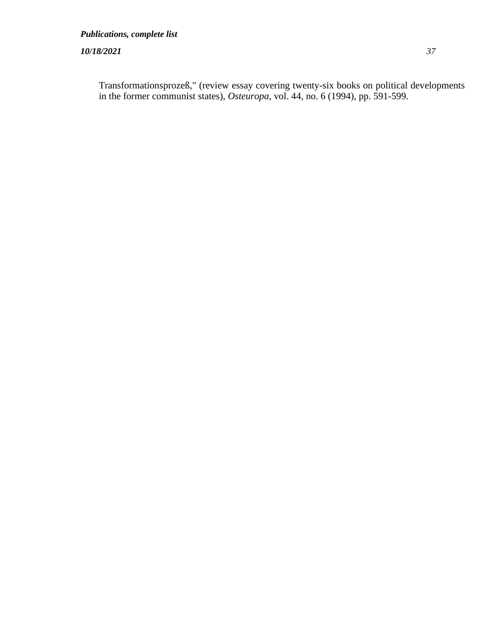Transformationsprozeß," (review essay covering twenty-six books on political developments in the former communist states), *Osteuropa*, vol. 44, no. 6 (1994), pp. 591-599.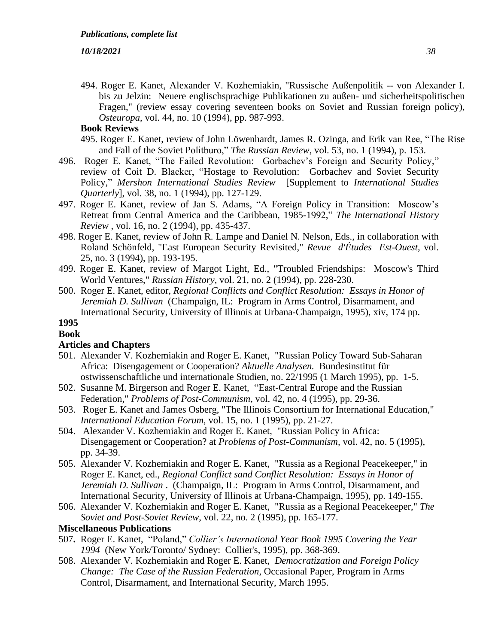494. Roger E. Kanet, Alexander V. Kozhemiakin, "Russische Außenpolitik -- von Alexander I. bis zu Jelzin: Neuere englischsprachige Publikationen zu außen- und sicherheitspolitischen Fragen," (review essay covering seventeen books on Soviet and Russian foreign policy), *Osteuropa*, vol. 44, no. 10 (1994), pp. 987-993.

# **Book Reviews**

- 495. Roger E. Kanet, review of John Löwenhardt, James R. Ozinga, and Erik van Ree, "The Rise and Fall of the Soviet Politburo," *The Russian Review*, vol. 53, no. 1 (1994), p. 153.
- 496. Roger E. Kanet, "The Failed Revolution: Gorbachev's Foreign and Security Policy," review of Coit D. Blacker, "Hostage to Revolution: Gorbachev and Soviet Security Policy," *Mershon International Studies Review* [Supplement to *International Studies Quarterly*], vol. 38, no. 1 (1994), pp. 127-129.
- 497. Roger E. Kanet, review of Jan S. Adams, "A Foreign Policy in Transition: Moscow's Retreat from Central America and the Caribbean, 1985-1992," *The International History Review* , vol. 16, no. 2 (1994), pp. 435-437.
- 498. Roger E. Kanet, review of John R. Lampe and Daniel N. Nelson, Eds., in collaboration with Roland Schönfeld, "East European Security Revisited," *Revue d'Études Est-Ouest,* vol. 25, no. 3 (1994), pp. 193-195.
- 499. Roger E. Kanet, review of Margot Light, Ed., "Troubled Friendships: Moscow's Third World Ventures," *Russian History,* vol. 21, no. 2 (1994), pp. 228-230.
- 500. Roger E. Kanet, editor, *Regional Conflicts and Conflict Resolution: Essays in Honor of Jeremiah D. Sullivan* (Champaign, IL: Program in Arms Control, Disarmament, and International Security, University of Illinois at Urbana-Champaign, 1995), xiv, 174 pp.

# **1995**

# **Book**

# **Articles and Chapters**

- 501. Alexander V. Kozhemiakin and Roger E. Kanet, "Russian Policy Toward Sub-Saharan Africa: Disengagement or Cooperation? *Aktuelle Analysen.* Bundesinstitut für ostwissenschaftliche und internationale Studien, no. 22/1995 (1 March 1995), pp. 1-5.
- 502. Susanne M. Birgerson and Roger E. Kanet, "East-Central Europe and the Russian Federation," *Problems of Post-Communism*, vol. 42, no. 4 (1995), pp. 29-36.
- 503. Roger E. Kanet and James Osberg, "The Illinois Consortium for International Education," *International Education Forum,* vol. 15, no. 1 (1995), pp. 21-27.
- 504. Alexander V. Kozhemiakin and Roger E. Kanet, "Russian Policy in Africa: Disengagement or Cooperation? at *Problems of Post-Communism,* vol. 42, no. 5 (1995), pp. 34-39.
- 505. Alexander V. Kozhemiakin and Roger E. Kanet, "Russia as a Regional Peacekeeper," in Roger E. Kanet, ed., *Regional Conflict sand Conflict Resolution: Essays in Honor of Jeremiah D. Sullivan* . (Champaign, IL: Program in Arms Control, Disarmament, and International Security, University of Illinois at Urbana-Champaign, 1995), pp. 149-155.
- 506. Alexander V. Kozhemiakin and Roger E. Kanet, "Russia as a Regional Peacekeeper," *The Soviet and Post-Soviet Review*, vol. 22, no. 2 (1995), pp. 165-177.

# **Miscellaneous Publications**

- 507**.** Roger E. Kanet, "Poland," *Collier's International Year Book 1995 Covering the Year 1994* (New York/Toronto/ Sydney: Collier's, 1995), pp. 368-369.
- 508. Alexander V. Kozhemiakin and Roger E. Kanet, *Democratization and Foreign Policy Change: The Case of the Russian Federation*, Occasional Paper, Program in Arms Control, Disarmament, and International Security, March 1995.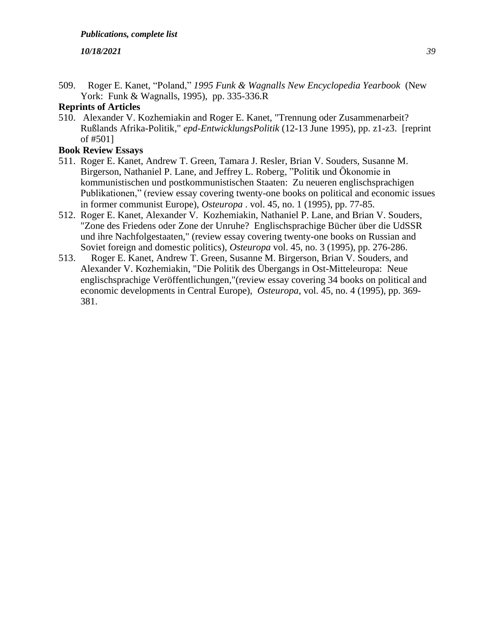509. Roger E. Kanet, "Poland," *1995 Funk & Wagnalls New Encyclopedia Yearbook* (New York: Funk & Wagnalls, 1995), pp. 335-336.R

# **Reprints of Articles**

510. Alexander V. Kozhemiakin and Roger E. Kanet, "Trennung oder Zusammenarbeit? Rußlands Afrika-Politik," *epd-EntwicklungsPolitik* (12-13 June 1995), pp. z1-z3. [reprint of #501]

- 511. Roger E. Kanet, Andrew T. Green, Tamara J. Resler, Brian V. Souders, Susanne M. Birgerson, Nathaniel P. Lane, and Jeffrey L. Roberg, "Politik und Ökonomie in kommunistischen und postkommunistischen Staaten: Zu neueren englischsprachigen Publikationen," (review essay covering twenty-one books on political and economic issues in former communist Europe), *Osteuropa* . vol. 45, no. 1 (1995), pp. 77-85.
- 512. Roger E. Kanet, Alexander V. Kozhemiakin, Nathaniel P. Lane, and Brian V. Souders, "Zone des Friedens oder Zone der Unruhe? Englischsprachige Bücher über die UdSSR und ihre Nachfolgestaaten," (review essay covering twenty-one books on Russian and Soviet foreign and domestic politics), *Osteuropa* vol. 45, no. 3 (1995), pp. 276-286.
- 513. Roger E. Kanet, Andrew T. Green, Susanne M. Birgerson, Brian V. Souders, and Alexander V. Kozhemiakin, "Die Politik des Übergangs in Ost-Mitteleuropa: Neue englischsprachige Veröffentlichungen,"(review essay covering 34 books on political and economic developments in Central Europe), *Osteuropa*, vol. 45, no. 4 (1995), pp. 369- 381.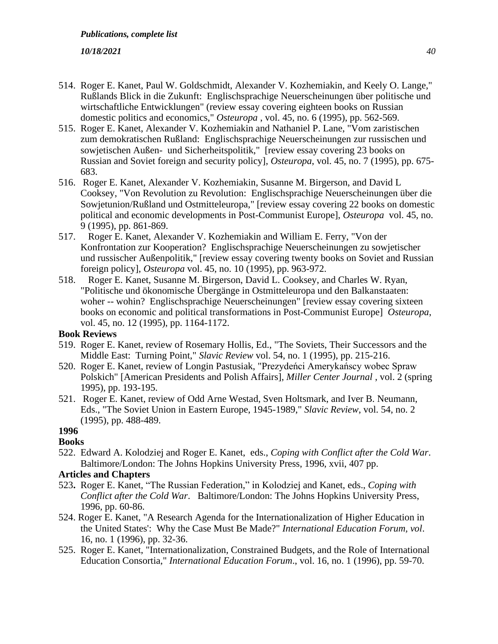- 514. Roger E. Kanet, Paul W. Goldschmidt, Alexander V. Kozhemiakin, and Keely O. Lange," Rußlands Blick in die Zukunft: Englischsprachige Neuerscheinungen über politische und wirtschaftliche Entwicklungen" (review essay covering eighteen books on Russian domestic politics and economics," *Osteuropa* , vol. 45, no. 6 (1995), pp. 562-569.
- 515. Roger E. Kanet, Alexander V. Kozhemiakin and Nathaniel P. Lane, "Vom zaristischen zum demokratischen Rußland: Englischsprachige Neuerscheinungen zur russischen und sowjetischen Außen- und Sicherheitspolitik," [review essay covering 23 books on Russian and Soviet foreign and security policy], *Osteuropa*, vol. 45, no. 7 (1995), pp. 675- 683.
- 516. Roger E. Kanet, Alexander V. Kozhemiakin, Susanne M. Birgerson, and David L Cooksey, "Von Revolution zu Revolution: Englischsprachige Neuerscheinungen über die Sowjetunion/Rußland und Ostmitteleuropa," [review essay covering 22 books on domestic political and economic developments in Post-Communist Europe], *Osteuropa* vol. 45, no. 9 (1995), pp. 861-869.
- 517. Roger E. Kanet, Alexander V. Kozhemiakin and William E. Ferry, "Von der Konfrontation zur Kooperation? Englischsprachige Neuerscheinungen zu sowjetischer und russischer Außenpolitik," [review essay covering twenty books on Soviet and Russian foreign policy], *Osteuropa* vol. 45, no. 10 (1995), pp. 963-972.
- 518. Roger E. Kanet, Susanne M. Birgerson, David L. Cooksey, and Charles W. Ryan, "Politische und ökonomische Übergänge in Ostmitteleuropa und den Balkanstaaten: woher -- wohin? Englischsprachige Neuerscheinungen" [review essay covering sixteen books on economic and political transformations in Post-Communist Europe] *Osteuropa*, vol. 45, no. 12 (1995), pp. 1164-1172.

# **Book Reviews**

- 519. Roger E. Kanet, review of Rosemary Hollis, Ed., "The Soviets, Their Successors and the Middle East: Turning Point," *Slavic Review* vol. 54, no. 1 (1995), pp. 215-216.
- 520. Roger E. Kanet, review of Longin Pastusiak, "Prezydeńci Amerykańscy wobec Spraw Polskich" [American Presidents and Polish Affairs], *Miller Center Journal* , vol. 2 (spring 1995), pp. 193-195.
- 521. Roger E. Kanet, review of Odd Arne Westad, Sven Holtsmark, and Iver B. Neumann, Eds., "The Soviet Union in Eastern Europe, 1945-1989," *Slavic Review*, vol. 54, no. 2 (1995), pp. 488-489.

# **1996**

- **Books**
- 522. Edward A. Kolodziej and Roger E. Kanet, eds., *Coping with Conflict after the Cold War*. Baltimore/London: The Johns Hopkins University Press, 1996, xvii, 407 pp.

# **Articles and Chapters**

- 523**.** Roger E. Kanet, "The Russian Federation," in Kolodziej and Kanet, eds., *Coping with Conflict after the Cold War*. Baltimore/London: The Johns Hopkins University Press, 1996, pp. 60-86.
- 524. Roger E. Kanet, "A Research Agenda for the Internationalization of Higher Education in the United States': Why the Case Must Be Made?" *International Education Forum, vol*. 16, no. 1 (1996), pp. 32-36.
- 525. Roger E. Kanet, "Internationalization, Constrained Budgets, and the Role of International Education Consortia," *International Education Forum*., vol. 16, no. 1 (1996), pp. 59-70.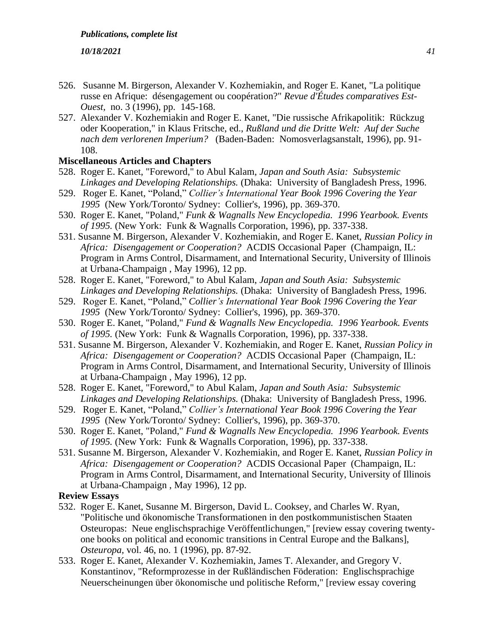- 526. Susanne M. Birgerson, Alexander V. Kozhemiakin, and Roger E. Kanet, "La politique russe en Afrique: désengagement ou coopération?" *Revue d'Études comparatives Est-Ouest,* no. 3 (1996), pp. 145-168.
- 527. Alexander V. Kozhemiakin and Roger E. Kanet, "Die russische Afrikapolitik: Rückzug oder Kooperation," in Klaus Fritsche, ed., *Rußland und die Dritte Welt: Auf der Suche nach dem verlorenen Imperium?* (Baden-Baden: Nomosverlagsanstalt, 1996), pp. 91- 108.

# **Miscellaneous Articles and Chapters**

- 528. Roger E. Kanet, "Foreword," to Abul Kalam, *Japan and South Asia: Subsystemic Linkages and Developing Relationships.* (Dhaka: University of Bangladesh Press, 1996.
- 529. Roger E. Kanet, "Poland," *Collier's International Year Book 1996 Covering the Year 1995* (New York/Toronto/ Sydney: Collier's, 1996), pp. 369-370.
- 530. Roger E. Kanet, "Poland," *Funk & Wagnalls New Encyclopedia. 1996 Yearbook. Events of 1995.* (New York: Funk & Wagnalls Corporation, 1996), pp. 337-338.
- 531. Susanne M. Birgerson, Alexander V. Kozhemiakin, and Roger E. Kanet, *Russian Policy in Africa: Disengagement or Cooperation?* ACDIS Occasional Paper (Champaign, IL: Program in Arms Control, Disarmament, and International Security, University of Illinois at Urbana-Champaign , May 1996), 12 pp.
- 528. Roger E. Kanet, "Foreword," to Abul Kalam, *Japan and South Asia: Subsystemic Linkages and Developing Relationships.* (Dhaka: University of Bangladesh Press, 1996.
- 529. Roger E. Kanet, "Poland," *Collier's International Year Book 1996 Covering the Year 1995* (New York/Toronto/ Sydney: Collier's, 1996), pp. 369-370.
- 530. Roger E. Kanet, "Poland," *Fund & Wagnalls New Encyclopedia. 1996 Yearbook. Events of 1995.* (New York: Funk & Wagnalls Corporation, 1996), pp. 337-338.
- 531. Susanne M. Birgerson, Alexander V. Kozhemiakin, and Roger E. Kanet, *Russian Policy in Africa: Disengagement or Cooperation?* ACDIS Occasional Paper (Champaign, IL: Program in Arms Control, Disarmament, and International Security, University of Illinois at Urbana-Champaign , May 1996), 12 pp.
- 528. Roger E. Kanet, "Foreword," to Abul Kalam, *Japan and South Asia: Subsystemic Linkages and Developing Relationships.* (Dhaka: University of Bangladesh Press, 1996.
- 529. Roger E. Kanet, "Poland," *Collier's International Year Book 1996 Covering the Year 1995* (New York/Toronto/ Sydney: Collier's, 1996), pp. 369-370.
- 530. Roger E. Kanet, "Poland," *Fund & Wagnalls New Encyclopedia. 1996 Yearbook. Events of 1995.* (New York: Funk & Wagnalls Corporation, 1996), pp. 337-338.
- 531. Susanne M. Birgerson, Alexander V. Kozhemiakin, and Roger E. Kanet, *Russian Policy in Africa: Disengagement or Cooperation?* ACDIS Occasional Paper (Champaign, IL: Program in Arms Control, Disarmament, and International Security, University of Illinois at Urbana-Champaign , May 1996), 12 pp.

**Review Essays**

- 532. Roger E. Kanet, Susanne M. Birgerson, David L. Cooksey, and Charles W. Ryan, "Politische und ökonomische Transformationen in den postkommunistischen Staaten Osteuropas: Neue englischsprachige Veröffentlichungen," [review essay covering twentyone books on political and economic transitions in Central Europe and the Balkans], *Osteuropa,* vol. 46, no. 1 (1996), pp. 87-92.
- 533. Roger E. Kanet, Alexander V. Kozhemiakin, James T. Alexander, and Gregory V. Konstantinov, "Reformprozesse in der Rußländischen Föderation: Englischsprachige Neuerscheinungen über ökonomische und politische Reform," [review essay covering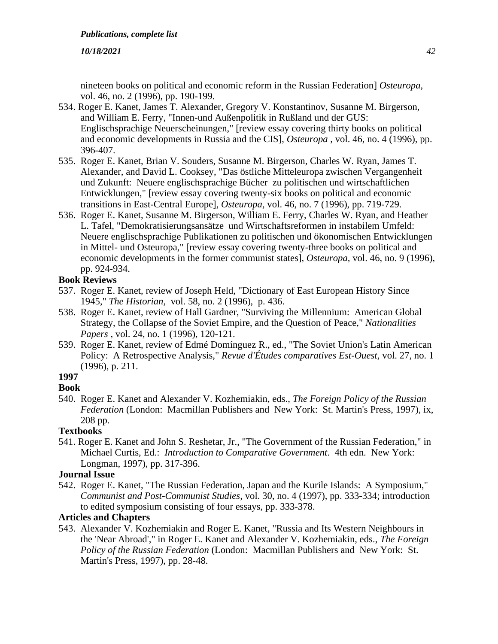nineteen books on political and economic reform in the Russian Federation] *Osteuropa,* vol. 46, no. 2 (1996), pp. 190-199.

- 534. Roger E. Kanet, James T. Alexander, Gregory V. Konstantinov, Susanne M. Birgerson, and William E. Ferry, "Innen-und Außenpolitik in Rußland und der GUS: Englischsprachige Neuerscheinungen," [review essay covering thirty books on political and economic developments in Russia and the CIS], *Osteuropa* , vol. 46, no. 4 (1996), pp. 396-407.
- 535. Roger E. Kanet, Brian V. Souders, Susanne M. Birgerson, Charles W. Ryan, James T. Alexander, and David L. Cooksey, "Das östliche Mitteleuropa zwischen Vergangenheit und Zukunft: Neuere englischsprachige Bücher zu politischen und wirtschaftlichen Entwicklungen," [review essay covering twenty-six books on political and economic transitions in East-Central Europe], *Osteuropa,* vol. 46, no. 7 (1996), pp. 719-729.
- 536. Roger E. Kanet, Susanne M. Birgerson, William E. Ferry, Charles W. Ryan, and Heather L. Tafel, "Demokratisierungsansätze und Wirtschaftsreformen in instabilem Umfeld: Neuere englischsprachige Publikationen zu politischen und ökonomischen Entwicklungen in Mittel- und Osteuropa," [review essay covering twenty-three books on political and economic developments in the former communist states], *Osteuropa,* vol. 46, no. 9 (1996), pp. 924-934.

# **Book Reviews**

- 537. Roger E. Kanet, review of Joseph Held, "Dictionary of East European History Since 1945," *The Historian,* vol. 58, no. 2 (1996), p. 436.
- 538. Roger E. Kanet, review of Hall Gardner, "Surviving the Millennium: American Global Strategy, the Collapse of the Soviet Empire, and the Question of Peace," *Nationalities Papers* , vol. 24, no. 1 (1996), 120-121.
- 539. Roger E. Kanet, review of Edmé Domínguez R., ed., "The Soviet Union's Latin American Policy: A Retrospective Analysis," *Revue d'Études comparatives Est-Ouest,* vol. 27, no. 1 (1996), p. 211.

#### **1997 Book**

540. Roger E. Kanet and Alexander V. Kozhemiakin, eds., *The Foreign Policy of the Russian Federation* (London: Macmillan Publishers and New York: St. Martin's Press, 1997), ix, 208 pp.

# **Textbooks**

541. Roger E. Kanet and John S. Reshetar, Jr., "The Government of the Russian Federation," in Michael Curtis, Ed.: *Introduction to Comparative Government*. 4th edn. New York: Longman, 1997), pp. 317-396.

# **Journal Issue**

542. Roger E. Kanet, "The Russian Federation, Japan and the Kurile Islands: A Symposium," *Communist and Post-Communist Studies,* vol. 30, no. 4 (1997), pp. 333-334; introduction to edited symposium consisting of four essays, pp. 333-378.

# **Articles and Chapters**

543. Alexander V. Kozhemiakin and Roger E. Kanet, "Russia and Its Western Neighbours in the 'Near Abroad'," in Roger E. Kanet and Alexander V. Kozhemiakin, eds., *The Foreign Policy of the Russian Federation* (London: Macmillan Publishers and New York: St. Martin's Press, 1997), pp. 28-48.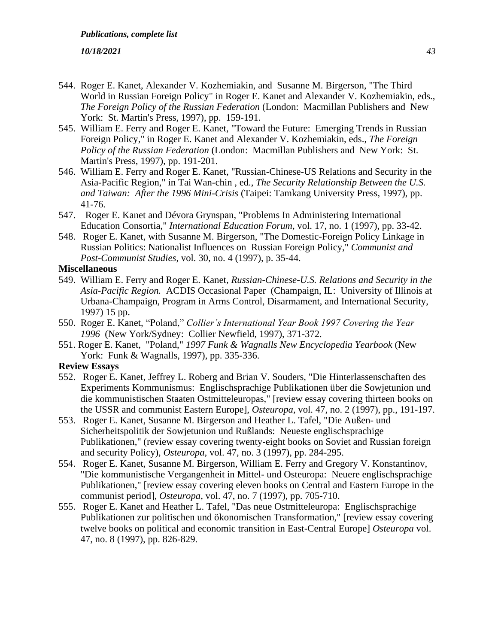- 544. Roger E. Kanet, Alexander V. Kozhemiakin, and Susanne M. Birgerson, "The Third World in Russian Foreign Policy" in Roger E. Kanet and Alexander V. Kozhemiakin, eds., *The Foreign Policy of the Russian Federation* (London: Macmillan Publishers and New York: St. Martin's Press, 1997), pp. 159-191.
- 545. William E. Ferry and Roger E. Kanet, "Toward the Future: Emerging Trends in Russian Foreign Policy," in Roger E. Kanet and Alexander V. Kozhemiakin, eds., *The Foreign Policy of the Russian Federation* (London: Macmillan Publishers and New York: St. Martin's Press, 1997), pp. 191-201.
- 546. William E. Ferry and Roger E. Kanet, "Russian-Chinese-US Relations and Security in the Asia-Pacific Region," in Tai Wan-chin , ed., *The Security Relationship Between the U.S. and Taiwan: After the 1996 Mini-Crisis* (Taipei: Tamkang University Press, 1997), pp. 41-76.
- 547. Roger E. Kanet and Dévora Grynspan, "Problems In Administering International Education Consortia," *International Education Forum,* vol. 17, no. 1 (1997), pp. 33-42.
- 548. Roger E. Kanet, with Susanne M. Birgerson, "The Domestic-Foreign Policy Linkage in Russian Politics: Nationalist Influences on Russian Foreign Policy," *Communist and Post-Communist Studies*, vol. 30, no. 4 (1997), p. 35-44.

# **Miscellaneous**

- 549. William E. Ferry and Roger E. Kanet, *Russian-Chinese-U.S. Relations and Security in the Asia-Pacific Region.* ACDIS Occasional Paper (Champaign, IL: University of Illinois at Urbana-Champaign, Program in Arms Control, Disarmament, and International Security, 1997) 15 pp.
- 550. Roger E. Kanet, "Poland," *Collier's International Year Book 1997 Covering the Year 1996* (New York/Sydney: Collier Newfield, 1997), 371-372.
- 551. Roger E. Kanet, "Poland," *1997 Funk & Wagnalls New Encyclopedia Yearbook* (New York: Funk & Wagnalls, 1997), pp. 335-336.

# **Review Essays**

- 552. Roger E. Kanet, Jeffrey L. Roberg and Brian V. Souders, "Die Hinterlassenschaften des Experiments Kommunismus: Englischsprachige Publikationen über die Sowjetunion und die kommunistischen Staaten Ostmitteleuropas," [review essay covering thirteen books on the USSR and communist Eastern Europe], *Osteuropa,* vol. 47, no. 2 (1997), pp., 191-197.
- 553. Roger E. Kanet, Susanne M. Birgerson and Heather L. Tafel, "Die Außen- und Sicherheitspolitik der Sowjetunion und Rußlands: Neueste englischsprachige Publikationen," (review essay covering twenty-eight books on Soviet and Russian foreign and security Policy), *Osteuropa,* vol. 47, no. 3 (1997), pp. 284-295.
- 554. Roger E. Kanet, Susanne M. Birgerson, William E. Ferry and Gregory V. Konstantinov, "Die kommunistische Vergangenheit in Mittel- und Osteuropa: Neuere englischsprachige Publikationen," [review essay covering eleven books on Central and Eastern Europe in the communist period], *Osteuropa,* vol. 47, no. 7 (1997), pp. 705-710.
- 555. Roger E. Kanet and Heather L. Tafel, "Das neue Ostmitteleuropa: Englischsprachige Publikationen zur politischen und ökonomischen Transformation," [review essay covering twelve books on political and economic transition in East-Central Europe] *Osteuropa* vol. 47, no. 8 (1997), pp. 826-829.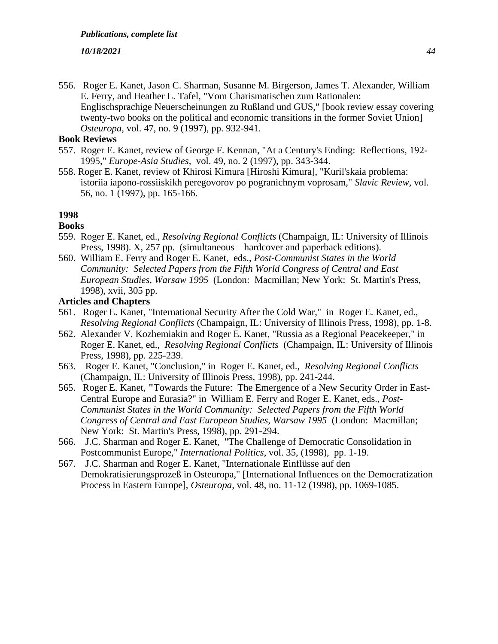556. Roger E. Kanet, Jason C. Sharman, Susanne M. Birgerson, James T. Alexander, William E. Ferry, and Heather L. Tafel, "Vom Charismatischen zum Rationalen: Englischsprachige Neuerscheinungen zu Rußland und GUS," [book review essay covering twenty-two books on the political and economic transitions in the former Soviet Union] *Osteuropa,* vol. 47, no. 9 (1997), pp. 932-941.

# **Book Reviews**

- 557. Roger E. Kanet, review of George F. Kennan, "At a Century's Ending: Reflections, 192- 1995," *Europe-Asia Studies,* vol. 49, no. 2 (1997), pp. 343-344.
- 558. Roger E. Kanet, review of Khirosi Kimura [Hiroshi Kimura], "Kuril'skaia problema: istoriia iapono-rossiiskikh peregovorov po pogranichnym voprosam," *Slavic Review,* vol. 56, no. 1 (1997), pp. 165-166.

# **1998**

# **Books**

- 559. Roger E. Kanet, ed., *Resolving Regional Conflicts* (Champaign, IL: University of Illinois Press, 1998). X, 257 pp. (simultaneous hardcover and paperback editions).
- 560. William E. Ferry and Roger E. Kanet, eds., *Post-Communist States in the World Community: Selected Papers from the Fifth World Congress of Central and East European Studies, Warsaw 1995* (London: Macmillan; New York: St. Martin's Press, 1998), xvii, 305 pp.

# **Articles and Chapters**

- 561. Roger E. Kanet, "International Security After the Cold War," in Roger E. Kanet, ed., *Resolving Regional Conflicts* (Champaign, IL: University of Illinois Press, 1998), pp. 1-8.
- 562. Alexander V. Kozhemiakin and Roger E. Kanet, "Russia as a Regional Peacekeeper," in Roger E. Kanet, ed., *Resolving Regional Conflicts* (Champaign, IL: University of Illinois Press, 1998), pp. 225-239.
- 563. Roger E. Kanet, "Conclusion," in Roger E. Kanet, ed., *Resolving Regional Conflicts*  (Champaign, IL: University of Illinois Press, 1998), pp. 241-244.
- 565. Roger E. Kanet, **"**Towards the Future: The Emergence of a New Security Order in East-Central Europe and Eurasia?" in William E. Ferry and Roger E. Kanet, eds., *Post-Communist States in the World Community: Selected Papers from the Fifth World Congress of Central and East European Studies, Warsaw 1995* (London: Macmillan; New York: St. Martin's Press, 1998), pp. 291-294.
- 566. J.C. Sharman and Roger E. Kanet, "The Challenge of Democratic Consolidation in Postcommunist Europe," *International Politics*, vol. 35, (1998), pp. 1-19.
- 567. J.C. Sharman and Roger E. Kanet, "Internationale Einflüsse auf den Demokratisierungsprozeß in Osteuropa," [International Influences on the Democratization Process in Eastern Europe], *Osteuropa,* vol. 48, no. 11-12 (1998), pp. 1069-1085.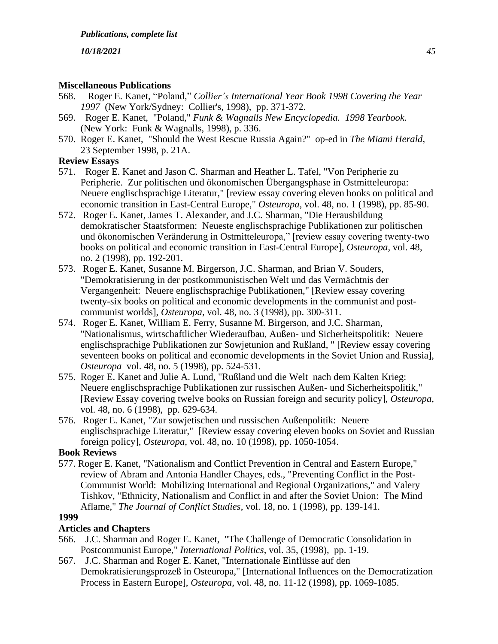# **Miscellaneous Publications**

- 568. Roger E. Kanet, "Poland," *Collier's International Year Book 1998 Covering the Year 1997* (New York/Sydney: Collier's, 1998), pp. 371-372.
- 569. Roger E. Kanet, "Poland," *Funk & Wagnalls New Encyclopedia. 1998 Yearbook.*  (New York: Funk & Wagnalls, 1998), p. 336.
- 570. Roger E. Kanet, "Should the West Rescue Russia Again?" op-ed in *The Miami Herald*, 23 September 1998, p. 21A.

# **Review Essays**

- 571. Roger E. Kanet and Jason C. Sharman and Heather L. Tafel, "Von Peripherie zu Peripherie. Zur politischen und ökonomischen Übergangsphase in Ostmitteleuropa: Neuere englischsprachige Literatur," [review essay covering eleven books on political and economic transition in East-Central Europe," *Osteuropa*, vol. 48, no. 1 (1998), pp. 85-90.
- 572. Roger E. Kanet, James T. Alexander, and J.C. Sharman, "Die Herausbildung demokratischer Staatsformen: Neueste englischsprachige Publikationen zur politischen und ökonomischen Veränderung in Ostmitteleuropa," [review essay covering twenty-two books on political and economic transition in East-Central Europe], *Osteuropa,* vol. 48, no. 2 (1998), pp. 192-201.
- 573. Roger E. Kanet, Susanne M. Birgerson, J.C. Sharman, and Brian V. Souders, "Demokratisierung in der postkommunistischen Welt und das Vermächtnis der Vergangenheit: Neuere englischsprachige Publikationen," [Review essay covering twenty-six books on political and economic developments in the communist and postcommunist worlds], *Osteuropa*, vol. 48, no. 3 (1998), pp. 300-311.
- 574. Roger E. Kanet, William E. Ferry, Susanne M. Birgerson, and J.C. Sharman, "Nationalismus, wirtschaftlicher Wiederaufbau, Außen- und Sicherheitspolitik: Neuere englischsprachige Publikationen zur Sowjetunion and Rußland, " [Review essay covering seventeen books on political and economic developments in the Soviet Union and Russia], *Osteuropa* vol. 48, no. 5 (1998), pp. 524-531.
- 575. Roger E. Kanet and Julie A. Lund, "Rußland und die Welt nach dem Kalten Krieg: Neuere englischsprachige Publikationen zur russischen Außen- und Sicherheitspolitik," [Review Essay covering twelve books on Russian foreign and security policy], *Osteuropa,*  vol. 48, no. 6 (1998), pp. 629-634.
- 576. Roger E. Kanet, "Zur sowjetischen und russischen Außenpolitik: Neuere englischsprachige Literatur," [Review essay covering eleven books on Soviet and Russian foreign policy], *Osteuropa,* vol. 48, no. 10 (1998), pp. 1050-1054.

# **Book Reviews**

577. Roger E. Kanet, "Nationalism and Conflict Prevention in Central and Eastern Europe," review of Abram and Antonia Handler Chayes, eds., "Preventing Conflict in the Post-Communist World: Mobilizing International and Regional Organizations," and Valery Tishkov, "Ethnicity, Nationalism and Conflict in and after the Soviet Union: The Mind Aflame," *The Journal of Conflict Studies*, vol. 18, no. 1 (1998), pp. 139-141.

# **1999**

# **Articles and Chapters**

- 566. J.C. Sharman and Roger E. Kanet, "The Challenge of Democratic Consolidation in Postcommunist Europe," *International Politics*, vol. 35, (1998), pp. 1-19.
- 567. J.C. Sharman and Roger E. Kanet, "Internationale Einflüsse auf den Demokratisierungsprozeß in Osteuropa," [International Influences on the Democratization Process in Eastern Europe], *Osteuropa,* vol. 48, no. 11-12 (1998), pp. 1069-1085.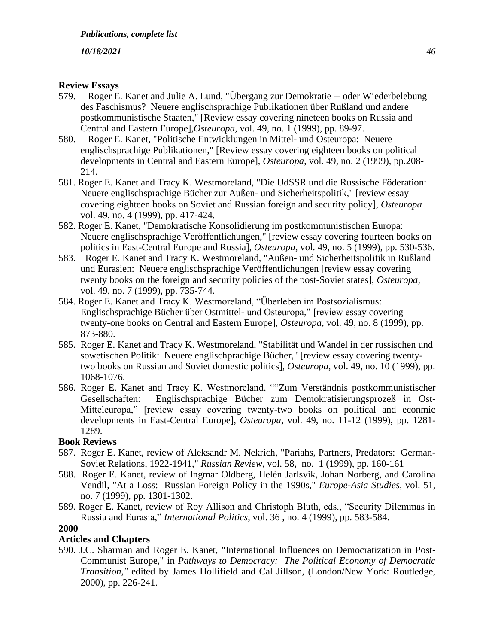# **Review Essays**

- 579. Roger E. Kanet and Julie A. Lund, "Übergang zur Demokratie -- oder Wiederbelebung des Faschismus? Neuere englischsprachige Publikationen über Rußland und andere postkommunistische Staaten," [Review essay covering nineteen books on Russia and Central and Eastern Europe],*Osteuropa*, vol. 49, no. 1 (1999), pp. 89-97.
- 580. Roger E. Kanet, "Politische Entwicklungen in Mittel- und Osteuropa: Neuere englischsprachige Publikationen," [Review essay covering eighteen books on political developments in Central and Eastern Europe], *Osteuropa*, vol. 49, no. 2 (1999), pp.208- 214.
- 581. Roger E. Kanet and Tracy K. Westmoreland, "Die UdSSR und die Russische Föderation: Neuere englischsprachige Bücher zur Außen- und Sicherheitspolitik," [review essay covering eighteen books on Soviet and Russian foreign and security policy], *Osteuropa* vol. 49, no. 4 (1999), pp. 417-424.
- 582. Roger E. Kanet, "Demokratische Konsolidierung im postkommunistischen Europa: Neuere englischsprachige Veröffentlichungen," [review essay covering fourteen books on politics in East-Central Europe and Russia], *Osteuropa,* vol. 49, no. 5 (1999), pp. 530-536.
- 583. Roger E. Kanet and Tracy K. Westmoreland, "Außen- und Sicherheitspolitik in Rußland und Eurasien: Neuere englischsprachige Veröffentlichungen [review essay covering twenty books on the foreign and security policies of the post-Soviet states], *Osteuropa,* vol. 49, no. 7 (1999), pp. 735-744.
- 584. Roger E. Kanet and Tracy K. Westmoreland, "Überleben im Postsozialismus: Englischsprachige Bücher über Ostmittel- und Osteuropa," [review essay covering twenty-one books on Central and Eastern Europe], *Osteuropa,* vol. 49, no. 8 (1999), pp. 873-880.
- 585. Roger E. Kanet and Tracy K. Westmoreland, "Stabilität und Wandel in der russischen und sowetischen Politik: Neuere englischprachige Bücher," [review essay covering twentytwo books on Russian and Soviet domestic politics], *Osteuropa*, vol. 49, no. 10 (1999), pp. 1068-1076.
- 586. Roger E. Kanet and Tracy K. Westmoreland, ""Zum Verständnis postkommunistischer Gesellschaften: Englischsprachige Bücher zum Demokratisierungsprozeß in Ost-Mitteleuropa," [review essay covering twenty-two books on political and econmic developments in East-Central Europe], *Osteuropa*, vol. 49, no. 11-12 (1999), pp. 1281- 1289.

# **Book Reviews**

- 587. Roger E. Kanet, review of Aleksandr M. Nekrich, "Pariahs, Partners, Predators: German-Soviet Relations, 1922-1941," *Russian Review*, vol. 58, no. 1 (1999), pp. 160-161
- 588. Roger E. Kanet, review of Ingmar Oldberg, Helén Jarlsvik, Johan Norberg, and Carolina Vendil, "At a Loss: Russian Foreign Policy in the 1990s," *Europe-Asia Studies,* vol. 51, no. 7 (1999), pp. 1301-1302.
- 589. Roger E. Kanet, review of Roy Allison and Christoph Bluth, eds., "Security Dilemmas in Russia and Eurasia," *International Politics*, vol. 36 , no. 4 (1999), pp. 583-584.

# **2000**

# **Articles and Chapters**

590. J.C. Sharman and Roger E. Kanet, "International Influences on Democratization in Post-Communist Europe," in *Pathways to Democracy: The Political Economy of Democratic Transition,"* edited by James Hollifield and Cal Jillson, (London/New York: Routledge, 2000), pp. 226-241.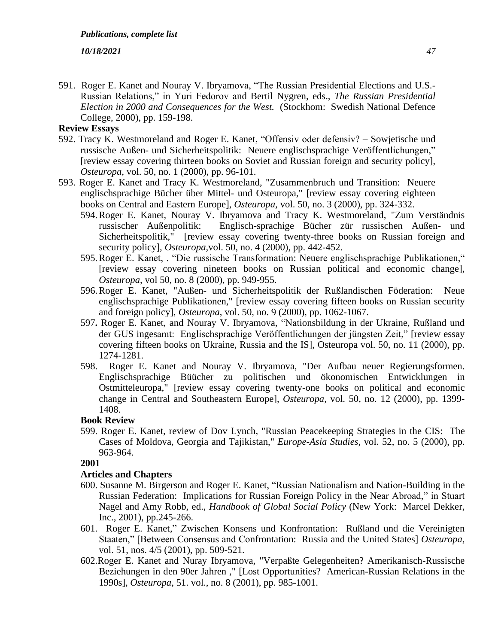591. Roger E. Kanet and Nouray V. Ibryamova, "The Russian Presidential Elections and U.S.- Russian Relations," in Yuri Fedorov and Bertil Nygren, eds., *The Russian Presidential Election in 2000 and Consequences for the West.* (Stockhom: Swedish National Defence College, 2000), pp. 159-198.

# **Review Essays**

- 592. Tracy K. Westmoreland and Roger E. Kanet, "Offensiv oder defensiv? Sowjetische und russische Außen- und Sicherheitspolitik: Neuere englischsprachige Veröffentlichungen," [review essay covering thirteen books on Soviet and Russian foreign and security policy], *Osteuropa,* vol. 50, no. 1 (2000), pp. 96-101.
- 593. Roger E. Kanet and Tracy K. Westmoreland, "Zusammenbruch und Transition: Neuere englischsprachige Bücher über Mittel- und Osteuropa," [review essay covering eighteen books on Central and Eastern Europe], *Osteuropa,* vol. 50, no. 3 (2000), pp. 324-332.
	- 594.Roger E. Kanet, Nouray V. Ibryamova and Tracy K. Westmoreland, "Zum Verständnis russischer Außenpolitik: Englisch-sprachige Bücher zür russischen Außen- und Sicherheitspolitik," [review essay covering twenty-three books on Russian foreign and security policy], *Osteuropa,*vol. 50, no. 4 (2000), pp. 442-452.
	- 595.Roger E. Kanet, . "Die russische Transformation: Neuere englischsprachige Publikationen," [review essay covering nineteen books on Russian political and economic change], *Osteuropa,* vol 50, no. 8 (2000), pp. 949-955.
	- 596.Roger E. Kanet, "Außen- und Sicherheitspolitik der Rußlandischen Föderation: Neue englischsprachige Publikationen," [review essay covering fifteen books on Russian security and foreign policy], *Osteuropa*, vol. 50, no. 9 (2000), pp. 1062-1067.
	- 597**.** Roger E. Kanet, and Nouray V. Ibryamova, "Nationsbildung in der Ukraine, Rußland und der GUS ingesamt: Englischsprachige Veröffentlichungen der jüngsten Zeit," [review essay covering fifteen books on Ukraine, Russia and the IS], Osteuropa vol. 50, no. 11 (2000), pp. 1274-1281.
	- 598. Roger E. Kanet and Nouray V. Ibryamova, "Der Aufbau neuer Regierungsformen. Englischsprachige Büücher zu politischen und ökonomischen Entwicklungen in Ostmitteleuropa," [review essay covering twenty-one books on political and economic change in Central and Southeastern Europe], *Osteuropa,* vol. 50, no. 12 (2000), pp. 1399- 1408.

## **Book Review**

599. Roger E. Kanet, review of Dov Lynch, "Russian Peacekeeping Strategies in the CIS: The Cases of Moldova, Georgia and Tajikistan," *Europe-Asia Studies*, vol. 52, no. 5 (2000), pp. 963-964.

## **2001**

## **Articles and Chapters**

- 600. Susanne M. Birgerson and Roger E. Kanet, "Russian Nationalism and Nation-Building in the Russian Federation: Implications for Russian Foreign Policy in the Near Abroad," in Stuart Nagel and Amy Robb, ed., *Handbook of Global Social Policy* (New York: Marcel Dekker, Inc., 2001), pp.245-266.
- 601. Roger E. Kanet," Zwischen Konsens und Konfrontation: Rußland und die Vereinigten Staaten," [Between Consensus and Confrontation: Russia and the United States] *Osteuropa,* vol. 51, nos. 4/5 (2001), pp. 509-521.
- 602.Roger E. Kanet and Nuray Ibryamova, "Verpaßte Gelegenheiten? Amerikanisch-Russische Beziehungen in den 90er Jahren ," [Lost Opportunities? American-Russian Relations in the 1990s], *Osteuropa*, 51. vol., no. 8 (2001), pp. 985-1001.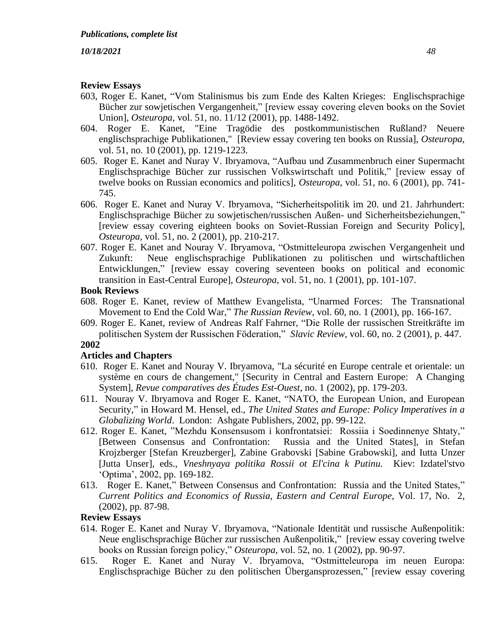## **Review Essays**

- 603, Roger E. Kanet, "Vom Stalinismus bis zum Ende des Kalten Krieges: Englischsprachige Bücher zur sowjetischen Vergangenheit," [review essay covering eleven books on the Soviet Union], *Osteuropa,* vol. 51, no. 11/12 (2001), pp. 1488-1492.
- 604. Roger E. Kanet, "Eine Tragödie des postkommunistischen Rußland? Neuere englischsprachige Publikationen," [Review essay covering ten books on Russia], *Osteuropa,*  vol. 51, no. 10 (2001), pp. 1219-1223.
- 605. Roger E. Kanet and Nuray V. Ibryamova, "Aufbau und Zusammenbruch einer Supermacht Englischsprachige Bücher zur russischen Volkswirtschaft und Politik," [review essay of twelve books on Russian economics and politics], *Osteuropa,* vol. 51, no. 6 (2001), pp. 741- 745.
- 606. Roger E. Kanet and Nuray V. Ibryamova, "Sicherheitspolitik im 20. und 21. Jahrhundert: Englischsprachige Bücher zu sowjetischen/russischen Außen- und Sicherheitsbeziehungen," [review essay covering eighteen books on Soviet-Russian Foreign and Security Policy], *Osteuropa,* vol. 51, no. 2 (2001), pp. 210-217.
- 607. Roger E. Kanet and Nouray V. Ibryamova, "Ostmitteleuropa zwischen Vergangenheit und Zukunft: Neue englischsprachige Publikationen zu politischen und wirtschaftlichen Entwicklungen," [review essay covering seventeen books on political and economic transition in East-Central Europe], *Osteuropa,* vol. 51, no. 1 (2001), pp. 101-107.

# **Book Reviews**

- 608. Roger E. Kanet, review of Matthew Evangelista, "Unarmed Forces: The Transnational Movement to End the Cold War," *The Russian Review*, vol. 60, no. 1 (2001), pp. 166-167.
- 609. Roger E. Kanet, review of Andreas Ralf Fahrner, "Die Rolle der russischen Streitkräfte im politischen System der Russischen Föderation," *Slavic Review,* vol. 60, no. 2 (2001), p. 447.

#### **2002**

#### **Articles and Chapters**

- 610. Roger E. Kanet and Nouray V. Ibryamova, "La sécurité en Europe centrale et orientale: un système en cours de changement," [Security in Central and Eastern Europe: A Changing System], *Revue comparatives des Études Est-Ouest,* no. 1 (2002), pp. 179-203.
- 611. Nouray V. Ibryamova and Roger E. Kanet, "NATO, the European Union, and European Security," in Howard M. Hensel, ed., *The United States and Europe: Policy Imperatives in a Globalizing World*. London: Ashgate Publishers, 2002, pp. 99-122.
- 612. Roger E. Kanet, "Mezhdu Konsensusom i konfrontatsiei: Rossiia i Soedinnenye Shtaty," [Between Consensus and Confrontation: Russia and the United States], in Stefan Krojzberger [Stefan Kreuzberger], Zabine Grabovski [Sabine Grabowski], and Iutta Unzer [Jutta Unser], eds., *Vneshnyaya politika Rossii ot El'cina k Putinu.* Kiev: Izdatel'stvo 'Optima', 2002, pp. 169-182.
- 613. Roger E. Kanet," Between Consensus and Confrontation: Russia and the United States," *Current Politics and Economics of Russia, Eastern and Central Europe*, Vol. 17, No. 2, (2002), pp. 87-98.

#### **Review Essays**

- 614. Roger E. Kanet and Nuray V. Ibryamova, "Nationale Identität und russische Außenpolitik: Neue englischsprachige Bücher zur russischen Außenpolitik," [review essay covering twelve books on Russian foreign policy," *Osteuropa,* vol. 52, no. 1 (2002), pp. 90-97.
- 615. Roger E. Kanet and Nuray V. Ibryamova, "Ostmitteleuropa im neuen Europa: Englischsprachige Bücher zu den politischen Übergansprozessen," [review essay covering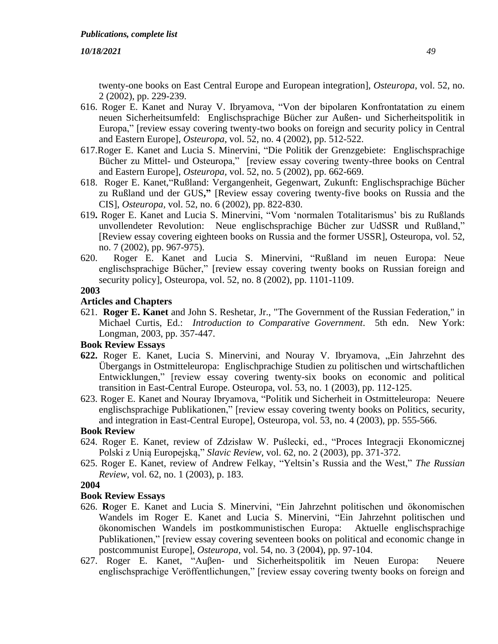twenty-one books on East Central Europe and European integration], *Osteuropa*, vol. 52, no. 2 (2002), pp. 229-239.

- 616. Roger E. Kanet and Nuray V. Ibryamova, "Von der bipolaren Konfrontatation zu einem neuen Sicherheitsumfeld: Englischsprachige Bücher zur Außen- und Sicherheitspolitik in Europa," [review essay covering twenty-two books on foreign and security policy in Central and Eastern Europe], *Osteuropa*, vol. 52, no. 4 (2002), pp. 512-522.
- 617.Roger E. Kanet and Lucia S. Minervini, "Die Politik der Grenzgebiete: Englischsprachige Bücher zu Mittel- und Osteuropa," [review essay covering twenty-three books on Central and Eastern Europe], *Osteuropa,* vol. 52, no. 5 (2002), pp. 662-669.
- 618. Roger E. Kanet,"Rußland: Vergangenheit, Gegenwart, Zukunft: Englischsprachige Bücher zu Rußland und der GUS**,"** [Review essay covering twenty-five books on Russia and the CIS], *Osteuropa,* vol. 52, no. 6 (2002), pp. 822-830.
- 619**.** Roger E. Kanet and Lucia S. Minervini, "Vom 'normalen Totalitarismus' bis zu Rußlands unvollendeter Revolution: Neue englischsprachige Bücher zur UdSSR und Rußland," [Review essay covering eighteen books on Russia and the former USSR], Osteuropa, vol. 52, no. 7 (2002), pp. 967-975).
- 620. Roger E. Kanet and Lucia S. Minervini, "Rußland im neuen Europa: Neue englischsprachige Bücher," [review essay covering twenty books on Russian foreign and security policy], Osteuropa, vol. 52, no. 8 (2002), pp. 1101-1109.

# **2003**

# **Articles and Chapters**

621. **Roger E. Kanet** and John S. Reshetar, Jr., "The Government of the Russian Federation," in Michael Curtis, Ed.: *Introduction to Comparative Government*. 5th edn. New York: Longman, 2003, pp. 357-447.

# **Book Review Essays**

- **622.** Roger E. Kanet, Lucia S. Minervini, and Nouray V. Ibryamova, "Ein Jahrzehnt des Übergangs in Ostmitteleuropa: Englischprachige Studien zu politischen und wirtschaftlichen Entwicklungen," [review essay covering twenty-six books on economic and political transition in East-Central Europe. Osteuropa, vol. 53, no. 1 (2003), pp. 112-125.
- 623. Roger E. Kanet and Nouray Ibryamova, "Politik und Sicherheit in Ostmitteleuropa: Neuere englischsprachige Publikationen," [review essay covering twenty books on Politics, security, and integration in East-Central Europe], Osteuropa, vol. 53, no. 4 (2003), pp. 555-566.

# **Book Review**

- 624. Roger E. Kanet, review of Zdzisław W. Puślecki, ed., "Proces Integracji Ekonomicznej Polski z Unią Europejską," *Slavic Review,* vol. 62, no. 2 (2003), pp. 371-372.
- 625. Roger E. Kanet, review of Andrew Felkay, "Yeltsin's Russia and the West," *The Russian Review,* vol. 62, no. 1 (2003), p. 183.

# **2004**

- 626. **R**oger E. Kanet and Lucia S. Minervini, "Ein Jahrzehnt politischen und ökonomischen Wandels im Roger E. Kanet and Lucia S. Minervini, "Ein Jahrzehnt politischen und ökonomischen Wandels im postkommunistischen Europa: Aktuelle englischsprachige Publikationen," [review essay covering seventeen books on political and economic change in postcommunist Europe], *Osteuropa,* vol. 54, no. 3 (2004), pp. 97-104.
- 627. Roger E. Kanet, "Auβen- und Sicherheitspolitik im Neuen Europa: Neuere englischsprachige Veröffentlichungen," [review essay covering twenty books on foreign and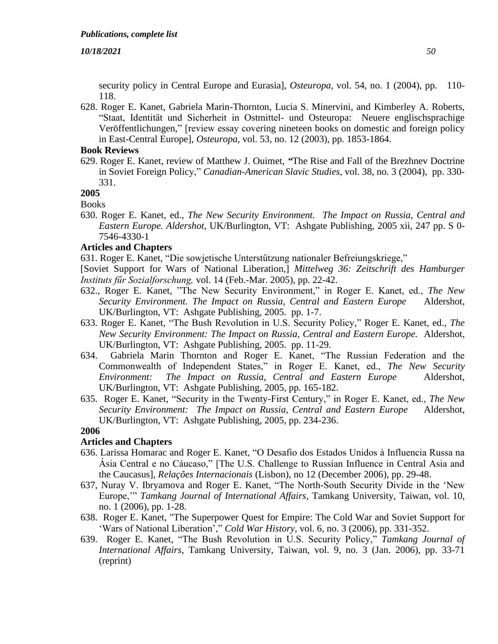security policy in Central Europe and Eurasia], *Osteuropa*, vol. 54, no. 1 (2004), pp. 110- 118.

628. Roger E. Kanet, Gabriela Marin-Thornton, Lucia S. Minervini, and Kimberley A. Roberts, "Staat, Identität und Sicherheit in Ostmittel- und Osteuropa: Neuere englischsprachige Veröffentlichungen," [review essay covering nineteen books on domestic and foreign policy in East-Central Europe], *Osteuropa,* vol. 53, no. 12 (2003), pp. 1853-1864.

# **Book Reviews**

629. Roger E. Kanet, review of Matthew J. Ouimet, *"*The Rise and Fall of the Brezhnev Doctrine in Soviet Foreign Policy," *Canadian-American Slavic Studies,* vol. 38, no. 3 (2004), pp. 330- 331.

# **2005**

Books

630. Roger E. Kanet, ed., *The New Security Environment. The Impact on Russia, Central and Eastern Europe. Aldershot*, UK/Burlington, VT: Ashgate Publishing, 2005 xii, 247 pp. S 0- 7546-4330-1

# **Articles and Chapters**

631. Roger E. Kanet, "Die sowjetische Unterstűtzung nationaler Befreiungskriege,"

[Soviet Support for Wars of National Liberation,] *Mittelweg 36: Zeitschrift des Hamburger Instituts fűr Sozialforschung,* vol. 14 (Feb.-Mar. 2005), pp. 22-42.

- 632., Roger E. Kanet, "The New Security Environment," in Roger E. Kanet, ed., *The New Security Environment. The Impact on Russia, Central and Eastern Europe* Aldershot, UK/Burlington, VT: Ashgate Publishing, 2005. pp. 1-7.
- 633. Roger E. Kanet, "The Bush Revolution in U.S. Security Policy," Roger E. Kanet, ed., *The New Security Environment: The Impact on Russia, Central and Eastern Europe.* Aldershot, UK/Burlington, VT: Ashgate Publishing, 2005. pp. 11-29.
- 634. Gabriela Marin Thornton and Roger E. Kanet, "The Russian Federation and the Commonwealth of Independent States," in Roger E. Kanet, ed., *The New Security Environment: The Impact on Russia, Central and Eastern Europe* Aldershot, UK/Burlington, VT: Ashgate Publishing, 2005, pp. 165-182.
- 635. Roger E. Kanet, "Security in the Twenty-First Century," in Roger E. Kanet, ed., *The New Security Environment: The Impact on Russia, Central and Eastern Europe* Aldershot, UK/Burlington, VT: Ashgate Publishing, 2005, pp. 234-236.

## **2006**

# **Articles and Chapters**

- 636. Larissa Homarac and Roger E. Kanet, "O Desafio dos Estados Unidos à Influencia Russa na Ásia Central e no Cáucaso," [The U.S. Challenge to Russian Influence in Central Asia and the Caucasus], *Relações Internacionais* (Lisbon)*,* no 12 (December 2006), pp. 29-48.
- 637, Nuray V. Ibryamova and Roger E. Kanet, "The North-South Security Divide in the 'New Europe,'" *Tamkang Journal of International Affairs*, Tamkang University, Taiwan, vol. 10, no. 1 (2006), pp. 1-28.
- 638. Roger E. Kanet, "The Superpower Quest for Empire: The Cold War and Soviet Support for 'Wars of National Liberation'," *Cold War History,* vol. 6, no. 3 (2006), pp. 331-352.
- 639. Roger E. Kanet, "The Bush Revolution in U.S. Security Policy," *Tamkang Journal of International Affairs*, Tamkang University, Taiwan, vol. 9, no. 3 (Jan. 2006), pp. 33-71 (reprint)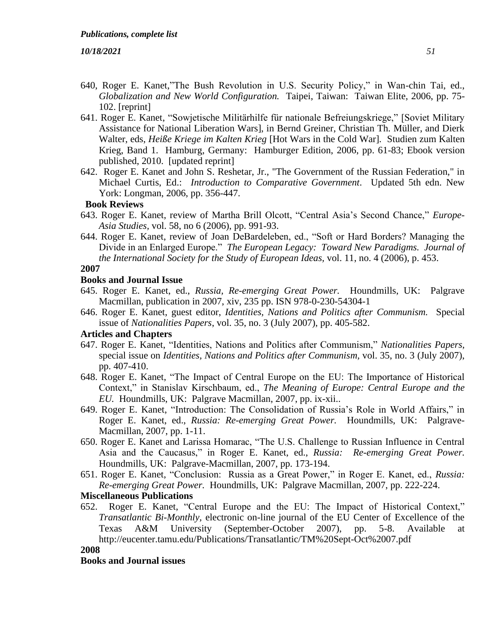- 640, Roger E. Kanet,"The Bush Revolution in U.S. Security Policy," in Wan-chin Tai, ed., *Globalization and New World Configuration.* Taipei, Taiwan: Taiwan Elite, 2006, pp. 75- 102. [reprint]
- 641. Roger E. Kanet, "Sowjetische Militärhilfe für nationale Befreiungskriege," [Soviet Military Assistance for National Liberation Wars], in Bernd Greiner, Christian Th. Müller, and Dierk Walter, eds, *Heiße Kriege im Kalten Krieg* [Hot Wars in the Cold War]*.* Studien zum Kalten Krieg, Band 1. Hamburg, Germany: Hamburger Edition, 2006, pp. 61-83; Ebook version published, 2010. [updated reprint]
- 642. Roger E. Kanet and John S. Reshetar, Jr., "The Government of the Russian Federation," in Michael Curtis, Ed.: *Introduction to Comparative Government*. Updated 5th edn. New York: Longman, 2006, pp. 356-447.

#### **Book Reviews**

- 643. Roger E. Kanet, review of Martha Brill Olcott, "Central Asia's Second Chance," *Europe-Asia Studies,* vol. 58, no 6 (2006), pp. 991-93.
- 644. Roger E. Kanet, review of Joan DeBardeleben, ed., "Soft or Hard Borders? Managing the Divide in an Enlarged Europe." *The European Legacy: Toward New Paradigms. Journal of the International Society for the Study of European Ideas,* vol. 11, no. 4 (2006), p. 453.

# **2007**

#### **Books and Journal Issue**

- 645. Roger E. Kanet, ed., *Russia, Re-emerging Great Power.* Houndmills, UK: Palgrave Macmillan, publication in 2007, xiv, 235 pp. ISN 978-0-230-54304-1
- 646. Roger E. Kanet, guest editor, *Identities, Nations and Politics after Communism.* Special issue of *Nationalities Papers*, vol. 35, no. 3 (July 2007), pp. 405-582.

#### **Articles and Chapters**

- 647. Roger E. Kanet, "Identities, Nations and Politics after Communism," *Nationalities Papers,* special issue on *Identities, Nations and Politics after Communism,* vol. 35, no. 3 (July 2007), pp. 407-410.
- 648. Roger E. Kanet, "The Impact of Central Europe on the EU: The Importance of Historical Context," in Stanislav Kirschbaum, ed., *The Meaning of Europe: Central Europe and the EU.* Houndmills, UK: Palgrave Macmillan, 2007, pp. ix-xii..
- 649. Roger E. Kanet, "Introduction: The Consolidation of Russia's Role in World Affairs," in Roger E. Kanet, ed., *Russia: Re-emerging Great Power.* Houndmills, UK: Palgrave-Macmillan, 2007, pp. 1-11.
- 650. Roger E. Kanet and Larissa Homarac, "The U.S. Challenge to Russian Influence in Central Asia and the Caucasus," in Roger E. Kanet, ed., *Russia: Re-emerging Great Power.*  Houndmills, UK: Palgrave-Macmillan, 2007, pp. 173-194.
- 651. Roger E. Kanet, "Conclusion: Russia as a Great Power," in Roger E. Kanet, ed., *Russia: Re-emerging Great Power.* Houndmills, UK: Palgrave Macmillan, 2007, pp. 222-224.

#### **Miscellaneous Publications**

652. Roger E. Kanet, "Central Europe and the EU: The Impact of Historical Context," *Transatlantic Bi-Monthly,* electronic on-line journal of the EU Center of Excellence of the Texas A&M University (September-October 2007), pp. 5-8. Available at <http://eucenter.tamu.edu/Publications/Transatlantic/TM%20Sept-Oct%2007.pdf>

# **2008**

## **Books and Journal issues**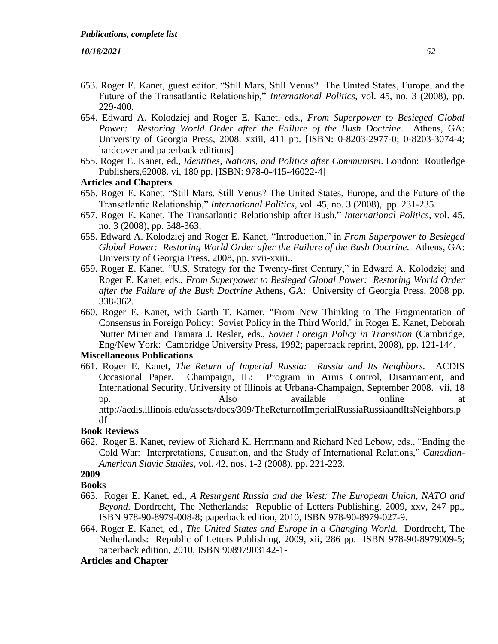- 653. Roger E. Kanet, guest editor, "Still Mars, Still Venus? The United States, Europe, and the Future of the Transatlantic Relationship," *International Politics*, vol. 45, no. 3 (2008), pp. 229-400.
- 654. Edward A. Kolodziej and Roger E. Kanet, eds., *From Superpower to Besieged Global Power: Restoring World Order after the Failure of the Bush Doctrine*. Athens, GA: University of Georgia Press, 2008. xxiii, 411 pp. [ISBN: 0-8203-2977-0; 0-8203-3074-4; hardcover and paperback editions]
- 655. Roger E. Kanet, ed., *Identities, Nations, and Politics after Communism*. London: Routledge Publishers,62008. vi, 180 pp. [ISBN: 978-0-415-46022-4]

## **Articles and Chapters**

- 656. Roger E. Kanet, "Still Mars, Still Venus? The United States, Europe, and the Future of the Transatlantic Relationship," *International Politics*, vol. 45, no. 3 (2008), pp. 231-235.
- 657. Roger E. Kanet, The Transatlantic Relationship after Bush." *International Politics,* vol. 45, no. 3 (2008), pp. 348-363.
- 658. Edward A. Kolodziej and Roger E. Kanet, "Introduction," in *From Superpower to Besieged Global Power: Restoring World Order after the Failure of the Bush Doctrine.* Athens, GA: University of Georgia Press, 2008, pp. xvii-xxiii..
- 659. Roger E. Kanet, "U.S. Strategy for the Twenty-first Century," in Edward A. Kolodziej and Roger E. Kanet, eds., *From Superpower to Besieged Global Power: Restoring World Order after the Failure of the Bush Doctrine* Athens, GA: University of Georgia Press, 2008 pp. 338-362.
- 660. Roger E. Kanet, with Garth T. Katner, "From New Thinking to The Fragmentation of Consensus in Foreign Policy: Soviet Policy in the Third World," in Roger E. Kanet, Deborah Nutter Miner and Tamara J. Resler, eds., *Soviet Foreign Policy in Transition* (Cambridge, Eng/New York: Cambridge University Press, 1992; paperback reprint, 2008), pp. 121-144.

# **Miscellaneous Publications**

661. Roger E. Kanet, *The Return of Imperial Russia: Russia and Its Neighbors.* ACDIS Occasional Paper. Champaign, IL: Program in Arms Control, Disarmament, and International Security, University of Illinois at Urbana-Champaign, September 2008. vii, 18 pp. Also available online at [http://acdis.illinois.edu/assets/docs/309/TheReturnofImperialRussiaRussiaandItsNeighbors.p](http://acdis.illinois.edu/assets/docs/309/TheReturnofImperialRussiaRussiaandItsNeighbors.pdf) [df](http://acdis.illinois.edu/assets/docs/309/TheReturnofImperialRussiaRussiaandItsNeighbors.pdf)

# **Book Reviews**

662. Roger E. Kanet, review of Richard K. Herrmann and Richard Ned Lebow, eds., "Ending the Cold War: Interpretations, Causation, and the Study of International Relations," *Canadian-American Slavic Studies,* vol. 42, nos. 1-2 (2008), pp. 221-223.

# **2009**

#### **Books**

- 663. Roger E. Kanet, ed., *A Resurgent Russia and the West: The European Union, NATO and Beyond*. Dordrecht, The Netherlands: Republic of Letters Publishing, 2009, xxv, 247 pp., ISBN 978-90-8979-008-8; paperback edition, 2010, ISBN 978-90-8979-027-9.
- 664. Roger E. Kanet, ed., *The United States and Europe in a Changing World.* Dordrecht, The Netherlands: Republic of Letters Publishing, 2009, xii, 286 pp. ISBN 978-90-8979009-5; paperback edition, 2010, ISBN 90897903142-1-

# **Articles and Chapter**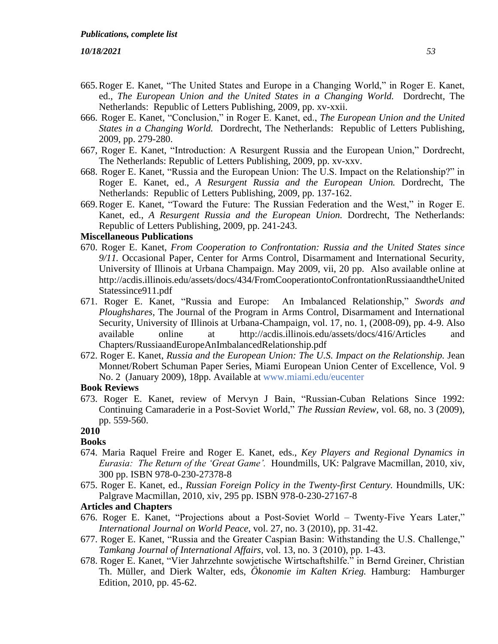- 665.Roger E. Kanet, "The United States and Europe in a Changing World," in Roger E. Kanet, ed., *The European Union and the United States in a Changing World.* Dordrecht, The Netherlands: Republic of Letters Publishing, 2009, pp. xv-xxii.
- 666. Roger E. Kanet, "Conclusion," in Roger E. Kanet, ed., *The European Union and the United States in a Changing World.* Dordrecht, The Netherlands: Republic of Letters Publishing, 2009, pp. 279-280.
- 667, Roger E. Kanet, "Introduction: A Resurgent Russia and the European Union," Dordrecht, The Netherlands: Republic of Letters Publishing, 2009, pp. xv-xxv.
- 668. Roger E. Kanet, "Russia and the European Union: The U.S. Impact on the Relationship?" in Roger E. Kanet, ed., *A Resurgent Russia and the European Union.* Dordrecht, The Netherlands: Republic of Letters Publishing, 2009, pp. 137-162.
- 669.Roger E. Kanet, "Toward the Future: The Russian Federation and the West," in Roger E. Kanet, ed., *A Resurgent Russia and the European Union.* Dordrecht, The Netherlands: Republic of Letters Publishing, 2009, pp. 241-243.

#### **Miscellaneous Publications**

- 670. Roger E. Kanet, *From Cooperation to Confrontation: Russia and the United States since 9/11.* Occasional Paper, Center for Arms Control, Disarmament and International Security, University of Illinois at Urbana Champaign. May 2009, vii, 20 pp.Also available online at [http://acdis.illinois.edu/assets/docs/434/FromCooperationtoConfrontationRussiaandtheUnited](http://acdis.illinois.edu/assets/docs/434/FromCooperationtoConfrontationRussiaandtheUnitedStatessince911.pdf) [Statessince911.pdf](http://acdis.illinois.edu/assets/docs/434/FromCooperationtoConfrontationRussiaandtheUnitedStatessince911.pdf)
- 671. Roger E. Kanet, "Russia and Europe: An Imbalanced Relationship," *Swords and Ploughshares,* The Journal of the Program in Arms Control, Disarmament and International Security, University of Illinois at Urbana-Champaign, vol. 17, no. 1, (2008-09), pp. 4-9. Also available online at [http://acdis.illinois.edu/assets/docs/416/Articles and](http://acdis.illinois.edu/assets/docs/416/articles/RussiaandEuropeAnImbalancedRelationship.pdf)  [Chapters/RussiaandEuropeAnImbalancedRelationship.pdf](http://acdis.illinois.edu/assets/docs/416/articles/RussiaandEuropeAnImbalancedRelationship.pdf)
- 672. Roger E. Kanet, *Russia and the European Union: The U.S. Impact on the Relationship.* Jean Monnet/Robert Schuman Paper Series, Miami European Union Center of Excellence, Vol. 9 No. 2 (January 2009), 18pp. Available at [www.miami.edu/eucenter](https://asmail.as.miami.edu/owa/redir.aspx?C=373e573f293b44fd947c24565238806c&URL=http%3a%2f%2fwww.miami.edu%2feucenter)

#### **Book Reviews**

673. Roger E. Kanet, review of Mervyn J Bain, "Russian-Cuban Relations Since 1992: Continuing Camaraderie in a Post-Soviet World," *The Russian Review,* vol. 68, no. 3 (2009), pp. 559-560.

# **2010**

- **Books**
- 674. Maria Raquel Freire and Roger E. Kanet, eds., *Key Players and Regional Dynamics in Eurasia: The Return of the 'Great Game'.* Houndmills, UK: Palgrave Macmillan, 2010, xiv, 300 pp. ISBN 978-0-230-27378-8
- 675. Roger E. Kanet, ed., *Russian Foreign Policy in the Twenty-first Century.* Houndmills, UK: Palgrave Macmillan, 2010, xiv, 295 pp. ISBN 978-0-230-27167-8

#### **Articles and Chapters**

- 676. Roger E. Kanet, "Projections about a Post-Soviet World Twenty-Five Years Later," *International Journal on World Peace,* vol. 27, no. 3 (2010), pp. 31-42.
- 677. Roger E. Kanet, "Russia and the Greater Caspian Basin: Withstanding the U.S. Challenge," *Tamkang Journal of International Affairs,* vol. 13, no. 3 (2010), pp. 1-43.
- 678. Roger E. Kanet, "Vier Jahrzehnte sowjetische Wirtschaftshilfe." in Bernd Greiner, Christian Th. Müller, and Dierk Walter, eds, *Ökonomie im Kalten Krieg.* Hamburg: Hamburger Edition, 2010, pp. 45-62.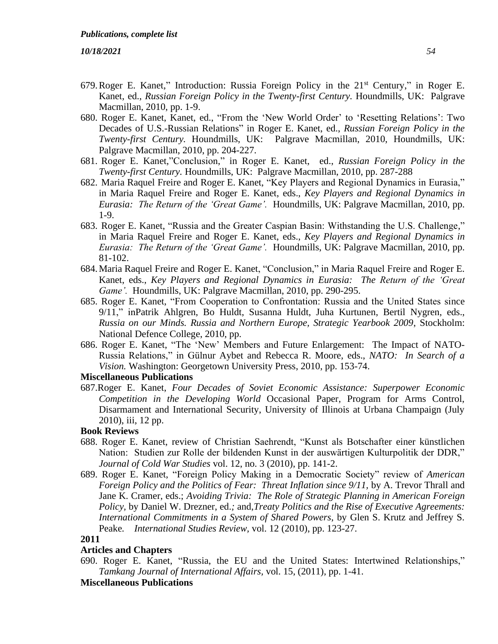- 679.Roger E. Kanet," Introduction: Russia Foreign Policy in the 21st Century," in Roger E. Kanet, ed., *Russian Foreign Policy in the Twenty-first Century.* Houndmills, UK: Palgrave Macmillan, 2010, pp. 1-9.
- 680. Roger E. Kanet, Kanet, ed., "From the 'New World Order' to 'Resetting Relations': Two Decades of U.S.-Russian Relations" in Roger E. Kanet, ed., *Russian Foreign Policy in the Twenty-first Century.* Houndmills, UK: Palgrave Macmillan, 2010, Houndmills, UK: Palgrave Macmillan, 2010, pp. 204-227.
- 681. Roger E. Kanet,"Conclusion," in Roger E. Kanet, ed., *Russian Foreign Policy in the Twenty-first Century.* Houndmills, UK: Palgrave Macmillan, 2010, pp. 287-288
- 682. Maria Raquel Freire and Roger E. Kanet, "Key Players and Regional Dynamics in Eurasia," in Maria Raquel Freire and Roger E. Kanet, eds., *Key Players and Regional Dynamics in Eurasia: The Return of the 'Great Game'.* Houndmills, UK: Palgrave Macmillan, 2010, pp. 1-9.
- 683. Roger E. Kanet, "Russia and the Greater Caspian Basin: Withstanding the U.S. Challenge," in Maria Raquel Freire and Roger E. Kanet, eds., *Key Players and Regional Dynamics in Eurasia: The Return of the 'Great Game'.* Houndmills, UK: Palgrave Macmillan, 2010, pp. 81-102.
- 684.Maria Raquel Freire and Roger E. Kanet, "Conclusion," in Maria Raquel Freire and Roger E. Kanet, eds., *Key Players and Regional Dynamics in Eurasia: The Return of the 'Great Game'.* Houndmills, UK: Palgrave Macmillan, 2010, pp. 290-295.
- 685. Roger E. Kanet, "From Cooperation to Confrontation: Russia and the United States since 9/11," inPatrik Ahlgren, Bo Huldt, Susanna Huldt, Juha Kurtunen, Bertil Nygren, eds., *Russia on our Minds. Russia and Northern Europe, Strategic Yearbook 2009*, Stockholm: National Defence College, 2010, pp.
- 686. Roger E. Kanet, "The 'New' Members and Future Enlargement: The Impact of NATO-Russia Relations," in Gülnur Aybet and Rebecca R. Moore, eds., *NATO: In Search of a Vision.* Washington: Georgetown University Press, 2010, pp. 153-74.

#### **Miscellaneous Publications**

687.Roger E. Kanet, *Four Decades of Soviet Economic Assistance: Superpower Economic Competition in the Developing World* Occasional Paper, Program for Arms Control, Disarmament and International Security, University of Illinois at Urbana Champaign (July 2010), iii, 12 pp.

## **Book Reviews**

- 688. Roger E. Kanet, review of Christian Saehrendt, "Kunst als Botschafter einer künstlichen Nation: Studien zur Rolle der bildenden Kunst in der auswärtigen Kulturpolitik der DDR," *Journal of Cold War Studies* vol. 12, no. 3 (2010), pp. 141-2.
- 689. Roger E. Kanet, "Foreign Policy Making in a Democratic Society" review of *American Foreign Policy and the Politics of Fear: Threat Inflation since 9/11, by A. Trevor Thrall and* Jane K. Cramer, eds.; *Avoiding Trivia: The Role of Strategic Planning in American Foreign Policy,* by Daniel W. Drezner, ed.*;* and,*Treaty Politics and the Rise of Executive Agreements: International Commitments in a System of Shared Powers*, by Glen S. Krutz and Jeffrey S. Peake*. International Studies Review,* vol. 12 (2010), pp. 123-27.

### **2011**

## **Articles and Chapters**

690. Roger E. Kanet, "Russia, the EU and the United States: Intertwined Relationships," *Tamkang Journal of International Affairs,* vol. 15, (2011), pp. 1-41.

#### **Miscellaneous Publications**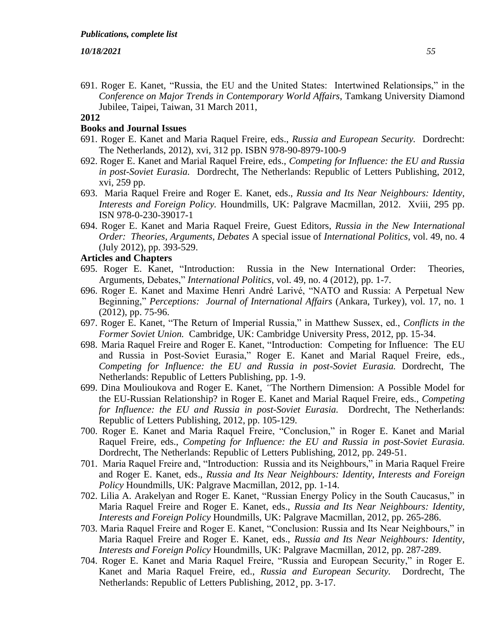691. Roger E. Kanet, "Russia, the EU and the United States: Intertwined Relationsips," in the *Conference on Major Trends in Contemporary World Affairs*, Tamkang University Diamond Jubilee, Taipei, Taiwan, 31 March 2011,

#### **2012**

#### **Books and Journal Issues**

- 691. Roger E. Kanet and Maria Raquel Freire, eds., *Russia and European Security.* Dordrecht: The Netherlands, 2012), xvi, 312 pp. ISBN 978-90-8979-100-9
- 692. Roger E. Kanet and Marial Raquel Freire, eds., *Competing for Influence: the EU and Russia in post-Soviet Eurasia.* Dordrecht, The Netherlands: Republic of Letters Publishing, 2012, xvi, 259 pp.
- 693. Maria Raquel Freire and Roger E. Kanet, eds., *Russia and Its Near Neighbours: Identity, Interests and Foreign Policy.* Houndmills, UK: Palgrave Macmillan, 2012. Xviii, 295 pp. ISN 978-0-230-39017-1
- 694. Roger E. Kanet and Maria Raquel Freire, Guest Editors, *Russia in the New International Order: Theories, Arguments, Debates* A special issue of *International Politics*, vol. 49, no. 4 (July 2012), pp. 393-529.

#### **Articles and Chapters**

- 695. Roger E. Kanet, "Introduction: Russia in the New International Order: Theories, Arguments, Debates," *International Politics*, vol. 49, no. 4 (2012), pp. 1-7.
- 696. Roger E. Kanet and Maxime Henri André Larivé, "NATO and Russia: A Perpetual New Beginning," *Perceptions: Journal of International Affairs* (Ankara, Turkey), vol. 17, no. 1 (2012), pp. 75-96.
- 697. Roger E. Kanet, "The Return of Imperial Russia," in Matthew Sussex, ed., *Conflicts in the Former Soviet Union.* Cambridge, UK: Cambridge University Press, 2012, pp. 15-34.
- 698. Maria Raquel Freire and Roger E. Kanet, "Introduction: Competing for Influence: The EU and Russia in Post-Soviet Eurasia," Roger E. Kanet and Marial Raquel Freire, eds., *Competing for Influence: the EU and Russia in post-Soviet Eurasia.* Dordrecht, The Netherlands: Republic of Letters Publishing, pp. 1-9.
- 699. Dina Moulioukova and Roger E. Kanet, *"*The Northern Dimension: A Possible Model for the EU-Russian Relationship? in Roger E. Kanet and Marial Raquel Freire, eds., *Competing for Influence: the EU and Russia in post-Soviet Eurasia.* Dordrecht, The Netherlands: Republic of Letters Publishing, 2012, pp. 105-129.
- 700. Roger E. Kanet and Maria Raquel Freire, "Conclusion," in Roger E. Kanet and Marial Raquel Freire, eds., *Competing for Influence: the EU and Russia in post-Soviet Eurasia.* Dordrecht, The Netherlands: Republic of Letters Publishing, 2012, pp. 249-51.
- 701. Maria Raquel Freire and, "Introduction: Russia and its Neighbours," in Maria Raquel Freire and Roger E. Kanet, eds., *Russia and Its Near Neighbours: Identity, Interests and Foreign Policy* Houndmills, UK: Palgrave Macmillan, 2012, pp. 1-14.
- 702. Lilia A. Arakelyan and Roger E. Kanet, "Russian Energy Policy in the South Caucasus," in Maria Raquel Freire and Roger E. Kanet, eds., *Russia and Its Near Neighbours: Identity, Interests and Foreign Policy* Houndmills, UK: Palgrave Macmillan, 2012, pp. 265-286.
- 703. Maria Raquel Freire and Roger E. Kanet, "Conclusion: Russia and Its Near Neighbours," in Maria Raquel Freire and Roger E. Kanet, eds., *Russia and Its Near Neighbours: Identity, Interests and Foreign Policy* Houndmills, UK: Palgrave Macmillan, 2012, pp. 287-289.
- 704. Roger E. Kanet and Maria Raquel Freire, "Russia and European Security," in Roger E. Kanet and Maria Raquel Freire, ed., *Russia and European Security.* Dordrecht, The Netherlands: Republic of Letters Publishing, 2012¸ pp. 3-17.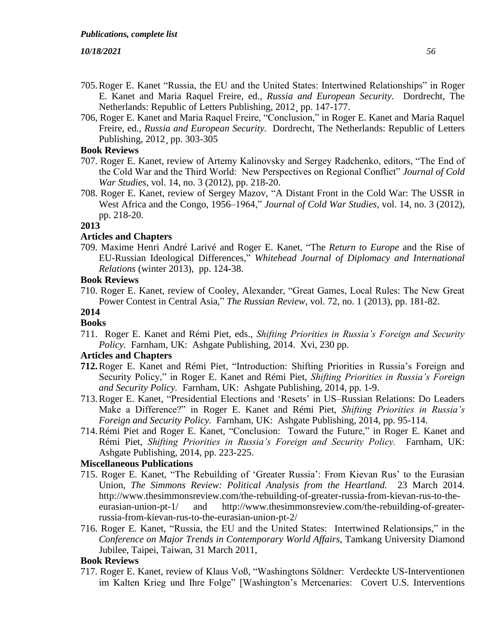- 705.Roger E. Kanet "Russia, the EU and the United States: Intertwined Relationships" in Roger E. Kanet and Maria Raquel Freire, ed., *Russia and European Security.* Dordrecht, The Netherlands: Republic of Letters Publishing, 2012¸ pp. 147-177.
- 706, Roger E. Kanet and Maria Raquel Freire, "Conclusion," in Roger E. Kanet and Maria Raquel Freire, ed., *Russia and European Security.* Dordrecht, The Netherlands: Republic of Letters Publishing, 2012¸ pp. 303-305

# **Book Reviews**

- 707. Roger E. Kanet, review of Artemy Kalinovsky and Sergey Radchenko, editors, "The End of the Cold War and the Third World: New Perspectives on Regional Conflict" *Journal of Cold War Studies*, vol. 14, no. 3 (2012), pp. 218-20.
- 708. Roger E. Kanet, review of Sergey Mazov, "A Distant Front in the Cold War: The USSR in West Africa and the Congo, 1956–1964," *Journal of Cold War Studies*, vol. 14, no. 3 (2012), pp. 218-20.

# **2013**

# **Articles and Chapters**

709. Maxime Henri André Larivé and Roger E. Kanet, "The *Return to Europe* and the Rise of EU-Russian Ideological Differences," *Whitehead Journal of Diplomacy and International Relations* (winter 2013), pp. 124-38.

# **Book Reviews**

710. Roger E. Kanet, review of Cooley, Alexander, "Great Games, Local Rules: The New Great Power Contest in Central Asia," *The Russian Review,* vol. 72, no. 1 (2013), pp. 181-82.

### **2014**

# **Books**

711. Roger E. Kanet and Rémi Piet, eds., *Shifting Priorities in Russia's Foreign and Security Policy.* Farnham, UK: Ashgate Publishing, 2014. Xvi, 230 pp.

# **Articles and Chapters**

- **712.**Roger E. Kanet and Rémi Piet, "Introduction: Shifting Priorities in Russia's Foreign and Security Policy," in Roger E. Kanet and Rémi Piet, *Shifting Priorities in Russia's Foreign and Security Policy.* Farnham, UK: Ashgate Publishing, 2014, pp. 1-9.
- 713.Roger E. Kanet, "Presidential Elections and 'Resets' in US–Russian Relations: Do Leaders Make a Difference?" in Roger E. Kanet and Rémi Piet, *Shifting Priorities in Russia's Foreign and Security Policy.* Farnham, UK: Ashgate Publishing, 2014, pp. 95-114.
- 714.Rémi Piet and Roger E. Kanet, "Conclusion: Toward the Future," in Roger E. Kanet and Rémi Piet, *Shifting Priorities in Russia's Foreign and Security Policy.* Farnham, UK: Ashgate Publishing, 2014, pp. 223-225.

# **Miscellaneous Publications**

- 715. Roger E. Kanet, "The Rebuilding of 'Greater Russia': From Kievan Rus' to the Eurasian Union, *The Simmons Review: Political Analysis from the Heartland.* 23 March 2014. [http://www.thesimmonsreview.com/the-rebuilding-of-greater-russia-from-kievan-rus-to-the](http://www.thesimmonsreview.com/the-rebuilding-of-greater-russia-from-kievan-rus-to-the-eurasian-union-pt-1/)[eurasian-union-pt-1/](http://www.thesimmonsreview.com/the-rebuilding-of-greater-russia-from-kievan-rus-to-the-eurasian-union-pt-1/) and [http://www.thesimmonsreview.com/the-rebuilding-of-greater](http://www.thesimmonsreview.com/the-rebuilding-of-greater-russia-from-kievan-rus-to-the-eurasian-union-pt-2/)[russia-from-kievan-rus-to-the-eurasian-union-pt-2/](http://www.thesimmonsreview.com/the-rebuilding-of-greater-russia-from-kievan-rus-to-the-eurasian-union-pt-2/)
- 716. Roger E. Kanet, "Russia, the EU and the United States: Intertwined Relationsips," in the *Conference on Major Trends in Contemporary World Affairs*, Tamkang University Diamond Jubilee, Taipei, Taiwan, 31 March 2011,

# **Book Reviews**

717. Roger E. Kanet, review of Klaus Voß, "Washingtons Söldner: Verdeckte US-Interventionen im Kalten Krieg und Ihre Folge" [Washington's Mercenaries: Covert U.S. Interventions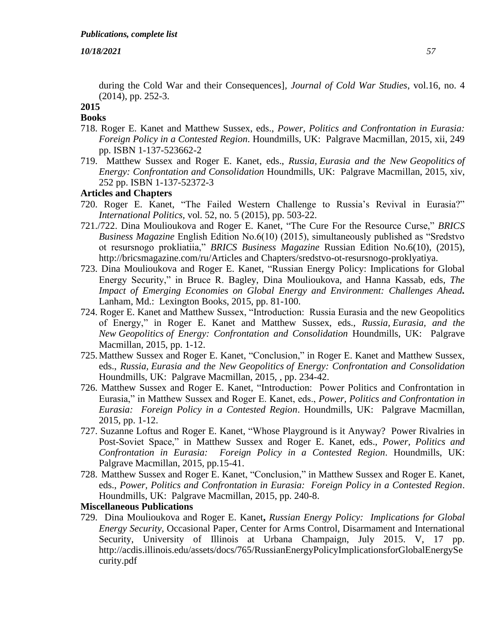during the Cold War and their Consequences]*, Journal of Cold War Studies*, vol.16, no. 4 (2014), pp. 252-3.

#### **2015 Books**

- 718. Roger E. Kanet and Matthew Sussex, eds., *Power, Politics and Confrontation in Eurasia: Foreign Policy in a Contested Region*. Houndmills, UK: Palgrave Macmillan, 2015, xii, 249 pp. ISBN 1-137-523662-2
- 719. Matthew Sussex and Roger E. Kanet, eds., *Russia, Eurasia and the New Geopolitics of Energy: Confrontation and Consolidation* Houndmills, UK: Palgrave Macmillan, 2015, xiv, 252 pp. ISBN 1-137-52372-3

# **Articles and Chapters**

- 720. Roger E. Kanet, "The Failed Western Challenge to Russia's Revival in Eurasia?" *International Politics,* vol. 52, no. 5 (2015), pp. 503-22.
- 721./722. Dina Moulioukova and Roger E. Kanet, "The Cure For the Resource Curse," *BRICS Business Magazine* English Edition No.6(10) (2015), simultaneously published as "Sredstvo ot resursnogo prokliatiia," *BRICS Business Magazine* Russian Edition No.6(10), (2015), [http://bricsmagazine.com/ru/Articles and Chapters/sredstvo-ot-resursnogo-proklyatiya.](http://bricsmagazine.com/ru/articles/sredstvo-ot-resursnogo-proklyatiya)
- 723. Dina Moulioukova and Roger E. Kanet, "Russian Energy Policy: Implications for Global Energy Security," in Bruce R. Bagley, Dina Moulioukova, and Hanna Kassab, eds, *The Impact of Emerging Economies on Global Energy and Environment: Challenges Ahead.*  Lanham, Md.: Lexington Books, 2015, pp. 81-100.
- 724. Roger E. Kanet and Matthew Sussex, "Introduction: Russia Eurasia and the new Geopolitics of Energy," in Roger E. Kanet and Matthew Sussex, eds., *Russia, Eurasia, and the New Geopolitics of Energy: Confrontation and Consolidation* Houndmills, UK: Palgrave Macmillan, 2015, pp. 1-12.
- 725.Matthew Sussex and Roger E. Kanet, "Conclusion," in Roger E. Kanet and Matthew Sussex, eds., *Russia, Eurasia and the New Geopolitics of Energy: Confrontation and Consolidation* Houndmills, UK: Palgrave Macmillan, 2015, , pp. 234-42.
- 726. Matthew Sussex and Roger E. Kanet, "Introduction: Power Politics and Confrontation in Eurasia," in Matthew Sussex and Roger E. Kanet, eds., *Power, Politics and Confrontation in Eurasia: Foreign Policy in a Contested Region*. Houndmills, UK: Palgrave Macmillan, 2015, pp. 1-12.
- 727. Suzanne Loftus and Roger E. Kanet, "Whose Playground is it Anyway? Power Rivalries in Post-Soviet Space," in Matthew Sussex and Roger E. Kanet, eds., *Power, Politics and Confrontation in Eurasia: Foreign Policy in a Contested Region*. Houndmills, UK: Palgrave Macmillan, 2015, pp.15-41.
- 728. Matthew Sussex and Roger E. Kanet, "Conclusion," in Matthew Sussex and Roger E. Kanet, eds., *Power, Politics and Confrontation in Eurasia: Foreign Policy in a Contested Region*. Houndmills, UK: Palgrave Macmillan, 2015, pp. 240-8.

#### **Miscellaneous Publications**

729. Dina Moulioukova and Roger E. Kanet**,** *Russian Energy Policy: Implications for Global Energy Security,* Occasional Paper, Center for Arms Control, Disarmament and International Security, University of Illinois at Urbana Champaign, July 2015. V, 17 pp. [http://acdis.illinois.edu/assets/docs/765/RussianEnergyPolicyImplicationsforGlobalEnergySe](https://urldefense.proofpoint.com/v2/url?u=http-3A__acdis.illinois.edu_assets_docs_765_RussianEnergyPolicyImplicationsforGlobalEnergySecurity.pdf&d=BQMFAg&c=y2w-uYmhgFWijp_IQN0DhA&r=VhKWQgFgRpkhQpABpx4Dig&m=ZbyKUfWfNWMmM4GMC6Vyr5tolNGCtoOGtgQQbOMhFM0&s=rYd3exJGbs56tYJMRM8iSjdanNjVCz1V-KcKHbVPw6M&e=) [curity.pdf](https://urldefense.proofpoint.com/v2/url?u=http-3A__acdis.illinois.edu_assets_docs_765_RussianEnergyPolicyImplicationsforGlobalEnergySecurity.pdf&d=BQMFAg&c=y2w-uYmhgFWijp_IQN0DhA&r=VhKWQgFgRpkhQpABpx4Dig&m=ZbyKUfWfNWMmM4GMC6Vyr5tolNGCtoOGtgQQbOMhFM0&s=rYd3exJGbs56tYJMRM8iSjdanNjVCz1V-KcKHbVPw6M&e=)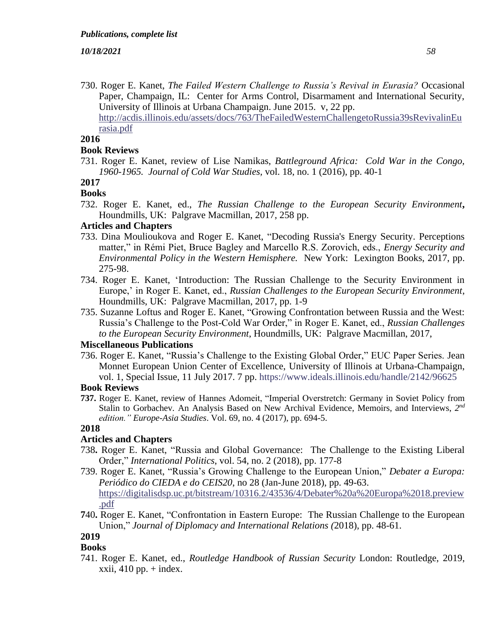730. Roger E. Kanet, *The Failed Western Challenge to Russia's Revival in Eurasia?* Occasional Paper, Champaign, IL: Center for Arms Control, Disarmament and International Security, University of Illinois at Urbana Champaign. June 2015. v, 22 pp. [http://acdis.illinois.edu/assets/docs/763/TheFailedWesternChallengetoRussia39sRevivalinEu](http://acdis.illinois.edu/assets/docs/763/TheFailedWesternChallengetoRussia39sRevivalinEurasia.pdf) [rasia.pdf](http://acdis.illinois.edu/assets/docs/763/TheFailedWesternChallengetoRussia39sRevivalinEurasia.pdf)

## **2016**

# **Book Reviews**

731. Roger E. Kanet, review of Lise Namikas, *Battleground Africa: Cold War in the Congo, 1960-1965. Journal of Cold War Studies,* vol. 18, no. 1 (2016), pp. 40-1

# **2017**

# **Books**

732. Roger E. Kanet, ed., *The Russian Challenge to the European Security Environment***,**  Houndmills, UK: Palgrave Macmillan, 2017, 258 pp.

# **Articles and Chapters**

- 733. Dina Moulioukova and Roger E. Kanet, "Decoding Russia's Energy Security. Perceptions matter," in Rémi Piet, Bruce Bagley and Marcello R.S. Zorovich, eds., *Energy Security and Environmental Policy in the Western Hemisphere.* New York: Lexington Books, 2017, pp. 275-98.
- 734. Roger E. Kanet, 'Introduction: The Russian Challenge to the Security Environment in Europe,' in Roger E. Kanet, ed., *Russian Challenges to the European Security Environment*, Houndmills, UK: Palgrave Macmillan, 2017, pp. 1-9
- 735. Suzanne Loftus and Roger E. Kanet, "Growing Confrontation between Russia and the West: Russia's Challenge to the Post-Cold War Order," in Roger E. Kanet, ed., *Russian Challenges to the European Security Environment*, Houndmills, UK: Palgrave Macmillan, 2017,

#### **Miscellaneous Publications**

736. Roger E. Kanet, "Russia's Challenge to the Existing Global Order," EUC Paper Series. Jean Monnet European Union Center of Excellence, University of Illinois at Urbana-Champaign, vol. 1, Special Issue, 11 July 2017. 7 pp. <https://www.ideals.illinois.edu/handle/2142/96625>

# **Book Reviews**

**737.** Roger E. Kanet, review of Hannes Adomeit, "Imperial Overstretch: Germany in Soviet Policy from Stalin to Gorbachev. An Analysis Based on New Archival Evidence, Memoirs, and Interviews, 2<sup>nd</sup> *edition." Europe-Asia Studies*. Vol. 69, no. 4 (2017), pp. 694-5.

# **2018**

# **Articles and Chapters**

- 738**.** Roger E. Kanet, "Russia and Global Governance: The Challenge to the Existing Liberal Order," *International Politics*, vol. 54, no. 2 (2018), pp. 177-8
- 739. Roger E. Kanet, "Russia's Growing Challenge to the European Union," *Debater a Europa: Periódico do CIEDA e do CEIS20*, no 28 (Jan-June 2018), pp. 49-63. [https://digitalisdsp.uc.pt/bitstream/10316.2/43536/4/Debater%20a%20Europa%2018.preview](https://digitalisdsp.uc.pt/bitstream/10316.2/43536/4/Debater%20a%20Europa%2018.preview.pdf) [.pdf](https://digitalisdsp.uc.pt/bitstream/10316.2/43536/4/Debater%20a%20Europa%2018.preview.pdf)
- **7**40**.** Roger E. Kanet, "Confrontation in Eastern Europe: The Russian Challenge to the European Union," *Journal of Diplomacy and International Relations (*2018), pp. 48-61.

# **2019**

**Books** 741. Roger E. Kanet, ed., *Routledge Handbook of Russian Security* London: Routledge, 2019,  $xxii$ , 410 pp.  $+$  index.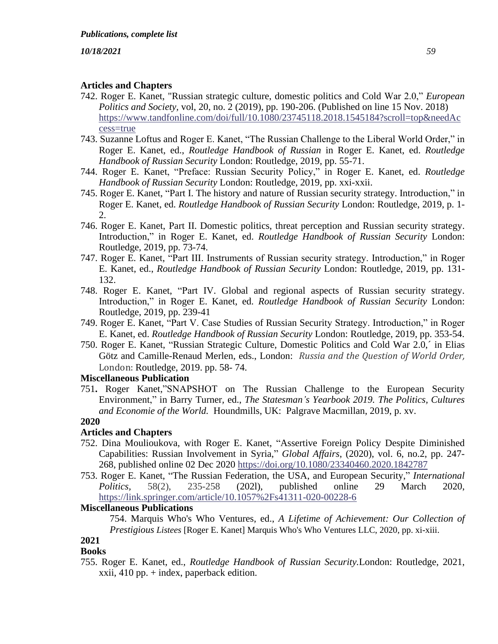# **Articles and Chapters**

- 742. Roger E. Kanet, "Russian strategic culture, domestic politics and Cold War 2.0," *European Politics and Society,* vol, 20, no. 2 (2019), pp. 190-206. (Published on line 15 Nov. 2018) [https://www.tandfonline.com/doi/full/10.1080/23745118.2018.1545184?scroll=top&needAc](https://www.tandfonline.com/doi/full/10.1080/23745118.2018.1545184?scroll=top&needAccess=true) [cess=true](https://www.tandfonline.com/doi/full/10.1080/23745118.2018.1545184?scroll=top&needAccess=true)
- 743. Suzanne Loftus and Roger E. Kanet, "The Russian Challenge to the Liberal World Order," in Roger E. Kanet, ed., *Routledge Handbook of Russian* in Roger E. Kanet, ed. *Routledge Handbook of Russian Security* London: Routledge, 2019, pp. 55-71.
- 744. Roger E. Kanet, "Preface: Russian Security Policy," in Roger E. Kanet, ed. *Routledge Handbook of Russian Security* London: Routledge, 2019, pp. xxi-xxii.
- 745. Roger E. Kanet, "Part I. The history and nature of Russian security strategy. Introduction," in Roger E. Kanet, ed. *Routledge Handbook of Russian Security* London: Routledge, 2019, p. 1- 2.
- 746. Roger E. Kanet, Part II. Domestic politics, threat perception and Russian security strategy. Introduction," in Roger E. Kanet, ed. *Routledge Handbook of Russian Security* London: Routledge, 2019, pp. 73-74.
- 747. Roger E. Kanet, "Part III. Instruments of Russian security strategy. Introduction," in Roger E. Kanet, ed., *Routledge Handbook of Russian Security* London: Routledge, 2019, pp. 131- 132.
- 748. Roger E. Kanet, "Part IV. Global and regional aspects of Russian security strategy. Introduction," in Roger E. Kanet, ed. *Routledge Handbook of Russian Security* London: Routledge, 2019, pp. 239-41
- 749. Roger E. Kanet, "Part V. Case Studies of Russian Security Strategy. Introduction," in Roger E. Kanet, ed. *Routledge Handbook of Russian Security* London: Routledge, 2019, pp. 353-54.
- 750. Roger E. Kanet, "Russian Strategic Culture, Domestic Politics and Cold War 2.0,´ in Elias [Götz](https://www.routledge.com/products/search?author=Elias%20Götz) and [Camille-Renaud Merlen,](https://www.routledge.com/products/search?author=Camille-Renaud%20Merlen) eds., London: *Russia and the Question of World Order,*  London: Routledge, 2019. pp. 58- 74.

# **Miscellaneous Publication**

751**.** Roger Kanet,"SNAPSHOT on The Russian Challenge to the European Security Environment," in Barry Turner*,* ed., *The Statesman's Yearbook 2019. The Politics, Cultures and Economie of the World.* Houndmills, UK: Palgrave Macmillan, 2019, p. xv.

# **2020**

# **Articles and Chapters**

- 752. Dina Moulioukova, with Roger E. Kanet, "Assertive Foreign Policy Despite Diminished Capabilities: Russian Involvement in Syria," *Global Affairs*, (2020), vol. 6, no.2, pp. 247- 268, published online 02 Dec 2020 <https://doi.org/10.1080/23340460.2020.1842787>
- 753. Roger E. Kanet, "The Russian Federation, the USA, and European Security," *International Politics,* 58(2), 235-258 (202l), published online 29 March 2020, <https://link.springer.com/article/10.1057%2Fs41311-020-00228-6>

# **Miscellaneous Publications**

754. [Marquis Who's Who Ventures,](https://www.google.com/search?tbo=p&tbm=bks&q=inauthor:%22Marquis+Who%27s+Who+Ventures%22&source=gbs_metadata_r&cad=2) ed., *A Lifetime of Achievement: Our Collection of Prestigious Listees* [Roger E. Kanet] Marquis Who's Who Ventures LLC, 2020, pp. xi-xiii.

#### **2021 Books**

755. Roger E. Kanet, ed., *Routledge Handbook of Russian Security.*London: Routledge, 2021, xxii, 410 pp. + index, paperback edition.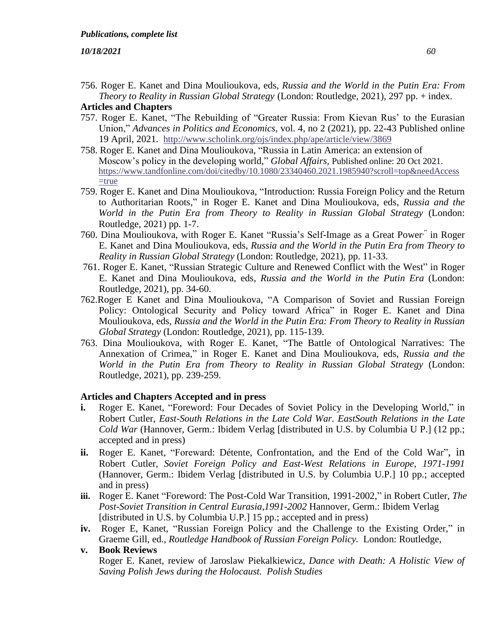756. Roger E. Kanet and Dina Moulioukova, eds, *Russia and the World in the Putin Era: From Theory to Reality in Russian Global Strategy* (London: Routledge, 2021), 297 pp. + index.

# **Articles and Chapters**

- 757. Roger E. Kanet, "The Rebuilding of "Greater Russia: From Kievan Rus' to the Eurasian Union," *Advances in Politics and Economics,* vol. 4, no 2 (2021), pp. 22-43 Published online 19 April, 2021. <http://www.scholink.org/ojs/index.php/ape/article/view/3869>
- 758. [Roger E. Kanet](https://www.tandfonline.com/author/Kanet%2C+Roger+E) and [Dina Moulioukova,](https://www.tandfonline.com/author/Moulioukova%2C+Dina) "Russia in Latin America: an extension of Moscow's policy in the developing world," *Global Affairs,* Published online: 20 Oct 2021. [https://www.tandfonline.com/doi/citedby/10.1080/23340460.2021.1985940?scroll=top&needAccess](https://www.tandfonline.com/doi/citedby/10.1080/23340460.2021.1985940?scroll=top&needAccess=true)  $=$ true
- 759. Roger E. Kanet and Dina Moulioukova, "Introduction: Russia Foreign Policy and the Return to Authoritarian Roots," in Roger E. Kanet and Dina Moulioukova, eds, *Russia and the World in the Putin Era from Theory to Reality in Russian Global Strategy* (London: Routledge, 2021) pp. 1-7.
- 760. Dina Moulioukova, with Roger E. Kanet "Russia's Self-Image as a Great Power<sup>,"</sup> in Roger E. Kanet and Dina Moulioukova, eds, *Russia and the World in the Putin Era from Theory to Reality in Russian Global Strategy* (London: Routledge, 2021), pp. 11-33.
- 761. Roger E. Kanet, "Russian Strategic Culture and Renewed Conflict with the West" in Roger E. Kanet and Dina Moulioukova, eds, *Russia and the World in the Putin Era* (London: Routledge, 2021), pp. 34-60.
- 762.Roger E Kanet and Dina Moulioukova, "A Comparison of Soviet and Russian Foreign Policy: Ontological Security and Policy toward Africa" in Roger E. Kanet and Dina Moulioukova, eds, *Russia and the World in the Putin Era: From Theory to Reality in Russian Global Strategy* (London: Routledge, 2021), pp. 115-139.
- 763. Dina Moulioukova, with Roger E. Kanet, "The Battle of Ontological Narratives: The Annexation of Crimea," in Roger E. Kanet and Dina Moulioukova, eds, *Russia and the World in the Putin Era from Theory to Reality in Russian Global Strategy* (London: Routledge, 2021), pp. 239-259.

# **Articles and Chapters Accepted and in press**

- **i.** Roger E. Kanet, "Foreword: Four Decades of Soviet Policy in the Developing World," in Robert Cutler, *East-South Relations in the Late Cold War. EastSouth Relations in the Late Cold War* (Hannover, Germ.: Ibidem Verlag [distributed in U.S. by Columbia U P.] (12 pp.; accepted and in press)
- **ii.** Roger E. Kanet, "Foreward: Détente, Confrontation, and the End of the Cold War", in Robert Cutler, *Soviet Foreign Policy and East-West Relations in Europe, 1971-1991* (Hannover, Germ.: Ibidem Verlag [distributed in U.S. by Columbia U.P.] 10 pp.; accepted and in press)
- **iii.** Roger E. Kanet "Foreword: The Post-Cold War Transition, 1991-2002," in Robert Cutler, *The Post-Soviet Transition in Central Eurasia,1991-2002* Hannover, Germ.: Ibidem Verlag [distributed in U.S. by Columbia U.P.] 15 pp.; accepted and in press)
- **iv.** Roger E, Kanet, "Russian Foreign Policy and the Challenge to the Existing Order," in Graeme Gill, ed., *Routledge Handbook of Russian Foreign Policy.* London: Routledge,

# **v. Book Reviews**

Roger E. Kanet, review of [Jaroslaw Piekalkiewicz,](https://www.abebooks.com/servlet/SearchResults?an=piekalkiewicz%20jaroslaw&cm_sp=det-_-bdp-_-author) *Dance with Death: A Holistic View of Saving Polish Jews during the Holocaust. Polish Studies*